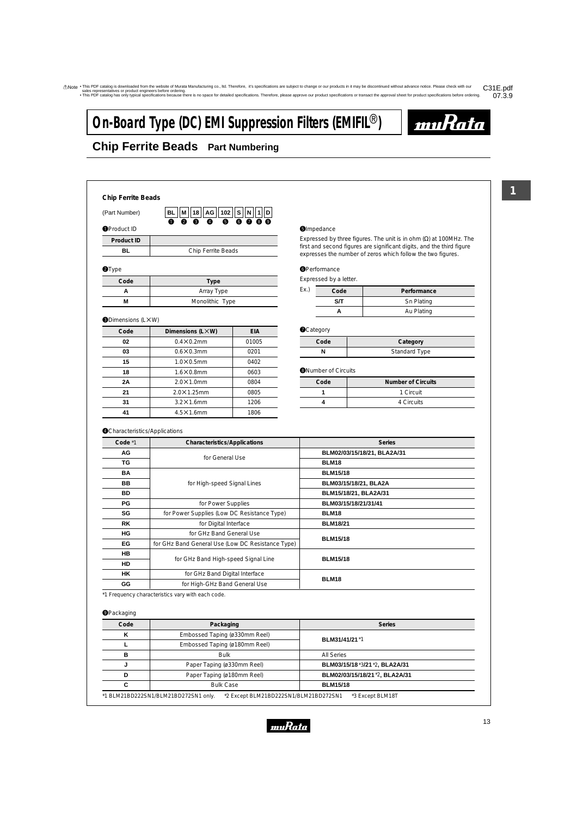# **On-Board Type (DC) EMI Suppression Filters (EMIFIL<sup>®</sup>)**



## **Chip Ferrite Beads Part Numbering**

**Chip Ferrite Beads**

(Part Number)

 $\begin{array}{lllllllllll} \bullet\hspace{1mm} & \bullet\hspace{1mm} \bullet\hspace{1mm} \bullet\hspace{1mm} \bullet\hspace{1mm} \bullet\hspace{1mm} \bullet\hspace{1mm} \bullet\hspace{1mm} \bullet\hspace{1mm} \bullet\hspace{1mm} \bullet\hspace{1mm} \bullet\hspace{1mm} \bullet\hspace{1mm} \bullet\hspace{1mm} \bullet\hspace{1mm} \bullet\hspace{1mm} \bullet\hspace{1mm} \bullet\hspace{1mm} \bullet\hspace{1mm} \bullet\hspace{1mm} \bullet\hspace{1mm} \bullet\hspace{1mm} \bullet\hspace{1mm}$ **102 BL S AG 18 1 D M N**  $\bf{0}$  $\bullet$ e  $\boldsymbol{Q}$ 

| <b>O</b> Product ID |                    |
|---------------------|--------------------|
| Product ID          |                    |
| вı                  | Chip Ferrite Beads |
|                     |                    |

#### **@Type**

| Code | Type            |
|------|-----------------|
|      | Array Type      |
|      | Monolithic Type |

#### **ODimensions (LXW)**

| Code | Dimensions (LXW)    | <b>EIA</b> |
|------|---------------------|------------|
| 02   | $0.4 \times 0.2$ mm | 01005      |
| 03   | $0.6 \times 0.3$ mm | 0201       |
| 15   | $1.0 \times 0.5$ mm | 0402       |
| 18   | $1.6\times0.8$ mm   | 0603       |
| 2A   | $2.0\times1.0$ mm   | 0804       |
| 21   | $2.0\times1.25$ mm  | 0805       |
| 31   | $3.2\times1.6$ mm   | 1206       |
| 41   | $4.5\times1.6$ mm   | 1806       |

#### **O**Impedance

Expressed by three figures. The unit is in ohm (Ω) at 100MHz. The first and second figures are significant digits, and the third figure expresses the number of zeros which follow the two figures.

#### **O**Performance

Expressed by a letter.

| Ex. | Code | Performance |
|-----|------|-------------|
|     | S/T  | Sn Plating  |
|     |      | Au Plating  |

#### **O**Category

| Code | Category      |
|------|---------------|
|      | Standard Type |

#### **O**Number of Circuits

| Code | <b>Number of Circuits</b> |
|------|---------------------------|
|      | 1 Circuit                 |
|      | 4 Circuits                |

#### **O**Characteristics/Applications

| Code *1   | <b>Characteristics/Applications</b>               | <b>Series</b>               |
|-----------|---------------------------------------------------|-----------------------------|
| <b>AG</b> | for General Use                                   | BLM02/03/15/18/21, BLA2A/31 |
| TG        |                                                   | <b>BLM18</b>                |
| <b>BA</b> |                                                   | <b>BLM15/18</b>             |
| BB        | for High-speed Signal Lines                       | BLM03/15/18/21, BLA2A       |
| BD        |                                                   | BLM15/18/21, BLA2A/31       |
| PG        | for Power Supplies                                | BLM03/15/18/21/31/41        |
| SG        | for Power Supplies (Low DC Resistance Type)       | BLM18                       |
| <b>RK</b> | for Digital Interface                             | <b>BLM18/21</b>             |
| HG        | for GHz Band General Use                          | <b>BLM15/18</b>             |
| EG        | for GHz Band General Use (Low DC Resistance Type) |                             |
| <b>HB</b> |                                                   | <b>BLM15/18</b>             |
| HD        | for GHz Band High-speed Signal Line               |                             |
| HK        | for GHz Band Digital Interface                    | <b>BLM18</b>                |
| GG        | for High-GHz Band General Use                     |                             |

\*1 Frequency characteristics vary with each code.

#### **OPackaging**

| Code | Packaging                     | <b>Series</b>                  |
|------|-------------------------------|--------------------------------|
| κ    | Embossed Taping (ø330mm Reel) |                                |
|      | Embossed Taping (ø180mm Reel) | BLM31/41/21 *1                 |
| в    | <b>Bulk</b>                   | All Series                     |
|      | Paper Taping (ø330mm Reel)    | BLM03/15/18 *3/21 *2, BLA2A/31 |
| D    | Paper Taping (ø180mm Reel)    | BLM02/03/15/18/21 *2, BLA2A/31 |
| С    | <b>Bulk Case</b>              | <b>BLM15/18</b>                |

\*1 BLM21BD222SN1/BLM21BD272SN1 only. \*2 Except BLM21BD222SN1/BLM21BD272SN1 \*3 Except BLM18T

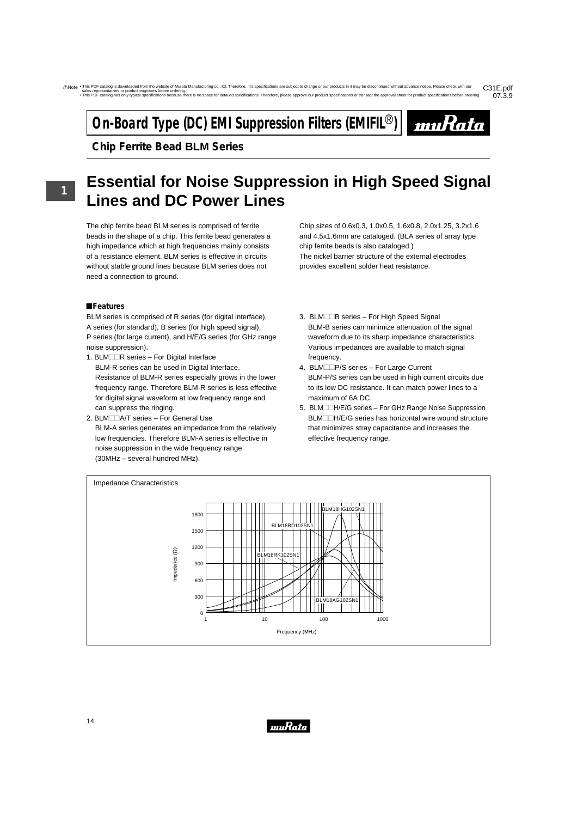# **On-Board Type (DC) EMI Suppression Filters (EMIFIL<sup>®</sup>)**



**Chip Ferrite Bead BLM Series**

# **Essential for Noise Suppression in High Speed Signal Lines and DC Power Lines**

The chip ferrite bead BLM series is comprised of ferrite beads in the shape of a chip. This ferrite bead generates a high impedance which at high frequencies mainly consists of a resistance element. BLM series is effective in circuits without stable ground lines because BLM series does not need a connection to ground.

### !**Features**

BLM series is comprised of R series (for digital interface), A series (for standard), B series (for high speed signal), P series (for large current), and H/E/G series (for GHz range noise suppression).

- 1. BLM $\Box$ R series For Digital Interface BLM-R series can be used in Digital Interface. Resistance of BLM-R series especially grows in the lower frequency range. Therefore BLM-R series is less effective for digital signal waveform at low frequency range and can suppress the ringing.
- 2. BLMIA/T series For General Use BLM-A series generates an impedance from the relatively low frequencies. Therefore BLM-A series is effective in noise suppression in the wide frequency range (30MHz – several hundred MHz).

Chip sizes of 0.6x0.3, 1.0x0.5, 1.6x0.8, 2.0x1.25, 3.2x1.6 and 4.5x1.6mm are cataloged. (BLA series of array type chip ferrite beads is also cataloged.) The nickel barrier structure of the external electrodes provides excellent solder heat resistance.

- 3. BLM $\Box$ B series For High Speed Signal BLM-B series can minimize attenuation of the signal waveform due to its sharp impedance characteristics. Various impedances are available to match signal frequency.
- 4. BLMIP/S series For Large Current BLM-P/S series can be used in high current circuits due to its low DC resistance. It can match power lines to a maximum of 6A DC.
- 5. BLMI-H/E/G series For GHz Range Noise Suppression BLM<sup>-H/E/G</sup> series has horizontal wire wound structure that minimizes stray capacitance and increases the effective frequency range.



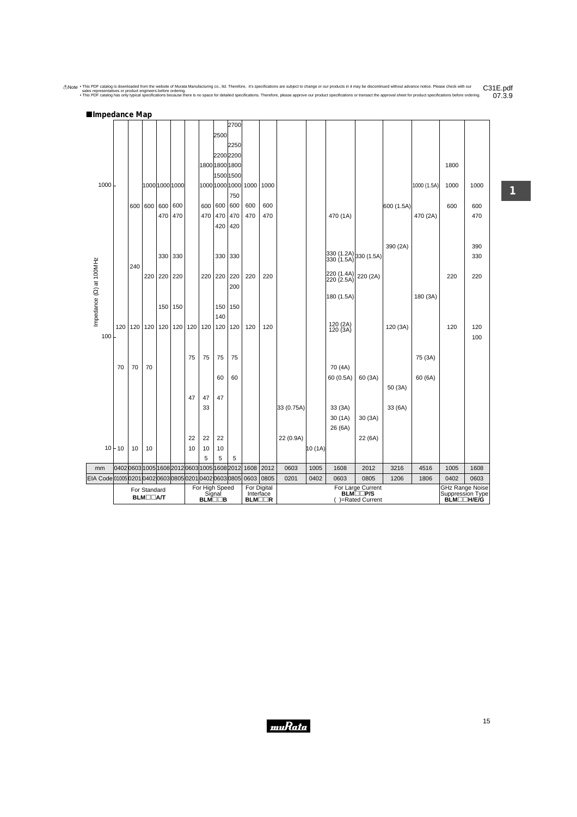Anote . This PDF catalog is downloaded from the website of Murata Manufacturing co., Itd. Therefore, it's specifications are subject to change or our products in it may be discontinued without advance notice. Please check !**Impedance Map** C31E.pdf<br>07.3.9

|                                               |                                              |     |                                                        |                |     |     |     |                             | 2700           |                     |      |            |         |                                                                         |                           |            |             |                                |                    |
|-----------------------------------------------|----------------------------------------------|-----|--------------------------------------------------------|----------------|-----|-----|-----|-----------------------------|----------------|---------------------|------|------------|---------|-------------------------------------------------------------------------|---------------------------|------------|-------------|--------------------------------|--------------------|
|                                               |                                              |     |                                                        |                |     |     |     | 2500                        |                |                     |      |            |         |                                                                         |                           |            |             |                                |                    |
|                                               |                                              |     |                                                        |                |     |     |     |                             | 2250           |                     |      |            |         |                                                                         |                           |            |             |                                |                    |
|                                               |                                              |     |                                                        |                |     |     |     | 2200 2200                   |                |                     |      |            |         |                                                                         |                           |            |             |                                |                    |
|                                               |                                              |     |                                                        |                |     |     |     | 1800 1800 1800              |                |                     |      |            |         |                                                                         |                           |            |             | 1800                           |                    |
|                                               |                                              |     |                                                        |                |     |     |     | 1500 1500                   |                |                     |      |            |         |                                                                         |                           |            |             |                                |                    |
| 1000                                          |                                              |     |                                                        | 1000 1000 1000 |     |     |     |                             | 1000 1000 1000 | 1000                | 1000 |            |         |                                                                         |                           |            | 1000 (1.5A) | 1000                           | 1000               |
|                                               |                                              |     |                                                        |                |     |     |     |                             | 750            |                     |      |            |         |                                                                         |                           |            |             |                                |                    |
|                                               |                                              | 600 | 600                                                    | 600            | 600 |     | 600 | 600                         | 600            | 600                 | 600  |            |         |                                                                         |                           | 600 (1.5A) |             | 600                            | 600                |
|                                               |                                              |     |                                                        | 470            | 470 |     | 470 | 470                         | 470            | 470                 | 470  |            |         | 470 (1A)                                                                |                           |            | 470 (2A)    |                                | 470                |
|                                               |                                              |     |                                                        |                |     |     |     | 420                         | 420            |                     |      |            |         |                                                                         |                           |            |             |                                |                    |
|                                               |                                              |     |                                                        |                |     |     |     |                             |                |                     |      |            |         |                                                                         |                           |            |             |                                |                    |
|                                               |                                              |     |                                                        |                |     |     |     |                             |                |                     |      |            |         |                                                                         |                           | 390 (2A)   |             |                                | 390                |
|                                               |                                              |     |                                                        | 330            | 330 |     |     | 330                         | 330            |                     |      |            |         | $\begin{vmatrix} 330 & (1.2A) \\ 330 & (1.5A) \end{vmatrix}$ 330 (1.5A) |                           |            |             |                                | 330                |
| Impedance (2) at 100MHz                       |                                              | 240 | 220                                                    | 220            | 220 |     | 220 | 220                         | 220            | 220                 | 220  |            |         | 220 (1.4A)                                                              |                           |            |             | 220                            | 220                |
|                                               |                                              |     |                                                        |                |     |     |     |                             | 200            |                     |      |            |         | 220 (2.5A)                                                              | 220 (2A)                  |            |             |                                |                    |
|                                               |                                              |     |                                                        |                |     |     |     |                             |                |                     |      |            |         | 180 (1.5A)                                                              |                           |            | 180 (3A)    |                                |                    |
|                                               |                                              |     |                                                        | 150            | 150 |     |     | 150                         | 150            |                     |      |            |         |                                                                         |                           |            |             |                                |                    |
|                                               |                                              |     |                                                        |                |     |     |     | 140                         |                |                     |      |            |         |                                                                         |                           |            |             |                                |                    |
|                                               | 120                                          | 120 | 120                                                    | 120            | 120 | 120 | 120 | 120                         | 120            | 120                 | 120  |            |         | 120 (2A)                                                                |                           | 120 (3A)   |             | 120                            | 120                |
| 100                                           |                                              |     |                                                        |                |     |     |     |                             |                |                     |      |            |         | 120(3A)                                                                 |                           |            |             |                                | 100                |
|                                               |                                              |     |                                                        |                |     |     |     |                             |                |                     |      |            |         |                                                                         |                           |            |             |                                |                    |
|                                               |                                              |     |                                                        |                |     | 75  | 75  | 75                          | 75             |                     |      |            |         |                                                                         |                           |            | 75 (3A)     |                                |                    |
|                                               | 70                                           | 70  | 70                                                     |                |     |     |     |                             |                |                     |      |            |         | 70 (4A)                                                                 |                           |            |             |                                |                    |
|                                               |                                              |     |                                                        |                |     |     |     | 60                          | 60             |                     |      |            |         | 60 (0.5A)                                                               | 60 (3A)                   |            | 60 (6A)     |                                |                    |
|                                               |                                              |     |                                                        |                |     |     |     |                             |                |                     |      |            |         |                                                                         |                           | 50 (3A)    |             |                                |                    |
|                                               |                                              |     |                                                        |                |     | 47  | 47  | 47                          |                |                     |      |            |         |                                                                         |                           |            |             |                                |                    |
|                                               |                                              |     |                                                        |                |     |     | 33  |                             |                |                     |      | 33 (0.75A) |         | 33(3A)                                                                  |                           | 33 (6A)    |             |                                |                    |
|                                               |                                              |     |                                                        |                |     |     |     |                             |                |                     |      |            |         | 30(1A)                                                                  | 30(3A)                    |            |             |                                |                    |
|                                               |                                              |     |                                                        |                |     |     |     |                             |                |                     |      |            |         | 26 (6A)                                                                 |                           |            |             |                                |                    |
|                                               |                                              |     |                                                        |                |     | 22  | 22  | 22                          |                |                     |      | 22 (0.9A)  |         |                                                                         | 22 (6A)                   |            |             |                                |                    |
|                                               | $10 + 10$                                    | 10  | 10                                                     |                |     | 10  | 10  | 10                          |                |                     |      |            | 10 (1A) |                                                                         |                           |            |             |                                |                    |
|                                               |                                              |     |                                                        |                |     |     | 5   | 5                           | 5              |                     |      |            |         |                                                                         |                           |            |             |                                |                    |
| mm                                            | 0402 0603 1005 1608 2012 0603 1005 1608 2012 |     |                                                        |                |     |     |     |                             |                | 1608                | 2012 | 0603       | 1005    | 1608                                                                    | 2012                      | 3216       | 4516        | 1005                           | 1608               |
| EIA Code0100502010402060308050201040206030805 |                                              |     |                                                        |                |     |     |     | For High Speed              |                | 0603<br>For Digital | 0805 | 0201       | 0402    | 0603                                                                    | 0805<br>For Large Current | 1206       | 1806        | 0402<br><b>GHz Range Noise</b> | 0603               |
|                                               |                                              |     | For Standard<br><b>BLM</b> <sub>D</sub> <sub>A</sub> T |                |     |     |     | Signal                      |                | Interface           |      |            |         |                                                                         | <b>BLM</b> IIIP/S         |            |             | Suppression Type               |                    |
|                                               |                                              |     |                                                        |                |     |     |     | <b>BLM</b> <sub>II</sub> IB |                | BLM□□R              |      |            |         |                                                                         | ()=Rated Current          |            |             |                                | <b>BLM</b> □□H/E/G |

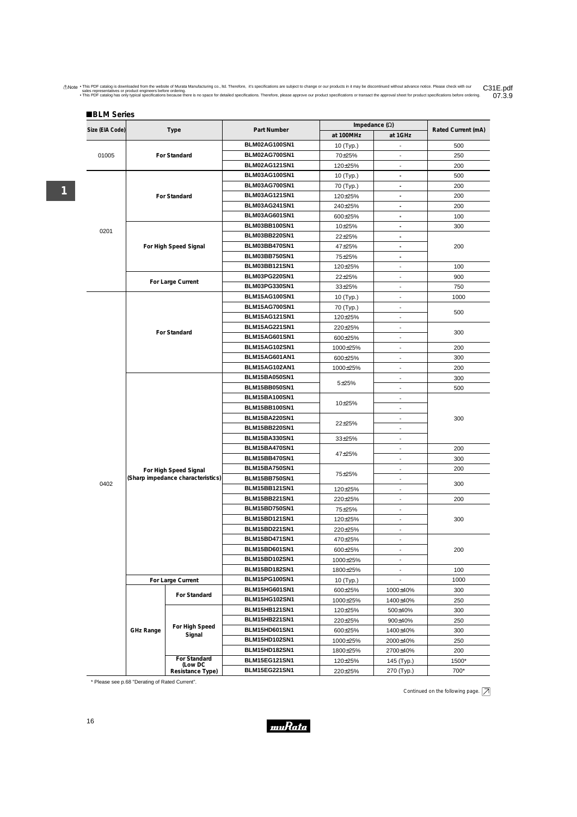Anote . This PDF catalog is downloaded from the website of Murata Manufacturing co., Itd. Therefore, it's specifications are subject to change or our products in it may be discontinued without advance notice. Please check C31E.pdf<br>07.3.9

|                 |                                                            |                                  |                                       |                          | Impedance $(\Omega)$     |                    |
|-----------------|------------------------------------------------------------|----------------------------------|---------------------------------------|--------------------------|--------------------------|--------------------|
| Size (EIA Code) |                                                            | Type                             | Part Number                           | at 100MHz                | at 1GHz                  | Rated Current (mA) |
|                 |                                                            |                                  | BLM02AG100SN1                         | 10 (Typ.)                |                          | 500                |
| 01005           |                                                            | For Standard                     | BLM02AG700SN1                         | 70±25%                   | $\overline{\phantom{a}}$ | 250                |
|                 |                                                            |                                  | <b>BLM02AG121SN1</b>                  | 120±25%                  | $\blacksquare$           | 200                |
|                 |                                                            |                                  | BLM03AG100SN1                         | 10 (Typ.)                | $\blacksquare$           | 500                |
|                 |                                                            |                                  | BLM03AG700SN1                         | 70 (Typ.)                | $\overline{\phantom{a}}$ | 200                |
|                 |                                                            | For Standard                     | <b>BLM03AG121SN1</b>                  | 120±25%                  | $\overline{\phantom{a}}$ | 200                |
|                 |                                                            |                                  | <b>BLM03AG241SN1</b>                  | 240±25%                  | $\blacksquare$           | 200                |
|                 |                                                            |                                  | <b>BLM03AG601SN1</b>                  | 600±25%                  | $\ddot{\phantom{0}}$     | 100                |
|                 |                                                            |                                  | BLM03BB100SN1                         | 10±25%                   | $\blacksquare$           | 300                |
| 0201            |                                                            |                                  | BLM03BB220SN1                         | 22±25%                   | $\blacksquare$           |                    |
|                 |                                                            | For High Speed Signal            | BLM03BB470SN1                         | 47±25%                   | $\overline{\phantom{a}}$ | 200                |
|                 |                                                            |                                  | BLM03BB750SN1                         | 75±25%                   |                          |                    |
|                 |                                                            |                                  | <b>BLM03BB121SN1</b>                  | 120±25%                  |                          | 100                |
|                 |                                                            |                                  | BLM03PG220SN1                         | 22±25%                   | $\blacksquare$           | 900                |
|                 |                                                            | For Large Current                | BLM03PG330SN1                         | 33±25%                   | $\overline{a}$           | 750                |
|                 |                                                            |                                  | <b>BLM15AG100SN1</b>                  | 10 (Typ.)                |                          | 1000               |
|                 |                                                            |                                  | <b>BLM15AG700SN1</b>                  | 70 (Typ.)                |                          |                    |
|                 |                                                            |                                  | <b>BLM15AG121SN1</b>                  | 120±25%                  | $\overline{\phantom{a}}$ | 500                |
|                 |                                                            |                                  | <b>BLM15AG221SN1</b>                  | 220±25%                  | $\overline{\phantom{a}}$ |                    |
|                 |                                                            | For Standard                     | <b>BLM15AG601SN1</b>                  | 600±25%                  |                          | 300                |
|                 |                                                            |                                  | BLM15AG102SN1                         | 1000±25%                 |                          | 200                |
|                 |                                                            |                                  | BLM15AG601AN1                         | 600±25%                  | $\blacksquare$           | 300                |
|                 |                                                            | BLM15AG102AN1                    | 1000±25%                              | $\overline{\phantom{a}}$ | 200                      |                    |
|                 |                                                            |                                  | BLM15BA050SN1                         |                          | $\overline{a}$           | 300                |
|                 |                                                            |                                  | BLM15BB050SN1                         | $5 + 25%$                | $\overline{\phantom{m}}$ | 500                |
|                 |                                                            |                                  | <b>BLM15BA100SN1</b>                  |                          | $\overline{\phantom{a}}$ |                    |
|                 |                                                            |                                  | <b>BLM15BB100SN1</b>                  | 10±25%                   | $\overline{\phantom{a}}$ |                    |
|                 |                                                            |                                  | <b>BLM15BA220SN1</b>                  |                          |                          | 300                |
|                 |                                                            |                                  | <b>BLM15BB220SN1</b>                  | 22±25%                   | $\overline{a}$           |                    |
|                 |                                                            |                                  | <b>BLM15BA330SN1</b>                  | $33\pm25%$               | $\overline{\phantom{a}}$ |                    |
|                 |                                                            |                                  | <b>BLM15BA470SN1</b>                  |                          | $\overline{a}$           | 200                |
|                 |                                                            |                                  | <b>BLM15BB470SN1</b>                  | 47±25%                   | $\overline{\phantom{a}}$ | 300                |
|                 |                                                            |                                  | BLM15BA750SN1                         |                          | $\overline{\phantom{a}}$ | 200                |
|                 |                                                            |                                  | <b>BLM15BB750SN1</b>                  | 75±25%                   | $\overline{\phantom{a}}$ |                    |
| 0402            |                                                            |                                  | <b>BLM15BB121SN1</b>                  | 120±25%                  |                          | 300                |
|                 |                                                            |                                  | <b>BLM15BB221SN1</b>                  | 220±25%                  |                          | 200                |
|                 |                                                            |                                  | BLM15BD750SN1                         | 75±25%                   | $\overline{\phantom{a}}$ |                    |
|                 | For High Speed Signal<br>(Sharp impedance characteristics) |                                  | <b>BLM15BD121SN1</b>                  | 120±25%                  | $\blacksquare$           | 300                |
|                 |                                                            |                                  | <b>BLM15BD221SN1</b>                  | 220±25%                  | $\overline{\phantom{a}}$ |                    |
|                 |                                                            |                                  | <b>BLM15BD471SN1</b>                  |                          |                          |                    |
|                 |                                                            |                                  | <b>BLM15BD601SN1</b>                  | 470±25%                  | $\overline{\phantom{a}}$ | 200                |
|                 |                                                            |                                  | <b>BLM15BD102SN1</b>                  | 600±25%                  | $\overline{\phantom{a}}$ |                    |
|                 |                                                            |                                  | <b>BLM15BD182SN1</b>                  | 1000±25%                 | $\overline{\phantom{a}}$ |                    |
|                 |                                                            |                                  |                                       | 1800±25%                 |                          | 100                |
|                 |                                                            | For Large Current                | BLM15PG100SN1                         | 10 (Typ.)                |                          | 1000               |
|                 |                                                            | For Standard                     | <b>BLM15HG601SN1</b>                  | 600±25%                  | 1000±40%                 | 300                |
|                 |                                                            |                                  | <b>BLM15HG102SN1</b>                  | 1000±25%                 | 1400±40%                 | 250                |
|                 |                                                            |                                  | <b>BLM15HB121SN1</b>                  | 120±25%                  | 500±40%                  | 300                |
|                 |                                                            | For High Speed                   | <b>BLM15HB221SN1</b>                  | 220±25%                  | 900±40%                  | 250                |
|                 | <b>GHz Range</b>                                           | Signal                           | BLM15HD601SN1                         | 600±25%                  | 1400±40%                 | 300                |
|                 |                                                            |                                  | BLM15HD102SN1                         | 1000±25%                 | 2000±40%                 | 250                |
|                 |                                                            |                                  | <b>BLM15HD182SN1</b>                  | 1800±25%                 | 2700±40%                 | 200                |
|                 |                                                            | (Low DC                          |                                       | 120±25%                  | 145 (Typ.)               | 1500*              |
|                 |                                                            | For Standard<br>Resistance Type) | BLM15EG121SN1<br><b>BLM15EG221SN1</b> | 220±25%                  | 270 (Typ.)               | 700*               |

\* Please see p.68 "Derating of Rated Current".

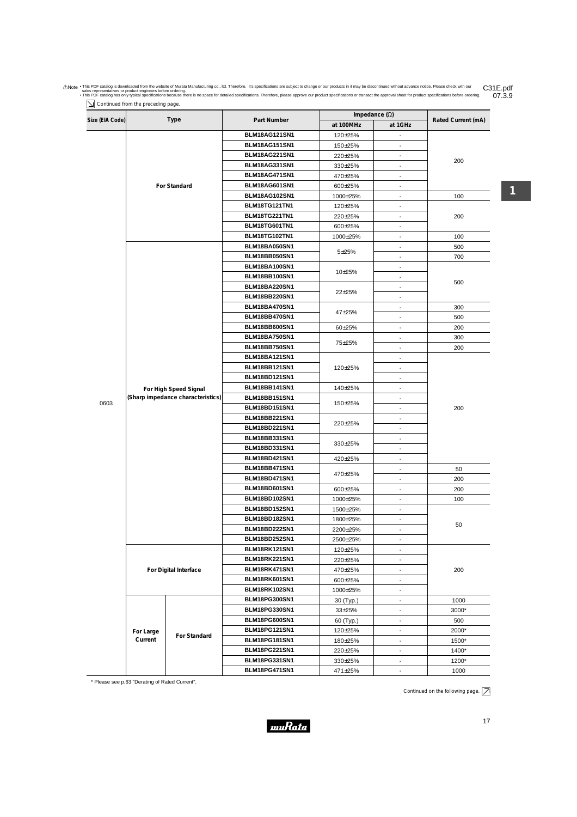| Size (EIA Code) |           | <b>Type</b>                       | Part Number                                  | Impedance $(\Omega)$                |                          | Rated Current (mA) |  |  |  |  |
|-----------------|-----------|-----------------------------------|----------------------------------------------|-------------------------------------|--------------------------|--------------------|--|--|--|--|
|                 |           |                                   |                                              | at 100MHz                           | at 1GHz                  |                    |  |  |  |  |
|                 |           |                                   | <b>BLM18AG121SN1</b>                         | 120±25%                             | $\blacksquare$           |                    |  |  |  |  |
|                 |           |                                   | <b>BLM18AG151SN1</b>                         | 150±25%                             |                          |                    |  |  |  |  |
|                 |           |                                   | <b>BLM18AG221SN1</b>                         | 220±25%                             | $\overline{\phantom{a}}$ | 200                |  |  |  |  |
|                 |           |                                   | BLM18AG331SN1                                | 330±25%                             | $\overline{\phantom{a}}$ |                    |  |  |  |  |
|                 |           |                                   | BLM18AG471SN1                                | 470±25%                             | $\overline{\phantom{a}}$ |                    |  |  |  |  |
|                 |           | For Standard                      | <b>BLM18AG601SN1</b>                         | 600±25%                             | $\overline{\phantom{a}}$ |                    |  |  |  |  |
|                 |           |                                   | <b>BLM18AG102SN1</b>                         | 1000±25%                            | $\overline{\phantom{a}}$ | 100                |  |  |  |  |
|                 |           |                                   | <b>BLM18TG121TN1</b>                         | 120±25%                             | $\blacksquare$           |                    |  |  |  |  |
|                 |           |                                   | BLM18TG221TN1                                | 220±25%                             | $\blacksquare$           | 200                |  |  |  |  |
|                 |           |                                   | BLM18TG601TN1                                | 600±25%                             | $\overline{\phantom{a}}$ |                    |  |  |  |  |
|                 |           |                                   | BLM18TG102TN1                                | 1000±25%                            | $\overline{\phantom{a}}$ | 100                |  |  |  |  |
|                 |           |                                   | BLM18BA050SN1                                | 5±25%                               | $\overline{\phantom{a}}$ | 500                |  |  |  |  |
|                 |           |                                   | BLM18BB050SN1                                |                                     | $\overline{\phantom{a}}$ | 700                |  |  |  |  |
|                 |           |                                   | <b>BLM18BA100SN1</b>                         | 10±25%                              | $\blacksquare$           |                    |  |  |  |  |
|                 |           |                                   | <b>BLM18BB100SN1</b>                         |                                     | $\overline{\phantom{a}}$ | 500                |  |  |  |  |
|                 |           |                                   | <b>BLM18BA220SN1</b>                         | 22±25%                              | $\overline{\phantom{a}}$ |                    |  |  |  |  |
|                 |           |                                   | <b>BLM18BB220SN1</b>                         |                                     | $\blacksquare$           |                    |  |  |  |  |
|                 |           |                                   | BLM18BA470SN1                                | 47±25%                              | $\overline{a}$           | 300                |  |  |  |  |
|                 |           |                                   | BLM18BB470SN1                                |                                     | $\overline{\phantom{m}}$ | 500                |  |  |  |  |
|                 |           |                                   | <b>BLM18BB600SN1</b>                         | 60±25%                              | $\overline{\phantom{a}}$ | 200                |  |  |  |  |
|                 |           |                                   | <b>BLM18BA750SN1</b>                         | 75±25%                              | $\blacksquare$           | 300                |  |  |  |  |
|                 |           |                                   | <b>BLM18BB750SN1</b>                         |                                     | $\blacksquare$           | 200                |  |  |  |  |
|                 |           |                                   | <b>BLM18BA121SN1</b>                         |                                     | $\overline{\phantom{a}}$ |                    |  |  |  |  |
|                 |           |                                   | <b>BLM18BB121SN1</b>                         | 120±25%                             | $\blacksquare$           |                    |  |  |  |  |
|                 |           |                                   | <b>BLM18BD121SN1</b>                         |                                     | $\overline{a}$           |                    |  |  |  |  |
|                 |           | For High Speed Signal             | <b>BLM18BB141SN1</b>                         | 140±25%                             | $\blacksquare$           |                    |  |  |  |  |
| 0603            |           | (Sharp impedance characteristics) | <b>BLM18BB151SN1</b>                         | $\overline{\phantom{a}}$<br>150±25% |                          |                    |  |  |  |  |
|                 |           |                                   | <b>BLM18BD151SN1</b>                         |                                     | $\overline{\phantom{a}}$ | 200                |  |  |  |  |
|                 |           |                                   | <b>BLM18BB221SN1</b>                         | 220±25%                             | $\overline{\phantom{a}}$ |                    |  |  |  |  |
|                 |           |                                   | <b>BLM18BD221SN1</b>                         |                                     | $\blacksquare$           |                    |  |  |  |  |
|                 |           |                                   | <b>BLM18BB331SN1</b>                         | 330±25%                             | $\overline{\phantom{a}}$ |                    |  |  |  |  |
|                 |           |                                   | <b>BLM18BD331SN1</b>                         |                                     | $\blacksquare$           |                    |  |  |  |  |
|                 |           |                                   | BLM18BD421SN1                                | 420±25%                             |                          |                    |  |  |  |  |
|                 |           |                                   | BLM18BB471SN1                                | 470±25%                             | $\overline{\phantom{a}}$ | 50                 |  |  |  |  |
|                 |           |                                   | <b>BLM18BD471SN1</b>                         |                                     | $\overline{\phantom{a}}$ | 200                |  |  |  |  |
|                 |           |                                   | BLM18BD601SN1                                | 600±25%                             | $\overline{\phantom{a}}$ | 200                |  |  |  |  |
|                 |           |                                   | <b>BLM18BD102SN1</b>                         | 1000±25%                            | $\overline{\phantom{a}}$ | 100                |  |  |  |  |
|                 |           |                                   | <b>BLM18BD152SN1</b>                         | 1500±25%                            | $\blacksquare$           |                    |  |  |  |  |
|                 |           |                                   | <b>BLM18BD182SN1</b>                         | 1800±25%                            | $\overline{\phantom{a}}$ | 50                 |  |  |  |  |
|                 |           |                                   | <b>BLM18BD222SN1</b>                         | 2200±25%                            | $\overline{\phantom{a}}$ |                    |  |  |  |  |
|                 |           |                                   | <b>BLM18BD252SN1</b>                         | 2500±25%                            | $\blacksquare$           |                    |  |  |  |  |
|                 |           |                                   | <b>BLM18RK121SN1</b>                         | 120±25%                             | $\overline{\phantom{a}}$ |                    |  |  |  |  |
|                 |           |                                   | <b>BLM18RK221SN1</b>                         | 220±25%                             | $\overline{\phantom{a}}$ |                    |  |  |  |  |
|                 |           | For Digital Interface             | BLM18RK471SN1                                | 470±25%                             | $\overline{\phantom{a}}$ | 200                |  |  |  |  |
|                 |           |                                   | BLM18RK601SN1                                | 600±25%                             | $\blacksquare$           |                    |  |  |  |  |
|                 |           |                                   | BLM18RK102SN1                                | 1000±25%                            | $\overline{\phantom{a}}$ |                    |  |  |  |  |
|                 |           |                                   |                                              | 30 (Typ.)                           | $\overline{\phantom{a}}$ | 1000               |  |  |  |  |
|                 |           |                                   | <b>BLM18PG300SN1</b>                         |                                     |                          |                    |  |  |  |  |
|                 |           |                                   | <b>BLM18PG330SN1</b>                         | 33±25%                              | $\overline{\phantom{a}}$ | 3000*              |  |  |  |  |
|                 |           |                                   | BLM18PG600SN1                                | 60 (Typ.)                           | $\blacksquare$           | 500                |  |  |  |  |
|                 | For Large |                                   | <b>BLM18PG121SN1</b>                         | 120±25%                             | $\overline{\phantom{a}}$ | 2000*              |  |  |  |  |
|                 | Current   | For Standard                      | <b>BLM18PG181SN1</b><br><b>BLM18PG221SN1</b> | 180±25%                             | $\overline{\phantom{a}}$ | 1500*<br>1400*     |  |  |  |  |

is PDF catalog is downloaded from the website of Murata Manufacturing co., Itd. Therefore, it's specifications are subject to change or our products in it may be discontinued without advance notice. Please check with our C

\* Please see p.63 "Derating of Rated Current".

Continued on the following page.  $\boxed{\nearrow}$ 

-

1000

Anote . This PDF catalog is downloaded from the website of Murata Manufacturing co., Itd. Therefore, it's specifications are subject to change or our products in it may be discontinued without advance notice. Please check C31E.pdf<br>07.3.9

**1**

**BLM18PG471SN1**

471±25%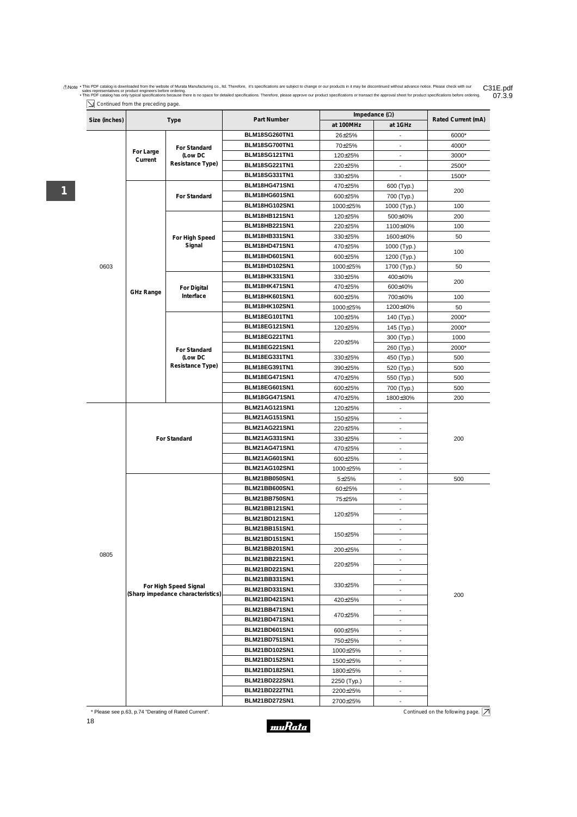Anote . This PDF catalog is downloaded from the website of Murata Manufacturing co., Itd. Therefore, it's specifications are subject to change or our products in it may be discontinued without advance notice. Please check C31E.pdf<br>07.3.9

|  |  |  |  | $\sum$ Continued from the preceding page. |  |
|--|--|--|--|-------------------------------------------|--|
|--|--|--|--|-------------------------------------------|--|

**1**

| at 1GHz<br>at 100MHz<br>BLM18SG260TN1<br>6000*<br>26±25%<br>BLM18SG700TN1<br>70±25%<br>4000*<br>For Standard<br>For Large<br><b>BLM18SG121TN1</b><br>(Low DC<br>120±25%<br>3000*<br>$\qquad \qquad \blacksquare$<br>Current<br>Resistance Type)<br><b>BLM18SG221TN1</b><br>2500*<br>220±25%<br>$\overline{\phantom{a}}$<br>BLM18SG331TN1<br>330±25%<br>1500*<br>$\overline{a}$<br>BLM18HG471SN1<br>470±25%<br>600 (Typ.)<br>200<br><b>BLM18HG601SN1</b><br>For Standard<br>600±25%<br>700 (Typ.)<br><b>BLM18HG102SN1</b><br>100<br>1000±25%<br>1000 (Typ.)<br><b>BLM18HB121SN1</b><br>500±40%<br>200<br>120±25%<br><b>BLM18HB221SN1</b><br>100<br>1100±40%<br>220±25%<br><b>BLM18HB331SN1</b><br>1600±40%<br>50<br>330±25%<br>For High Speed<br>Signal<br><b>BLM18HD471SN1</b><br>1000 (Typ.)<br>470±25%<br>100<br>BLM18HD601SN1<br>1200 (Typ.)<br>600±25%<br>BLM18HD102SN1<br>0603<br>1700 (Typ.)<br>1000±25%<br>50<br><b>BLM18HK331SN1</b><br>400±40%<br>330±25%<br>200<br><b>BLM18HK471SN1</b><br>600±40%<br>470±25%<br>For Digital<br><b>GHz Range</b><br>Interface<br>BLM18HK601SN1<br>700±40%<br>600±25%<br>100<br><b>BLM18HK102SN1</b><br>1200±40%<br>1000±25%<br>50<br>BLM18EG101TN1<br>100±25%<br>2000*<br>140 (Typ.)<br><b>BLM18EG121SN1</b><br>145 (Typ.)<br>120±25%<br>2000*<br>BLM18EG221TN1<br>1000<br>300 (Typ.)<br>220±25%<br><b>BLM18EG221SN1</b><br>260 (Typ.)<br>2000*<br>For Standard<br>BLM18EG331TN1<br>(Low DC<br>330±25%<br>450 (Typ.)<br>500<br>Resistance Type)<br>BLM18EG391TN1<br>500<br>390±25%<br>520 (Typ.)<br><b>BLM18EG471SN1</b><br>500<br>470±25%<br>550 (Typ.)<br><b>BLM18EG601SN1</b><br>600±25%<br>700 (Typ.)<br>500<br><b>BLM18GG471SN1</b><br>200<br>470±25%<br>1800±30%<br><b>BLM21AG121SN1</b><br>120±25%<br>$\overline{\phantom{a}}$<br><b>BLM21AG151SN1</b><br>150±25%<br>$\overline{a}$<br><b>BLM21AG221SN1</b><br>220±25%<br><b>BLM21AG331SN1</b><br>200<br>For Standard<br>330±25%<br><b>BLM21AG471SN1</b><br>470±25%<br><b>BLM21AG601SN1</b><br>600±25%<br>BLM21AG102SN1<br>1000±25%<br>$\overline{\phantom{a}}$<br>BLM21BB050SN1<br>$5 + 25%$<br>500<br><b>BLM21BB600SN1</b><br>60±25%<br>$\overline{\phantom{a}}$<br><b>BLM21BB750SN1</b><br>75±25%<br>$\overline{\phantom{0}}$<br><b>BLM21BB121SN1</b><br>120±25%<br><b>BLM21BD121SN1</b><br><b>BLM21BB151SN1</b><br>$\overline{\phantom{a}}$<br>150±25%<br><b>BLM21BD151SN1</b><br>$\overline{a}$<br><b>BLM21BB201SN1</b><br>200±25%<br>$\overline{a}$<br>0805<br><b>BLM21BB221SN1</b><br>-<br>220±25%<br><b>BLM21BD221SN1</b><br>$\overline{\phantom{a}}$<br><b>BLM21BB331SN1</b><br>$\overline{\phantom{a}}$<br>330±25%<br>For High Speed Signal<br><b>BLM21BD331SN1</b><br>(Sharp impedance characteristics)<br>200<br><b>BLM21BD421SN1</b><br>420±25%<br>$\overline{\phantom{0}}$<br><b>BLM21BB471SN1</b><br>470±25%<br><b>BLM21BD471SN1</b><br>$\overline{a}$<br><b>BLM21BD601SN1</b><br>600±25%<br><b>BLM21BD751SN1</b><br>750±25%<br>$\overline{\phantom{0}}$<br><b>BLM21BD102SN1</b><br>1000±25%<br>$\overline{\phantom{a}}$<br><b>BLM21BD152SN1</b><br>1500±25%<br>$\overline{\phantom{0}}$<br><b>BLM21BD182SN1</b><br>1800±25%<br><b>BLM21BD222SN1</b><br>2250 (Typ.)<br>BLM21BD222TN1<br>2200±25% | Size (inches) |  | <b>Type</b> | Impedance $(\Omega)$<br>Part Number |          | Rated Current (mA) |  |
|------------------------------------------------------------------------------------------------------------------------------------------------------------------------------------------------------------------------------------------------------------------------------------------------------------------------------------------------------------------------------------------------------------------------------------------------------------------------------------------------------------------------------------------------------------------------------------------------------------------------------------------------------------------------------------------------------------------------------------------------------------------------------------------------------------------------------------------------------------------------------------------------------------------------------------------------------------------------------------------------------------------------------------------------------------------------------------------------------------------------------------------------------------------------------------------------------------------------------------------------------------------------------------------------------------------------------------------------------------------------------------------------------------------------------------------------------------------------------------------------------------------------------------------------------------------------------------------------------------------------------------------------------------------------------------------------------------------------------------------------------------------------------------------------------------------------------------------------------------------------------------------------------------------------------------------------------------------------------------------------------------------------------------------------------------------------------------------------------------------------------------------------------------------------------------------------------------------------------------------------------------------------------------------------------------------------------------------------------------------------------------------------------------------------------------------------------------------------------------------------------------------------------------------------------------------------------------------------------------------------------------------------------------------------------------------------------------------------------------------------------------------------------------------------------------------------------------------------------------------------------------------------------------------------------------------------------------------------------------------------------------------------------------------------------------------------------------------------------------------------------------------------------------------------------------------------------------------|---------------|--|-------------|-------------------------------------|----------|--------------------|--|
|                                                                                                                                                                                                                                                                                                                                                                                                                                                                                                                                                                                                                                                                                                                                                                                                                                                                                                                                                                                                                                                                                                                                                                                                                                                                                                                                                                                                                                                                                                                                                                                                                                                                                                                                                                                                                                                                                                                                                                                                                                                                                                                                                                                                                                                                                                                                                                                                                                                                                                                                                                                                                                                                                                                                                                                                                                                                                                                                                                                                                                                                                                                                                                                                                  |               |  |             |                                     |          |                    |  |
|                                                                                                                                                                                                                                                                                                                                                                                                                                                                                                                                                                                                                                                                                                                                                                                                                                                                                                                                                                                                                                                                                                                                                                                                                                                                                                                                                                                                                                                                                                                                                                                                                                                                                                                                                                                                                                                                                                                                                                                                                                                                                                                                                                                                                                                                                                                                                                                                                                                                                                                                                                                                                                                                                                                                                                                                                                                                                                                                                                                                                                                                                                                                                                                                                  |               |  |             |                                     |          |                    |  |
|                                                                                                                                                                                                                                                                                                                                                                                                                                                                                                                                                                                                                                                                                                                                                                                                                                                                                                                                                                                                                                                                                                                                                                                                                                                                                                                                                                                                                                                                                                                                                                                                                                                                                                                                                                                                                                                                                                                                                                                                                                                                                                                                                                                                                                                                                                                                                                                                                                                                                                                                                                                                                                                                                                                                                                                                                                                                                                                                                                                                                                                                                                                                                                                                                  |               |  |             |                                     |          |                    |  |
|                                                                                                                                                                                                                                                                                                                                                                                                                                                                                                                                                                                                                                                                                                                                                                                                                                                                                                                                                                                                                                                                                                                                                                                                                                                                                                                                                                                                                                                                                                                                                                                                                                                                                                                                                                                                                                                                                                                                                                                                                                                                                                                                                                                                                                                                                                                                                                                                                                                                                                                                                                                                                                                                                                                                                                                                                                                                                                                                                                                                                                                                                                                                                                                                                  |               |  |             |                                     |          |                    |  |
|                                                                                                                                                                                                                                                                                                                                                                                                                                                                                                                                                                                                                                                                                                                                                                                                                                                                                                                                                                                                                                                                                                                                                                                                                                                                                                                                                                                                                                                                                                                                                                                                                                                                                                                                                                                                                                                                                                                                                                                                                                                                                                                                                                                                                                                                                                                                                                                                                                                                                                                                                                                                                                                                                                                                                                                                                                                                                                                                                                                                                                                                                                                                                                                                                  |               |  |             |                                     |          |                    |  |
|                                                                                                                                                                                                                                                                                                                                                                                                                                                                                                                                                                                                                                                                                                                                                                                                                                                                                                                                                                                                                                                                                                                                                                                                                                                                                                                                                                                                                                                                                                                                                                                                                                                                                                                                                                                                                                                                                                                                                                                                                                                                                                                                                                                                                                                                                                                                                                                                                                                                                                                                                                                                                                                                                                                                                                                                                                                                                                                                                                                                                                                                                                                                                                                                                  |               |  |             |                                     |          |                    |  |
|                                                                                                                                                                                                                                                                                                                                                                                                                                                                                                                                                                                                                                                                                                                                                                                                                                                                                                                                                                                                                                                                                                                                                                                                                                                                                                                                                                                                                                                                                                                                                                                                                                                                                                                                                                                                                                                                                                                                                                                                                                                                                                                                                                                                                                                                                                                                                                                                                                                                                                                                                                                                                                                                                                                                                                                                                                                                                                                                                                                                                                                                                                                                                                                                                  |               |  |             |                                     |          |                    |  |
|                                                                                                                                                                                                                                                                                                                                                                                                                                                                                                                                                                                                                                                                                                                                                                                                                                                                                                                                                                                                                                                                                                                                                                                                                                                                                                                                                                                                                                                                                                                                                                                                                                                                                                                                                                                                                                                                                                                                                                                                                                                                                                                                                                                                                                                                                                                                                                                                                                                                                                                                                                                                                                                                                                                                                                                                                                                                                                                                                                                                                                                                                                                                                                                                                  |               |  |             |                                     |          |                    |  |
|                                                                                                                                                                                                                                                                                                                                                                                                                                                                                                                                                                                                                                                                                                                                                                                                                                                                                                                                                                                                                                                                                                                                                                                                                                                                                                                                                                                                                                                                                                                                                                                                                                                                                                                                                                                                                                                                                                                                                                                                                                                                                                                                                                                                                                                                                                                                                                                                                                                                                                                                                                                                                                                                                                                                                                                                                                                                                                                                                                                                                                                                                                                                                                                                                  |               |  |             |                                     |          |                    |  |
|                                                                                                                                                                                                                                                                                                                                                                                                                                                                                                                                                                                                                                                                                                                                                                                                                                                                                                                                                                                                                                                                                                                                                                                                                                                                                                                                                                                                                                                                                                                                                                                                                                                                                                                                                                                                                                                                                                                                                                                                                                                                                                                                                                                                                                                                                                                                                                                                                                                                                                                                                                                                                                                                                                                                                                                                                                                                                                                                                                                                                                                                                                                                                                                                                  |               |  |             |                                     |          |                    |  |
|                                                                                                                                                                                                                                                                                                                                                                                                                                                                                                                                                                                                                                                                                                                                                                                                                                                                                                                                                                                                                                                                                                                                                                                                                                                                                                                                                                                                                                                                                                                                                                                                                                                                                                                                                                                                                                                                                                                                                                                                                                                                                                                                                                                                                                                                                                                                                                                                                                                                                                                                                                                                                                                                                                                                                                                                                                                                                                                                                                                                                                                                                                                                                                                                                  |               |  |             |                                     |          |                    |  |
|                                                                                                                                                                                                                                                                                                                                                                                                                                                                                                                                                                                                                                                                                                                                                                                                                                                                                                                                                                                                                                                                                                                                                                                                                                                                                                                                                                                                                                                                                                                                                                                                                                                                                                                                                                                                                                                                                                                                                                                                                                                                                                                                                                                                                                                                                                                                                                                                                                                                                                                                                                                                                                                                                                                                                                                                                                                                                                                                                                                                                                                                                                                                                                                                                  |               |  |             |                                     |          |                    |  |
|                                                                                                                                                                                                                                                                                                                                                                                                                                                                                                                                                                                                                                                                                                                                                                                                                                                                                                                                                                                                                                                                                                                                                                                                                                                                                                                                                                                                                                                                                                                                                                                                                                                                                                                                                                                                                                                                                                                                                                                                                                                                                                                                                                                                                                                                                                                                                                                                                                                                                                                                                                                                                                                                                                                                                                                                                                                                                                                                                                                                                                                                                                                                                                                                                  |               |  |             |                                     |          |                    |  |
|                                                                                                                                                                                                                                                                                                                                                                                                                                                                                                                                                                                                                                                                                                                                                                                                                                                                                                                                                                                                                                                                                                                                                                                                                                                                                                                                                                                                                                                                                                                                                                                                                                                                                                                                                                                                                                                                                                                                                                                                                                                                                                                                                                                                                                                                                                                                                                                                                                                                                                                                                                                                                                                                                                                                                                                                                                                                                                                                                                                                                                                                                                                                                                                                                  |               |  |             |                                     |          |                    |  |
|                                                                                                                                                                                                                                                                                                                                                                                                                                                                                                                                                                                                                                                                                                                                                                                                                                                                                                                                                                                                                                                                                                                                                                                                                                                                                                                                                                                                                                                                                                                                                                                                                                                                                                                                                                                                                                                                                                                                                                                                                                                                                                                                                                                                                                                                                                                                                                                                                                                                                                                                                                                                                                                                                                                                                                                                                                                                                                                                                                                                                                                                                                                                                                                                                  |               |  |             |                                     |          |                    |  |
|                                                                                                                                                                                                                                                                                                                                                                                                                                                                                                                                                                                                                                                                                                                                                                                                                                                                                                                                                                                                                                                                                                                                                                                                                                                                                                                                                                                                                                                                                                                                                                                                                                                                                                                                                                                                                                                                                                                                                                                                                                                                                                                                                                                                                                                                                                                                                                                                                                                                                                                                                                                                                                                                                                                                                                                                                                                                                                                                                                                                                                                                                                                                                                                                                  |               |  |             |                                     |          |                    |  |
|                                                                                                                                                                                                                                                                                                                                                                                                                                                                                                                                                                                                                                                                                                                                                                                                                                                                                                                                                                                                                                                                                                                                                                                                                                                                                                                                                                                                                                                                                                                                                                                                                                                                                                                                                                                                                                                                                                                                                                                                                                                                                                                                                                                                                                                                                                                                                                                                                                                                                                                                                                                                                                                                                                                                                                                                                                                                                                                                                                                                                                                                                                                                                                                                                  |               |  |             |                                     |          |                    |  |
|                                                                                                                                                                                                                                                                                                                                                                                                                                                                                                                                                                                                                                                                                                                                                                                                                                                                                                                                                                                                                                                                                                                                                                                                                                                                                                                                                                                                                                                                                                                                                                                                                                                                                                                                                                                                                                                                                                                                                                                                                                                                                                                                                                                                                                                                                                                                                                                                                                                                                                                                                                                                                                                                                                                                                                                                                                                                                                                                                                                                                                                                                                                                                                                                                  |               |  |             |                                     |          |                    |  |
|                                                                                                                                                                                                                                                                                                                                                                                                                                                                                                                                                                                                                                                                                                                                                                                                                                                                                                                                                                                                                                                                                                                                                                                                                                                                                                                                                                                                                                                                                                                                                                                                                                                                                                                                                                                                                                                                                                                                                                                                                                                                                                                                                                                                                                                                                                                                                                                                                                                                                                                                                                                                                                                                                                                                                                                                                                                                                                                                                                                                                                                                                                                                                                                                                  |               |  |             |                                     |          |                    |  |
|                                                                                                                                                                                                                                                                                                                                                                                                                                                                                                                                                                                                                                                                                                                                                                                                                                                                                                                                                                                                                                                                                                                                                                                                                                                                                                                                                                                                                                                                                                                                                                                                                                                                                                                                                                                                                                                                                                                                                                                                                                                                                                                                                                                                                                                                                                                                                                                                                                                                                                                                                                                                                                                                                                                                                                                                                                                                                                                                                                                                                                                                                                                                                                                                                  |               |  |             |                                     |          |                    |  |
|                                                                                                                                                                                                                                                                                                                                                                                                                                                                                                                                                                                                                                                                                                                                                                                                                                                                                                                                                                                                                                                                                                                                                                                                                                                                                                                                                                                                                                                                                                                                                                                                                                                                                                                                                                                                                                                                                                                                                                                                                                                                                                                                                                                                                                                                                                                                                                                                                                                                                                                                                                                                                                                                                                                                                                                                                                                                                                                                                                                                                                                                                                                                                                                                                  |               |  |             |                                     |          |                    |  |
|                                                                                                                                                                                                                                                                                                                                                                                                                                                                                                                                                                                                                                                                                                                                                                                                                                                                                                                                                                                                                                                                                                                                                                                                                                                                                                                                                                                                                                                                                                                                                                                                                                                                                                                                                                                                                                                                                                                                                                                                                                                                                                                                                                                                                                                                                                                                                                                                                                                                                                                                                                                                                                                                                                                                                                                                                                                                                                                                                                                                                                                                                                                                                                                                                  |               |  |             |                                     |          |                    |  |
|                                                                                                                                                                                                                                                                                                                                                                                                                                                                                                                                                                                                                                                                                                                                                                                                                                                                                                                                                                                                                                                                                                                                                                                                                                                                                                                                                                                                                                                                                                                                                                                                                                                                                                                                                                                                                                                                                                                                                                                                                                                                                                                                                                                                                                                                                                                                                                                                                                                                                                                                                                                                                                                                                                                                                                                                                                                                                                                                                                                                                                                                                                                                                                                                                  |               |  |             |                                     |          |                    |  |
|                                                                                                                                                                                                                                                                                                                                                                                                                                                                                                                                                                                                                                                                                                                                                                                                                                                                                                                                                                                                                                                                                                                                                                                                                                                                                                                                                                                                                                                                                                                                                                                                                                                                                                                                                                                                                                                                                                                                                                                                                                                                                                                                                                                                                                                                                                                                                                                                                                                                                                                                                                                                                                                                                                                                                                                                                                                                                                                                                                                                                                                                                                                                                                                                                  |               |  |             |                                     |          |                    |  |
|                                                                                                                                                                                                                                                                                                                                                                                                                                                                                                                                                                                                                                                                                                                                                                                                                                                                                                                                                                                                                                                                                                                                                                                                                                                                                                                                                                                                                                                                                                                                                                                                                                                                                                                                                                                                                                                                                                                                                                                                                                                                                                                                                                                                                                                                                                                                                                                                                                                                                                                                                                                                                                                                                                                                                                                                                                                                                                                                                                                                                                                                                                                                                                                                                  |               |  |             |                                     |          |                    |  |
|                                                                                                                                                                                                                                                                                                                                                                                                                                                                                                                                                                                                                                                                                                                                                                                                                                                                                                                                                                                                                                                                                                                                                                                                                                                                                                                                                                                                                                                                                                                                                                                                                                                                                                                                                                                                                                                                                                                                                                                                                                                                                                                                                                                                                                                                                                                                                                                                                                                                                                                                                                                                                                                                                                                                                                                                                                                                                                                                                                                                                                                                                                                                                                                                                  |               |  |             |                                     |          |                    |  |
|                                                                                                                                                                                                                                                                                                                                                                                                                                                                                                                                                                                                                                                                                                                                                                                                                                                                                                                                                                                                                                                                                                                                                                                                                                                                                                                                                                                                                                                                                                                                                                                                                                                                                                                                                                                                                                                                                                                                                                                                                                                                                                                                                                                                                                                                                                                                                                                                                                                                                                                                                                                                                                                                                                                                                                                                                                                                                                                                                                                                                                                                                                                                                                                                                  |               |  |             |                                     |          |                    |  |
|                                                                                                                                                                                                                                                                                                                                                                                                                                                                                                                                                                                                                                                                                                                                                                                                                                                                                                                                                                                                                                                                                                                                                                                                                                                                                                                                                                                                                                                                                                                                                                                                                                                                                                                                                                                                                                                                                                                                                                                                                                                                                                                                                                                                                                                                                                                                                                                                                                                                                                                                                                                                                                                                                                                                                                                                                                                                                                                                                                                                                                                                                                                                                                                                                  |               |  |             |                                     |          |                    |  |
|                                                                                                                                                                                                                                                                                                                                                                                                                                                                                                                                                                                                                                                                                                                                                                                                                                                                                                                                                                                                                                                                                                                                                                                                                                                                                                                                                                                                                                                                                                                                                                                                                                                                                                                                                                                                                                                                                                                                                                                                                                                                                                                                                                                                                                                                                                                                                                                                                                                                                                                                                                                                                                                                                                                                                                                                                                                                                                                                                                                                                                                                                                                                                                                                                  |               |  |             |                                     |          |                    |  |
|                                                                                                                                                                                                                                                                                                                                                                                                                                                                                                                                                                                                                                                                                                                                                                                                                                                                                                                                                                                                                                                                                                                                                                                                                                                                                                                                                                                                                                                                                                                                                                                                                                                                                                                                                                                                                                                                                                                                                                                                                                                                                                                                                                                                                                                                                                                                                                                                                                                                                                                                                                                                                                                                                                                                                                                                                                                                                                                                                                                                                                                                                                                                                                                                                  |               |  |             |                                     |          |                    |  |
|                                                                                                                                                                                                                                                                                                                                                                                                                                                                                                                                                                                                                                                                                                                                                                                                                                                                                                                                                                                                                                                                                                                                                                                                                                                                                                                                                                                                                                                                                                                                                                                                                                                                                                                                                                                                                                                                                                                                                                                                                                                                                                                                                                                                                                                                                                                                                                                                                                                                                                                                                                                                                                                                                                                                                                                                                                                                                                                                                                                                                                                                                                                                                                                                                  |               |  |             |                                     |          |                    |  |
|                                                                                                                                                                                                                                                                                                                                                                                                                                                                                                                                                                                                                                                                                                                                                                                                                                                                                                                                                                                                                                                                                                                                                                                                                                                                                                                                                                                                                                                                                                                                                                                                                                                                                                                                                                                                                                                                                                                                                                                                                                                                                                                                                                                                                                                                                                                                                                                                                                                                                                                                                                                                                                                                                                                                                                                                                                                                                                                                                                                                                                                                                                                                                                                                                  |               |  |             |                                     |          |                    |  |
|                                                                                                                                                                                                                                                                                                                                                                                                                                                                                                                                                                                                                                                                                                                                                                                                                                                                                                                                                                                                                                                                                                                                                                                                                                                                                                                                                                                                                                                                                                                                                                                                                                                                                                                                                                                                                                                                                                                                                                                                                                                                                                                                                                                                                                                                                                                                                                                                                                                                                                                                                                                                                                                                                                                                                                                                                                                                                                                                                                                                                                                                                                                                                                                                                  |               |  |             |                                     |          |                    |  |
|                                                                                                                                                                                                                                                                                                                                                                                                                                                                                                                                                                                                                                                                                                                                                                                                                                                                                                                                                                                                                                                                                                                                                                                                                                                                                                                                                                                                                                                                                                                                                                                                                                                                                                                                                                                                                                                                                                                                                                                                                                                                                                                                                                                                                                                                                                                                                                                                                                                                                                                                                                                                                                                                                                                                                                                                                                                                                                                                                                                                                                                                                                                                                                                                                  |               |  |             |                                     |          |                    |  |
|                                                                                                                                                                                                                                                                                                                                                                                                                                                                                                                                                                                                                                                                                                                                                                                                                                                                                                                                                                                                                                                                                                                                                                                                                                                                                                                                                                                                                                                                                                                                                                                                                                                                                                                                                                                                                                                                                                                                                                                                                                                                                                                                                                                                                                                                                                                                                                                                                                                                                                                                                                                                                                                                                                                                                                                                                                                                                                                                                                                                                                                                                                                                                                                                                  |               |  |             |                                     |          |                    |  |
|                                                                                                                                                                                                                                                                                                                                                                                                                                                                                                                                                                                                                                                                                                                                                                                                                                                                                                                                                                                                                                                                                                                                                                                                                                                                                                                                                                                                                                                                                                                                                                                                                                                                                                                                                                                                                                                                                                                                                                                                                                                                                                                                                                                                                                                                                                                                                                                                                                                                                                                                                                                                                                                                                                                                                                                                                                                                                                                                                                                                                                                                                                                                                                                                                  |               |  |             |                                     |          |                    |  |
|                                                                                                                                                                                                                                                                                                                                                                                                                                                                                                                                                                                                                                                                                                                                                                                                                                                                                                                                                                                                                                                                                                                                                                                                                                                                                                                                                                                                                                                                                                                                                                                                                                                                                                                                                                                                                                                                                                                                                                                                                                                                                                                                                                                                                                                                                                                                                                                                                                                                                                                                                                                                                                                                                                                                                                                                                                                                                                                                                                                                                                                                                                                                                                                                                  |               |  |             |                                     |          |                    |  |
|                                                                                                                                                                                                                                                                                                                                                                                                                                                                                                                                                                                                                                                                                                                                                                                                                                                                                                                                                                                                                                                                                                                                                                                                                                                                                                                                                                                                                                                                                                                                                                                                                                                                                                                                                                                                                                                                                                                                                                                                                                                                                                                                                                                                                                                                                                                                                                                                                                                                                                                                                                                                                                                                                                                                                                                                                                                                                                                                                                                                                                                                                                                                                                                                                  |               |  |             |                                     |          |                    |  |
|                                                                                                                                                                                                                                                                                                                                                                                                                                                                                                                                                                                                                                                                                                                                                                                                                                                                                                                                                                                                                                                                                                                                                                                                                                                                                                                                                                                                                                                                                                                                                                                                                                                                                                                                                                                                                                                                                                                                                                                                                                                                                                                                                                                                                                                                                                                                                                                                                                                                                                                                                                                                                                                                                                                                                                                                                                                                                                                                                                                                                                                                                                                                                                                                                  |               |  |             |                                     |          |                    |  |
|                                                                                                                                                                                                                                                                                                                                                                                                                                                                                                                                                                                                                                                                                                                                                                                                                                                                                                                                                                                                                                                                                                                                                                                                                                                                                                                                                                                                                                                                                                                                                                                                                                                                                                                                                                                                                                                                                                                                                                                                                                                                                                                                                                                                                                                                                                                                                                                                                                                                                                                                                                                                                                                                                                                                                                                                                                                                                                                                                                                                                                                                                                                                                                                                                  |               |  |             |                                     |          |                    |  |
|                                                                                                                                                                                                                                                                                                                                                                                                                                                                                                                                                                                                                                                                                                                                                                                                                                                                                                                                                                                                                                                                                                                                                                                                                                                                                                                                                                                                                                                                                                                                                                                                                                                                                                                                                                                                                                                                                                                                                                                                                                                                                                                                                                                                                                                                                                                                                                                                                                                                                                                                                                                                                                                                                                                                                                                                                                                                                                                                                                                                                                                                                                                                                                                                                  |               |  |             |                                     |          |                    |  |
|                                                                                                                                                                                                                                                                                                                                                                                                                                                                                                                                                                                                                                                                                                                                                                                                                                                                                                                                                                                                                                                                                                                                                                                                                                                                                                                                                                                                                                                                                                                                                                                                                                                                                                                                                                                                                                                                                                                                                                                                                                                                                                                                                                                                                                                                                                                                                                                                                                                                                                                                                                                                                                                                                                                                                                                                                                                                                                                                                                                                                                                                                                                                                                                                                  |               |  |             |                                     |          |                    |  |
|                                                                                                                                                                                                                                                                                                                                                                                                                                                                                                                                                                                                                                                                                                                                                                                                                                                                                                                                                                                                                                                                                                                                                                                                                                                                                                                                                                                                                                                                                                                                                                                                                                                                                                                                                                                                                                                                                                                                                                                                                                                                                                                                                                                                                                                                                                                                                                                                                                                                                                                                                                                                                                                                                                                                                                                                                                                                                                                                                                                                                                                                                                                                                                                                                  |               |  |             |                                     |          |                    |  |
|                                                                                                                                                                                                                                                                                                                                                                                                                                                                                                                                                                                                                                                                                                                                                                                                                                                                                                                                                                                                                                                                                                                                                                                                                                                                                                                                                                                                                                                                                                                                                                                                                                                                                                                                                                                                                                                                                                                                                                                                                                                                                                                                                                                                                                                                                                                                                                                                                                                                                                                                                                                                                                                                                                                                                                                                                                                                                                                                                                                                                                                                                                                                                                                                                  |               |  |             |                                     |          |                    |  |
|                                                                                                                                                                                                                                                                                                                                                                                                                                                                                                                                                                                                                                                                                                                                                                                                                                                                                                                                                                                                                                                                                                                                                                                                                                                                                                                                                                                                                                                                                                                                                                                                                                                                                                                                                                                                                                                                                                                                                                                                                                                                                                                                                                                                                                                                                                                                                                                                                                                                                                                                                                                                                                                                                                                                                                                                                                                                                                                                                                                                                                                                                                                                                                                                                  |               |  |             |                                     |          |                    |  |
|                                                                                                                                                                                                                                                                                                                                                                                                                                                                                                                                                                                                                                                                                                                                                                                                                                                                                                                                                                                                                                                                                                                                                                                                                                                                                                                                                                                                                                                                                                                                                                                                                                                                                                                                                                                                                                                                                                                                                                                                                                                                                                                                                                                                                                                                                                                                                                                                                                                                                                                                                                                                                                                                                                                                                                                                                                                                                                                                                                                                                                                                                                                                                                                                                  |               |  |             |                                     |          |                    |  |
|                                                                                                                                                                                                                                                                                                                                                                                                                                                                                                                                                                                                                                                                                                                                                                                                                                                                                                                                                                                                                                                                                                                                                                                                                                                                                                                                                                                                                                                                                                                                                                                                                                                                                                                                                                                                                                                                                                                                                                                                                                                                                                                                                                                                                                                                                                                                                                                                                                                                                                                                                                                                                                                                                                                                                                                                                                                                                                                                                                                                                                                                                                                                                                                                                  |               |  |             |                                     |          |                    |  |
|                                                                                                                                                                                                                                                                                                                                                                                                                                                                                                                                                                                                                                                                                                                                                                                                                                                                                                                                                                                                                                                                                                                                                                                                                                                                                                                                                                                                                                                                                                                                                                                                                                                                                                                                                                                                                                                                                                                                                                                                                                                                                                                                                                                                                                                                                                                                                                                                                                                                                                                                                                                                                                                                                                                                                                                                                                                                                                                                                                                                                                                                                                                                                                                                                  |               |  |             |                                     |          |                    |  |
|                                                                                                                                                                                                                                                                                                                                                                                                                                                                                                                                                                                                                                                                                                                                                                                                                                                                                                                                                                                                                                                                                                                                                                                                                                                                                                                                                                                                                                                                                                                                                                                                                                                                                                                                                                                                                                                                                                                                                                                                                                                                                                                                                                                                                                                                                                                                                                                                                                                                                                                                                                                                                                                                                                                                                                                                                                                                                                                                                                                                                                                                                                                                                                                                                  |               |  |             |                                     |          |                    |  |
|                                                                                                                                                                                                                                                                                                                                                                                                                                                                                                                                                                                                                                                                                                                                                                                                                                                                                                                                                                                                                                                                                                                                                                                                                                                                                                                                                                                                                                                                                                                                                                                                                                                                                                                                                                                                                                                                                                                                                                                                                                                                                                                                                                                                                                                                                                                                                                                                                                                                                                                                                                                                                                                                                                                                                                                                                                                                                                                                                                                                                                                                                                                                                                                                                  |               |  |             |                                     |          |                    |  |
|                                                                                                                                                                                                                                                                                                                                                                                                                                                                                                                                                                                                                                                                                                                                                                                                                                                                                                                                                                                                                                                                                                                                                                                                                                                                                                                                                                                                                                                                                                                                                                                                                                                                                                                                                                                                                                                                                                                                                                                                                                                                                                                                                                                                                                                                                                                                                                                                                                                                                                                                                                                                                                                                                                                                                                                                                                                                                                                                                                                                                                                                                                                                                                                                                  |               |  |             |                                     |          |                    |  |
|                                                                                                                                                                                                                                                                                                                                                                                                                                                                                                                                                                                                                                                                                                                                                                                                                                                                                                                                                                                                                                                                                                                                                                                                                                                                                                                                                                                                                                                                                                                                                                                                                                                                                                                                                                                                                                                                                                                                                                                                                                                                                                                                                                                                                                                                                                                                                                                                                                                                                                                                                                                                                                                                                                                                                                                                                                                                                                                                                                                                                                                                                                                                                                                                                  |               |  |             |                                     |          |                    |  |
|                                                                                                                                                                                                                                                                                                                                                                                                                                                                                                                                                                                                                                                                                                                                                                                                                                                                                                                                                                                                                                                                                                                                                                                                                                                                                                                                                                                                                                                                                                                                                                                                                                                                                                                                                                                                                                                                                                                                                                                                                                                                                                                                                                                                                                                                                                                                                                                                                                                                                                                                                                                                                                                                                                                                                                                                                                                                                                                                                                                                                                                                                                                                                                                                                  |               |  |             |                                     |          |                    |  |
|                                                                                                                                                                                                                                                                                                                                                                                                                                                                                                                                                                                                                                                                                                                                                                                                                                                                                                                                                                                                                                                                                                                                                                                                                                                                                                                                                                                                                                                                                                                                                                                                                                                                                                                                                                                                                                                                                                                                                                                                                                                                                                                                                                                                                                                                                                                                                                                                                                                                                                                                                                                                                                                                                                                                                                                                                                                                                                                                                                                                                                                                                                                                                                                                                  |               |  |             |                                     |          |                    |  |
|                                                                                                                                                                                                                                                                                                                                                                                                                                                                                                                                                                                                                                                                                                                                                                                                                                                                                                                                                                                                                                                                                                                                                                                                                                                                                                                                                                                                                                                                                                                                                                                                                                                                                                                                                                                                                                                                                                                                                                                                                                                                                                                                                                                                                                                                                                                                                                                                                                                                                                                                                                                                                                                                                                                                                                                                                                                                                                                                                                                                                                                                                                                                                                                                                  |               |  |             |                                     |          |                    |  |
|                                                                                                                                                                                                                                                                                                                                                                                                                                                                                                                                                                                                                                                                                                                                                                                                                                                                                                                                                                                                                                                                                                                                                                                                                                                                                                                                                                                                                                                                                                                                                                                                                                                                                                                                                                                                                                                                                                                                                                                                                                                                                                                                                                                                                                                                                                                                                                                                                                                                                                                                                                                                                                                                                                                                                                                                                                                                                                                                                                                                                                                                                                                                                                                                                  |               |  |             |                                     |          |                    |  |
|                                                                                                                                                                                                                                                                                                                                                                                                                                                                                                                                                                                                                                                                                                                                                                                                                                                                                                                                                                                                                                                                                                                                                                                                                                                                                                                                                                                                                                                                                                                                                                                                                                                                                                                                                                                                                                                                                                                                                                                                                                                                                                                                                                                                                                                                                                                                                                                                                                                                                                                                                                                                                                                                                                                                                                                                                                                                                                                                                                                                                                                                                                                                                                                                                  |               |  |             |                                     |          |                    |  |
|                                                                                                                                                                                                                                                                                                                                                                                                                                                                                                                                                                                                                                                                                                                                                                                                                                                                                                                                                                                                                                                                                                                                                                                                                                                                                                                                                                                                                                                                                                                                                                                                                                                                                                                                                                                                                                                                                                                                                                                                                                                                                                                                                                                                                                                                                                                                                                                                                                                                                                                                                                                                                                                                                                                                                                                                                                                                                                                                                                                                                                                                                                                                                                                                                  |               |  |             |                                     |          |                    |  |
|                                                                                                                                                                                                                                                                                                                                                                                                                                                                                                                                                                                                                                                                                                                                                                                                                                                                                                                                                                                                                                                                                                                                                                                                                                                                                                                                                                                                                                                                                                                                                                                                                                                                                                                                                                                                                                                                                                                                                                                                                                                                                                                                                                                                                                                                                                                                                                                                                                                                                                                                                                                                                                                                                                                                                                                                                                                                                                                                                                                                                                                                                                                                                                                                                  |               |  |             | <b>BLM21BD272SN1</b>                | 2700±25% |                    |  |

\* Please see p.63, p.74 "Derating of Rated Current".

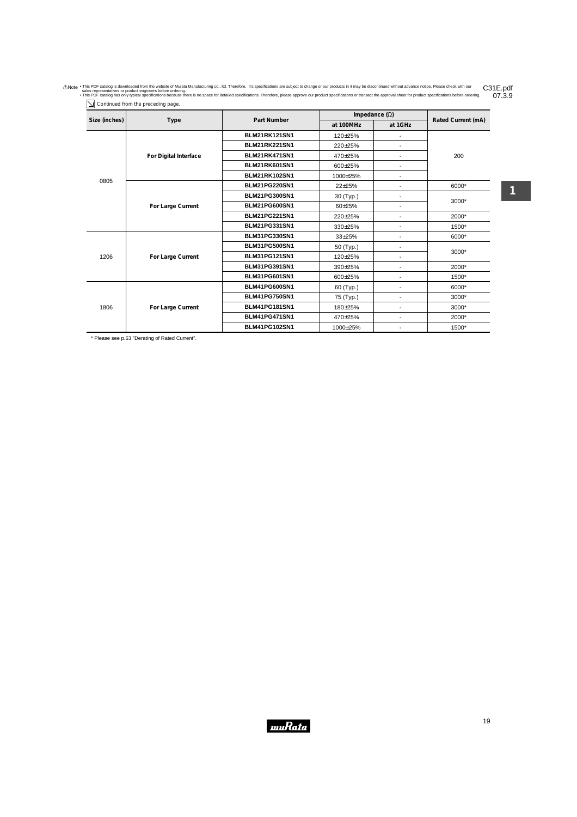Anote . This PDF catalog is downloaded from the website of Murata Manufacturing co., Itd. Therefore, it's specifications are subject to change or our products in it may be discontinued without advance notice. Please check 07.3.9

| Size (inches) |                       | <b>Part Number</b>   | Impedance $(\Omega)$ |                          |                    |
|---------------|-----------------------|----------------------|----------------------|--------------------------|--------------------|
|               | Type                  |                      | at 100MHz            | at 1GHz                  | Rated Current (mA) |
|               |                       | <b>BLM21RK121SN1</b> | 120±25%              |                          |                    |
|               |                       | <b>BLM21RK221SN1</b> | 220±25%              | $\overline{\phantom{a}}$ |                    |
|               | For Digital Interface | BLM21RK471SN1        | 470±25%              | $\overline{\phantom{0}}$ | 200                |
|               |                       | BLM21RK601SN1        | 600±25%              | $\overline{\phantom{a}}$ |                    |
|               |                       | <b>BLM21RK102SN1</b> | 1000±25%             | $\overline{\phantom{a}}$ |                    |
| 0805          |                       | <b>BLM21PG220SN1</b> | 22±25%               | -                        | 6000*              |
|               |                       | <b>BLM21PG300SN1</b> | 30 (Typ.)            | $\overline{\phantom{a}}$ | 3000*              |
|               | For Large Current     | <b>BLM21PG600SN1</b> | 60±25%               | $\overline{\phantom{a}}$ |                    |
|               |                       | <b>BLM21PG221SN1</b> | 220±25%              | $\overline{a}$           | 2000*              |
|               |                       | <b>BLM21PG331SN1</b> | 330±25%              | $\overline{\phantom{a}}$ | 1500*              |
|               |                       | <b>BLM31PG330SN1</b> | 33±25%               | $\overline{\phantom{a}}$ | 6000*              |
|               | For Large Current     | <b>BLM31PG500SN1</b> | 50 (Typ.)            | $\overline{\phantom{a}}$ |                    |
| 1206          |                       | <b>BLM31PG121SN1</b> | 120±25%              | $\overline{\phantom{a}}$ | 3000*              |
|               |                       | <b>BLM31PG391SN1</b> | 390±25%              | $\overline{\phantom{0}}$ | 2000*              |
|               |                       | <b>BLM31PG601SN1</b> | 600±25%              | $\overline{\phantom{a}}$ | 1500*              |
|               |                       | <b>BLM41PG600SN1</b> | 60 (Typ.)            | $\overline{\phantom{a}}$ | 6000*              |
|               |                       | BLM41PG750SN1        | 75 (Typ.)            | $\overline{a}$           | 3000*              |
| 1806          | For Large Current     | <b>BLM41PG181SN1</b> | 180±25%              | $\overline{\phantom{a}}$ | 3000*              |
|               |                       | <b>BLM41PG471SN1</b> | 470±25%              | $\overline{\phantom{a}}$ | 2000*              |
|               |                       | <b>BLM41PG102SN1</b> | 1000±25%             |                          | 1500*              |

\* Please see p.63 "Derating of Rated Current".

Continued from the preceding page.

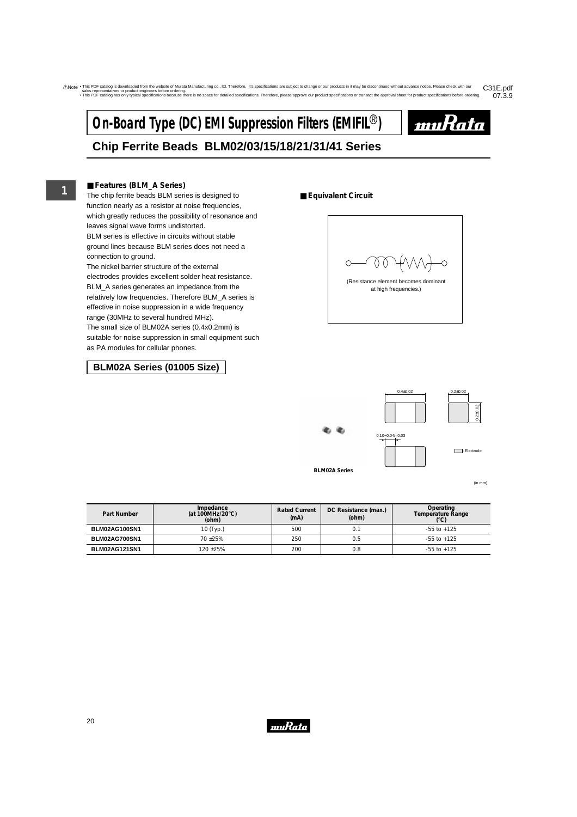# **On-Board Type (DC) EMI Suppression Filters (EMIFIL<sup>®</sup>)**



## **Chip Ferrite Beads BLM02/03/15/18/21/31/41 Series**

#### ■ **Features (BLM\_A Series)**

The chip ferrite beads BLM series is designed to function nearly as a resistor at noise frequencies, which greatly reduces the possibility of resonance and leaves signal wave forms undistorted. BLM series is effective in circuits without stable ground lines because BLM series does not need a connection to ground.

The nickel barrier structure of the external electrodes provides excellent solder heat resistance. BLM\_A series generates an impedance from the relatively low frequencies. Therefore BLM\_A series is effective in noise suppression in a wide frequency range (30MHz to several hundred MHz). The small size of BLM02A series (0.4x0.2mm) is suitable for noise suppression in small equipment such as PA modules for cellular phones.

## **BLM02A Series (01005 Size)**

#### ■ **Equivalent Circuit**





**BLM02A Series**

(in mm)

| Part Number   | Impedance<br>(at 100MHz/20 $\degree$ C)<br>(ohm) | <b>Rated Current</b><br>(mA) | DC Resistance (max.)<br>(ohm) | Operating<br>Temperature Range<br>$(^{\circ}C)$ |
|---------------|--------------------------------------------------|------------------------------|-------------------------------|-------------------------------------------------|
| BLM02AG100SN1 | 10 (Typ.)                                        | 500                          | 0.1                           | $-55$ to $+125$                                 |
| BLM02AG700SN1 | $70 + 25%$                                       | 250                          | 0.5                           | $-55$ to $+125$                                 |
| BLM02AG121SN1 | 120 ± 25%                                        | 200                          | 0.8                           | $-55$ to $+125$                                 |

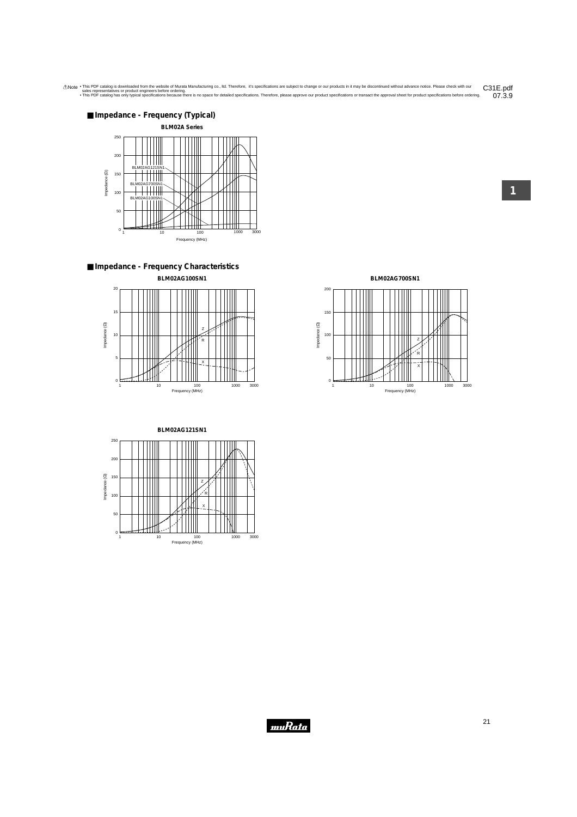

■ **Impedance - Frequency Characteristics BLM02AG100SN1**



**BLM02AG121SN1** 250 200 Impedance (2) 150 Impedance (Ω) Z 100 R llł X 50 tiill  $0 \nvert \nvert$ 1 10 100 1000 3000 Frequency (MHz)

**BLM02AG700SN1**

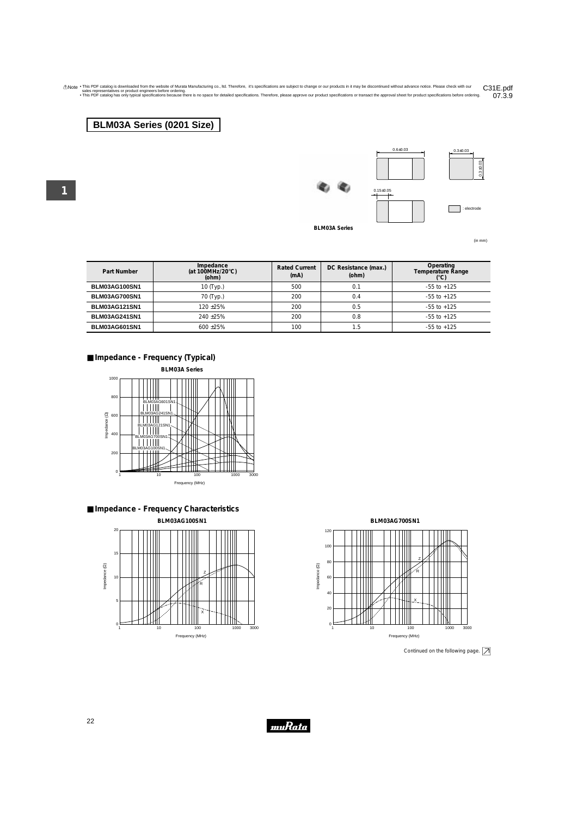## **BLM03A Series (0201 Size)**

**1**





**BLM03A Series**

(in mm)

| Part Number   | Impedance<br>(at 100MHz/20 $\degree$ C)<br>(ohm) | <b>Rated Current</b><br>(mA) | DC Resistance (max.)<br>(ohm) | Operating<br>Temperature Range<br>$(^{\circ}C)$ |
|---------------|--------------------------------------------------|------------------------------|-------------------------------|-------------------------------------------------|
| BLM03AG100SN1 | 10 (Typ.)                                        | 500                          | 0.1                           | $-55$ to $+125$                                 |
| BLM03AG700SN1 | 70 (Typ.)                                        | 200                          | 0.4                           | $-55$ to $+125$                                 |
| BLM03AG121SN1 | 120 + 25%                                        | 200                          | 0.5                           | $-55$ to $+125$                                 |
| BLM03AG241SN1 | $240 + 25%$                                      | 200                          | 0.8                           | $-55$ to $+125$                                 |
| BLM03AG601SN1 | $600 + 25\%$                                     | 100                          | 5.،                           | $-55$ to $+125$                                 |

### ■ **Impedance - Frequency (Typical)**









Continued on the following page.  $\boxed{\nearrow}$ 



22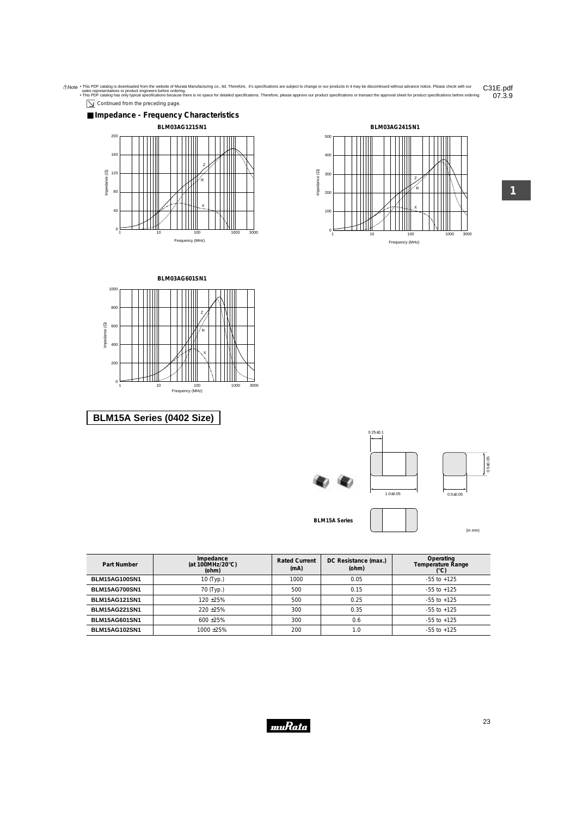



07.3.9



1 10 100 1000 3000 Frequency (MHz)

 $\frac{1}{2}$ 

Ŕ

X

 $0<sub>1</sub>$ 

40

80



## **BLM15A Series (0402 Size)**

|            | $0.25 + 0.1$ |                                |
|------------|--------------|--------------------------------|
|            | $1.0 + 0.05$ | $0.5 + 0.05$<br>$0.5 \pm 0.05$ |
| 15A Series |              | (in mm)                        |

Frequency (MHz)

1 10 100 1000 3000

R

Z

X

 $\mathbf{0}$ 

100

200

| Part Number          | Impedance<br>(at 100MHz/20 $\degree$ C)<br>(ohm) | <b>Rated Current</b><br>(mA) | DC Resistance (max.)<br>(ohm) | Operating<br><b>Temperature Range</b><br>$(^{\circ}C)$ |
|----------------------|--------------------------------------------------|------------------------------|-------------------------------|--------------------------------------------------------|
| <b>BLM15AG100SN1</b> | 10 (Typ.)                                        | 1000                         | 0.05                          | $-55$ to $+125$                                        |
| <b>BLM15AG700SN1</b> | 70 (Typ.)                                        | 500                          | 0.15                          | $-55$ to $+125$                                        |
| <b>BLM15AG121SN1</b> | $120 + 25%$                                      | 500                          | 0.25                          | $-55$ to $+125$                                        |
| <b>BLM15AG221SN1</b> | $220 + 25%$                                      | 300                          | 0.35                          | $-55$ to $+125$                                        |
| <b>BLM15AG601SN1</b> | $600 + 25%$                                      | 300                          | 0.6                           | $-55$ to $+125$                                        |
| <b>BLM15AG102SN1</b> | $1000 + 25%$                                     | 200                          | 1.0                           | $-55$ to $+125$                                        |

**BLM15A Series**



(in mm)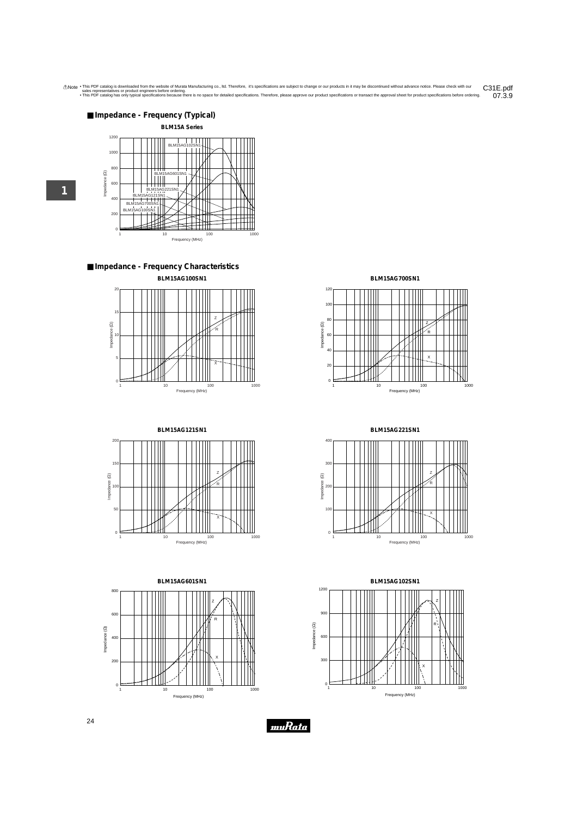

■ **Impedance - Frequency Characteristics BLM15AG100SN1**



**BLM15AG121SN1** 200 150 Z Impedance (22) Impedance (Ω) R 100 50 X  $\mathbf{0}$ 1 10 100 100 1000 1000 Frequency (MHz)

**BLM15AG601SN1** 800 Z 600 R Impedance (22) Impedance (Ω) 400 X 200  $\circ$ 1 10 100 100 1000 Frequency (MHz)

**BLM15AG700SN1**



**BLM15AG221SN1**





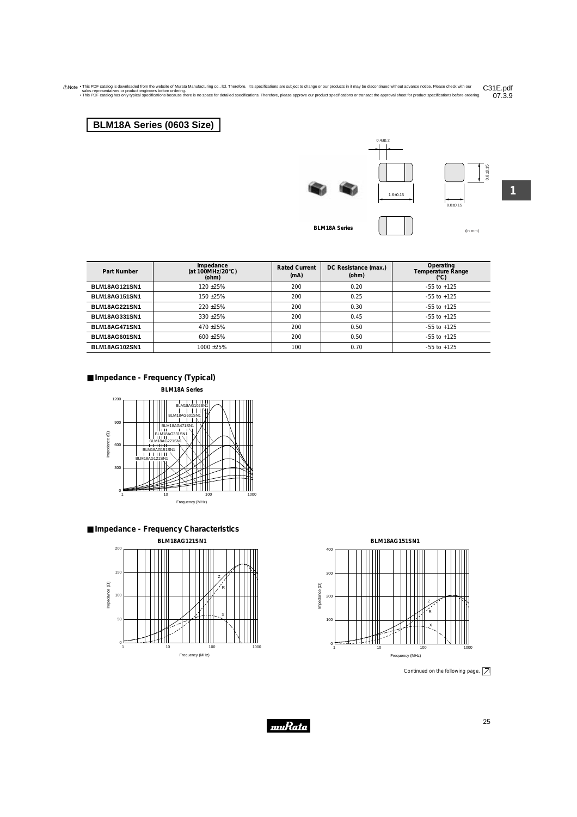## **BLM18A Series (0603 Size)**







(in mm) **BLM18A Series**

**1**

| Part Number          | Impedance<br>(at 100MHz/20 $\degree$ C)<br>(ohm) | <b>Rated Current</b><br>(mA) | DC Resistance (max.)<br>(ohm) | Operating<br><b>Temperature Range</b><br>(°C) |
|----------------------|--------------------------------------------------|------------------------------|-------------------------------|-----------------------------------------------|
| <b>BLM18AG121SN1</b> | $120 + 25%$                                      | 200                          | 0.20                          | $-55$ to $+125$                               |
| <b>BLM18AG151SN1</b> | 150 +25%                                         | 200                          | 0.25                          | $-55$ to $+125$                               |
| <b>BLM18AG221SN1</b> | $220 + 25%$                                      | 200                          | 0.30                          | $-55$ to $+125$                               |
| <b>BLM18AG331SN1</b> | $330 + 25%$                                      | 200                          | 0.45                          | $-55$ to $+125$                               |
| BLM18AG471SN1        | $470 + 25%$                                      | 200                          | 0.50                          | $-55$ to $+125$                               |
| <b>BLM18AG601SN1</b> | $600 + 25%$                                      | 200                          | 0.50                          | $-55$ to $+125$                               |
| <b>BLM18AG102SN1</b> | $1000 + 25%$                                     | 100                          | 0.70                          | $-55$ to $+125$                               |



**BLM18A Series**



■ **Impedance - Frequency Characteristics**





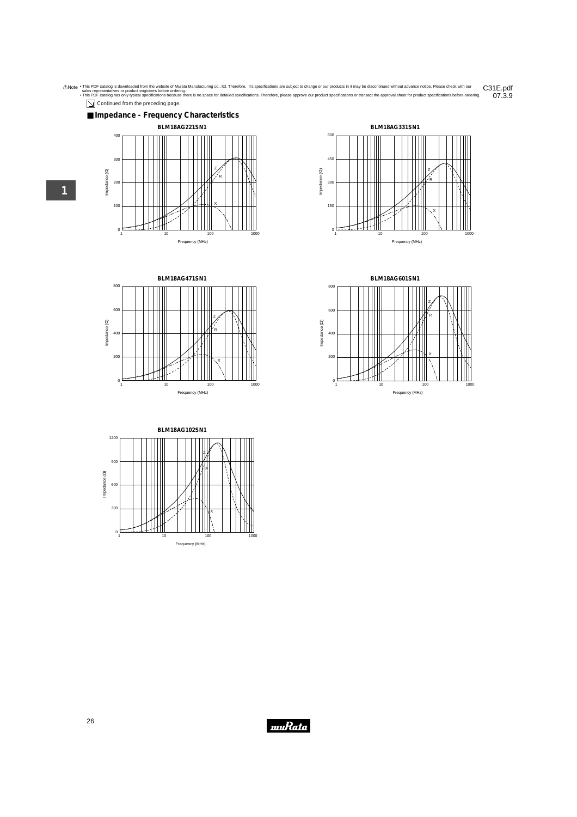

 $\boxed{\searrow}$  Continued from the preceding page.









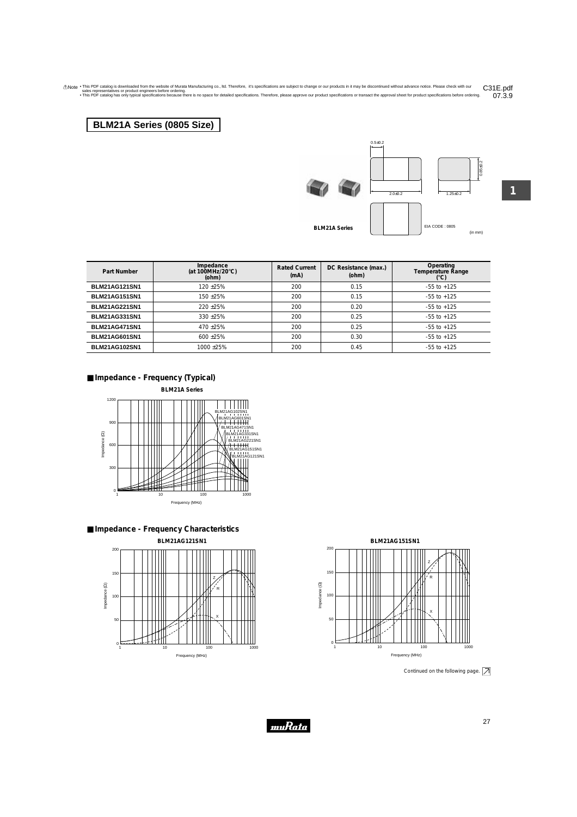Anote . This PDF catalog is downloaded from the website of Murata Manufacturing co., Itd. Therefore, it's specifications are subject to change or our products in it may be discontinued without advance notice. Please check 07.3.9

## **BLM21A Series (0805 Size)**



 $0.5 \pm 0.2$ 



**1**

0.85±0.2

**BLM21A Series**

EIA CODE : 0805 (in mm)

| Part Number          | Impedance<br>(at 100MHz/20 $\degree$ C)<br>(ohm) | <b>Rated Current</b><br>(mA) | DC Resistance (max.)<br>(ohm) | Operating<br>Temperature Range<br>(°C) |
|----------------------|--------------------------------------------------|------------------------------|-------------------------------|----------------------------------------|
| <b>BLM21AG121SN1</b> | $120 + 25%$                                      | 200                          | 0.15                          | $-55$ to $+125$                        |
| <b>BLM21AG151SN1</b> | $150 + 25%$                                      | 200                          | 0.15                          | $-55$ to $+125$                        |
| <b>BLM21AG221SN1</b> | $220 + 25%$                                      | 200                          | 0.20                          | $-55$ to $+125$                        |
| <b>BLM21AG331SN1</b> | $330 + 25%$                                      | 200                          | 0.25                          | $-55$ to $+125$                        |
| <b>BLM21AG471SN1</b> | $470 + 25%$                                      | 200                          | 0.25                          | $-55$ to $+125$                        |
| <b>BLM21AG601SN1</b> | $600 + 25%$                                      | 200                          | 0.30                          | $-55$ to $+125$                        |
| <b>BLM21AG102SN1</b> | 1000 ±25%                                        | 200                          | 0.45                          | $-55$ to $+125$                        |









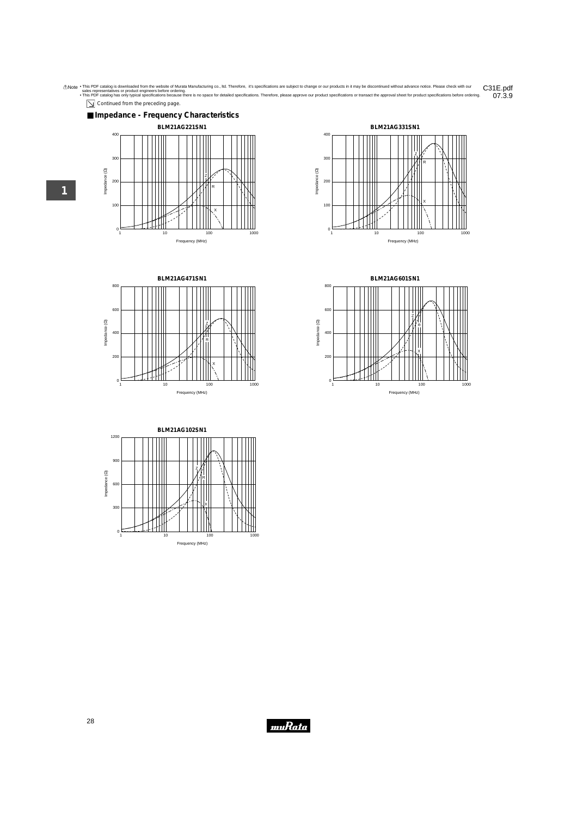Anote . This PDF catalog is downloaded from the website of Murata Manufacturing co., Itd. Therefore, it's specifications are subject to change or our products in it may be discontinued without advance notice. Please check C31E.pdf<br>07.3.9

 $\boxed{\searrow}$  Continued from the preceding page.











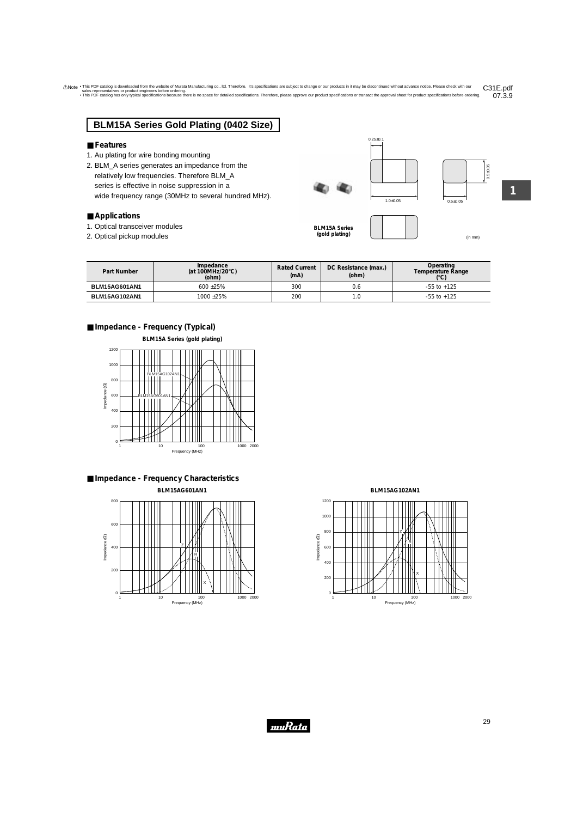## **BLM15A Series Gold Plating (0402 Size)**

#### ■ **Features**

- 1. Au plating for wire bonding mounting
- 2. BLM\_A series generates an impedance from the relatively low frequencies. Therefore BLM\_A series is effective in noise suppression in a wide frequency range (30MHz to several hundred MHz).

#### ■ **Applications**

- 1. Optical transceiver modules
- 2. Optical pickup modules and the contract of the contract of the contract of the contract of the contract of the contract of the contract of the contract of the contract of the contract of the contract of the contract of

**BLM15A Series (gold plating)**

**1**

| Part Number   | Impedance<br>(at 100MHz/20 $\degree$ C)<br>(ohm) | <b>Rated Current</b><br>(mA) | DC Resistance (max.)<br>(ohm) | Operating<br>Temperature Range<br>(°C) |
|---------------|--------------------------------------------------|------------------------------|-------------------------------|----------------------------------------|
| BLM15AG601AN1 | $600 + 25\%$                                     | 300                          | 0.6                           | $-55$ to $+125$                        |
| BLM15AG102AN1 | $1000 + 25%$                                     | 200                          | 0. ا                          | $-55$ to $+125$                        |

muRata

### ■ **Impedance - Frequency (Typical)**



■ **Impedance - Frequency Characteristics BLM15AG601AN1**



**BLM15AG102AN1**





 $0.25 \pm 0.1$ 

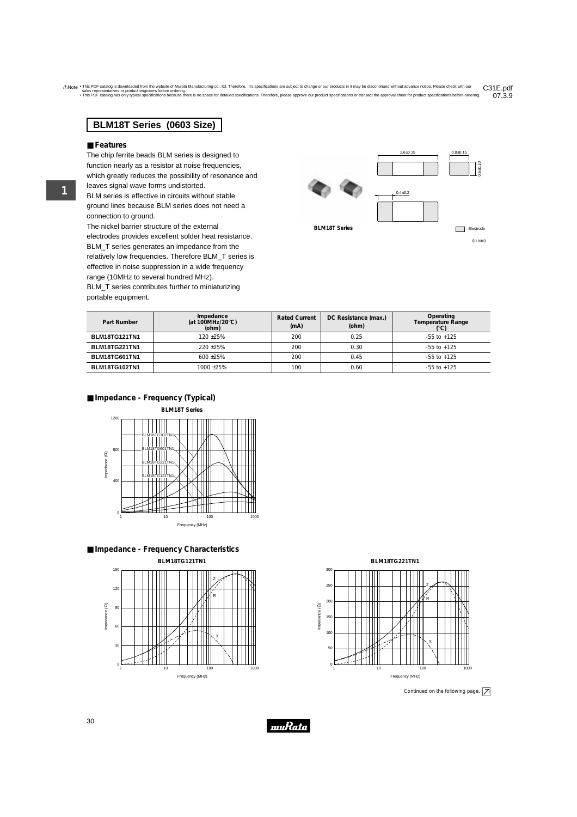## **BLM18T Series (0603 Size)**

#### ■ **Features**

The chip ferrite beads BLM series is designed to function nearly as a resistor at noise frequencies, which greatly reduces the possibility of resonance and leaves signal wave forms undistorted. BLM series is effective in circuits without stable ground lines because BLM series does not need a connection to ground.

The nickel barrier structure of the external electrodes provides excellent solder heat resistance. BLM\_T series generates an impedance from the relatively low frequencies. Therefore BLM\_T series is effective in noise suppression in a wide frequency range (10MHz to several hundred MHz).

BLM\_T series contributes further to miniaturizing portable equipment.





| Part Number          | Impedance<br>(at 100MHz/20 $\degree$ C)<br>(ohm) | <b>Rated Current</b><br>(mA) | DC Resistance (max.)<br>(ohm) | Operating<br>Temperature Range |
|----------------------|--------------------------------------------------|------------------------------|-------------------------------|--------------------------------|
| <b>BLM18TG121TN1</b> | $120 + 25%$                                      | 200                          | 0.25                          | $-55$ to $+125$                |
| <b>BLM18TG221TN1</b> | $220 + 25%$                                      | 200                          | 0.30                          | $-55$ to $+125$                |
| BLM18TG601TN1        | $600 + 25%$                                      | 200                          | 0.45                          | $-55$ to $+125$                |
| <b>BLM18TG102TN1</b> | $1000 + 25%$                                     | 100                          | 0.60                          | $-55$ to $+125$                |
|                      |                                                  |                              |                               |                                |

## ■ **Impedance - Frequency (Typical)**









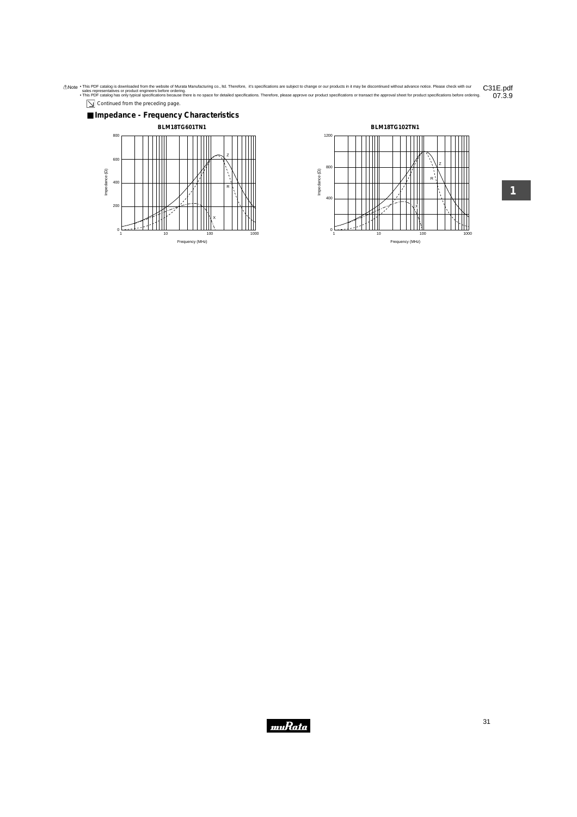Anote . This PDF catalog is downloaded from the website of Murata Manufacturing co., Itd. Therefore, it's specifications are subject to change or our products in it may be discontinued without advance notice. Please check  $07.3.9$ 

Continued from the preceding page.



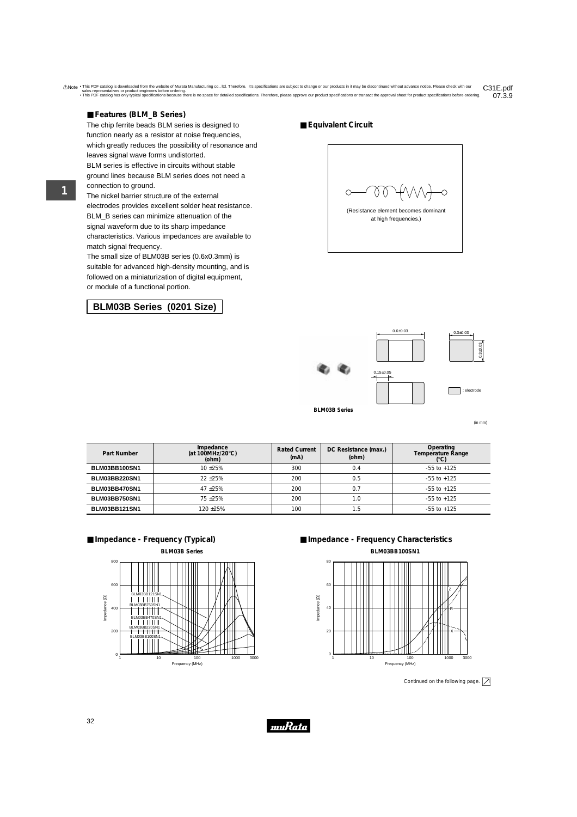### ■ **Features (BLM\_B Series)**

The chip ferrite beads BLM series is designed to function nearly as a resistor at noise frequencies, which greatly reduces the possibility of resonance and leaves signal wave forms undistorted. BLM series is effective in circuits without stable ground lines because BLM series does not need a connection to ground.

The nickel barrier structure of the external electrodes provides excellent solder heat resistance. BLM B series can minimize attenuation of the signal waveform due to its sharp impedance characteristics. Various impedances are available to match signal frequency.

The small size of BLM03B series (0.6x0.3mm) is suitable for advanced high-density mounting, and is followed on a miniaturization of digital equipment, or module of a functional portion.

## **BLM03B Series (0201 Size)**

■ **Equivalent Circuit** 

(Resistance element becomes dominant at high frequencies.)



(in mm)

| Part Number          | Impedance<br>(at 100MHz/20 $\degree$ C)<br>(ohm) | <b>Rated Current</b><br>(mA) | DC Resistance (max.)<br>(ohm) | Operating<br>Temperature Range<br>(°C) |
|----------------------|--------------------------------------------------|------------------------------|-------------------------------|----------------------------------------|
| <b>BLM03BB100SN1</b> | $10 + 25%$                                       | 300                          | 0.4                           | $-55$ to $+125$                        |
| <b>BLM03BB220SN1</b> | $22 + 25%$                                       | 200                          | 0.5                           | $-55$ to $+125$                        |
| BLM03BB470SN1        | $47 + 25%$                                       | 200                          | 0.7                           | $-55$ to $+125$                        |
| BLM03BB750SN1        | $75 + 25%$                                       | 200                          | 1.0                           | $-55$ to $+125$                        |
| <b>BLM03BB121SN1</b> | 120 ± 25%                                        | 100                          | 1.5                           | $-55$ to $+125$                        |





## ■ **Impedance - Frequency Characteristics**



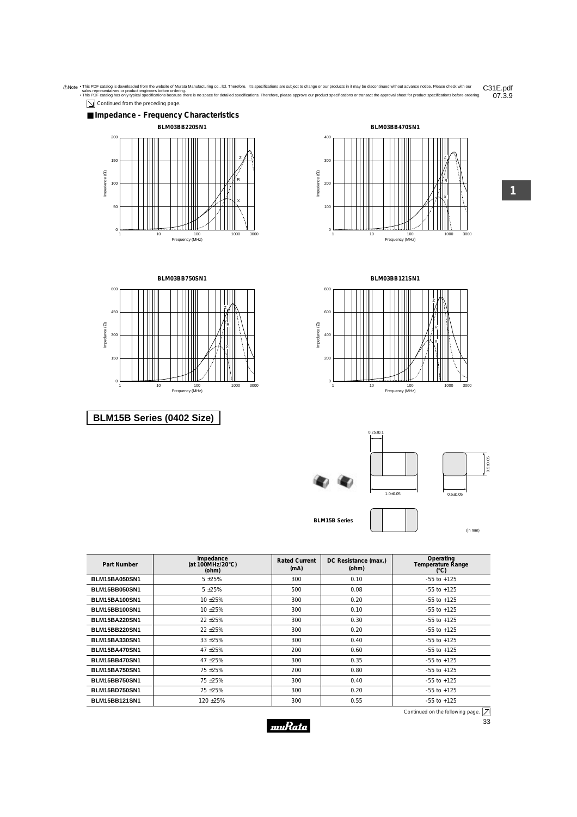

| ŧ<br>ń | í<br>ì |  |
|--------|--------|--|





**BLM15B Series**

(in mm)

| Part Number          | Impedance<br>(at 100MHz/20 $\degree$ C)<br>(ohm) | <b>Rated Current</b><br>(mA) | DC Resistance (max.)<br>(ohm) | Operating<br>Temperature Range<br>(°C) |
|----------------------|--------------------------------------------------|------------------------------|-------------------------------|----------------------------------------|
| <b>BLM15BA050SN1</b> | $5 + 25%$                                        | 300                          | 0.10                          | $-55$ to $+125$                        |
| <b>BLM15BB050SN1</b> | $5 + 25%$                                        | 500                          | 0.08                          | $-55$ to $+125$                        |
| <b>BLM15BA100SN1</b> | 10 ± 25%                                         | 300                          | 0.20                          | $-55$ to $+125$                        |
| <b>BLM15BB100SN1</b> | 10 ± 25%                                         | 300                          | 0.10                          | $-55$ to $+125$                        |
| <b>BLM15BA220SN1</b> | 22 ± 25%                                         | 300                          | 0.30                          | $-55$ to $+125$                        |
| <b>BLM15BB220SN1</b> | 22 ± 25%                                         | 300                          | 0.20                          | $-55$ to $+125$                        |
| <b>BLM15BA330SN1</b> | 33 ± 25%                                         | 300                          | 0.40                          | $-55$ to $+125$                        |
| <b>BLM15BA470SN1</b> | 47 ±25%                                          | 200                          | 0.60                          | $-55$ to $+125$                        |
| <b>BLM15BB470SN1</b> | 47 ±25%                                          | 300                          | 0.35                          | $-55$ to $+125$                        |
| <b>BLM15BA750SN1</b> | 75 ±25%                                          | 200                          | 0.80                          | $-55$ to $+125$                        |
| <b>BLM15BB750SN1</b> | 75 ±25%                                          | 300                          | 0.40                          | $-55$ to $+125$                        |
| <b>BLM15BD750SN1</b> | 75 ±25%                                          | 300                          | 0.20                          | $-55$ to $+125$                        |
| <b>BLM15BB121SN1</b> | 120 ± 25%                                        | 300                          | 0.55                          | $-55$ to $+125$                        |

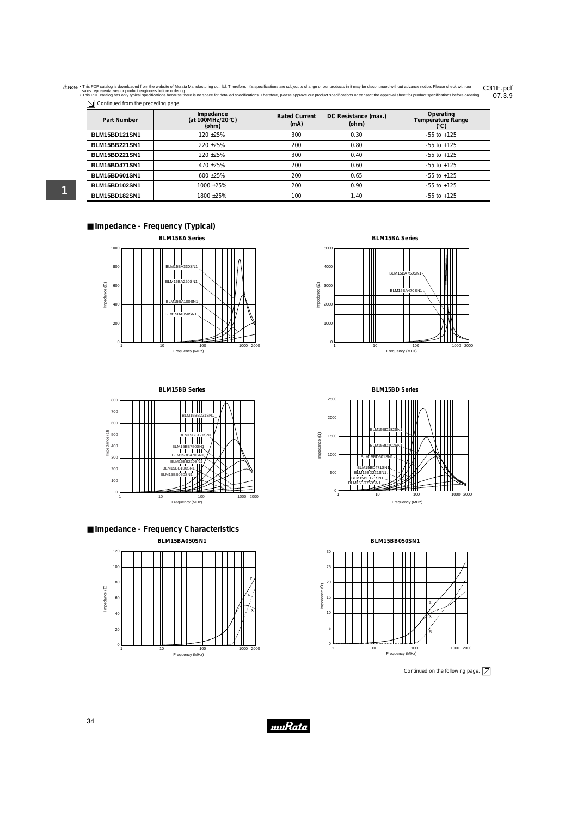Anote . This PDF catalog is downloaded from the website of Murata Manufacturing co., Itd. Therefore, it's specifications are subject to change or our products in it may be discontinued without advance notice. Please check 07.3.9

| $\overline{\searrow}$ Continued from the preceding page. |  |  |
|----------------------------------------------------------|--|--|
|                                                          |  |  |

| Part Number          | Impedance<br>(at 100MHz/20 $\degree$ C)<br>(ohm) | <b>Rated Current</b><br>(mA) | DC Resistance (max.)<br>(ohm) | Operating<br><b>Temperature Range</b><br>(°C) |
|----------------------|--------------------------------------------------|------------------------------|-------------------------------|-----------------------------------------------|
| <b>BLM15BD121SN1</b> | $120 + 25%$                                      | 300                          | 0.30                          | $-55$ to $+125$                               |
| <b>BLM15BB221SN1</b> | $220 + 25%$                                      | 200                          | 0.80                          | $-55$ to $+125$                               |
| <b>BLM15BD221SN1</b> | $220 + 25%$                                      | 300                          | 0.40                          | $-55$ to $+125$                               |
| <b>BLM15BD471SN1</b> | $470 + 25%$                                      | 200                          | 0.60                          | $-55$ to $+125$                               |
| <b>BLM15BD601SN1</b> | $600 + 25\%$                                     | 200                          | 0.65                          | $-55$ to $+125$                               |
| <b>BLM15BD102SN1</b> | $1000 + 25%$                                     | 200                          | 0.90                          | $-55$ to $+125$                               |
| <b>BLM15BD182SN1</b> | 1800+25%                                         | 100                          | 1.40                          | $-55$ to $+125$                               |

## ■ **Impedance - Frequency (Typical)**



**BLM15BB Series**



■ **Impedance - Frequency Characteristics BLM15BA050SN1**



**BLM15BA Series**



**BLM15BD Series**



**BLM15BB050SN1**



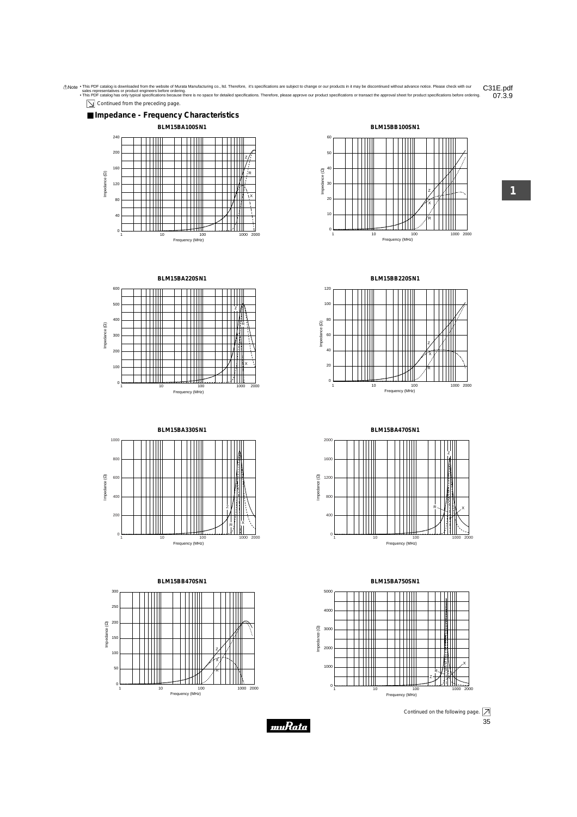

 $\boxed{\searrow}$  Continued from the preceding page.





10 100 1000 1000 2000

R X







**BLM15BB470SN1** 300 250  $\widehat{a}$  200 Impedance (Ω) mpedance 150 Z 100 X 50 ║ R 0 1000 2000 1 10 100 Frequency (MHz)

**BLM15BB220SN1**

Frequency (MHz)

π

Π

Impedance (Ω)

Impedance (2)



**BLM15BA470SN1**



**BLM15BA750SN1**



muRata

**1**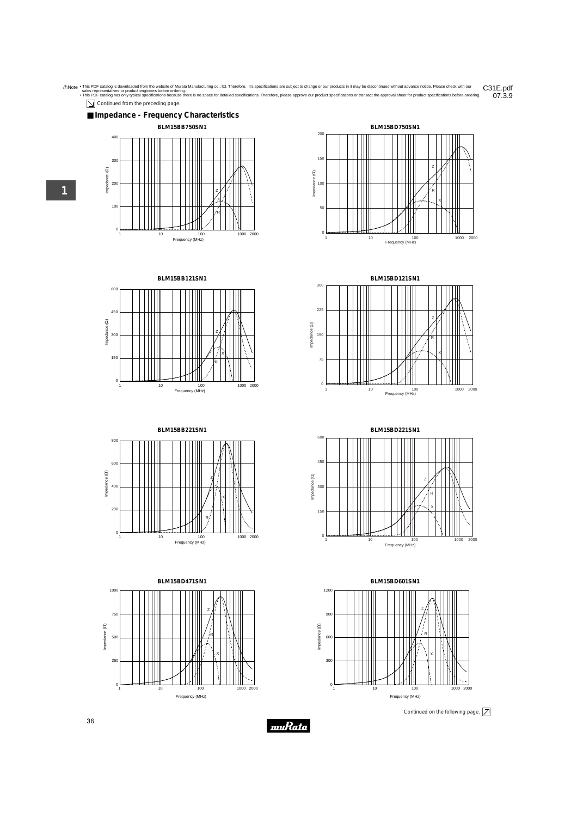

 $\boxed{\searrow}$  Continued from the preceding page.













**BLM15BD221SN1** 600 450 Impedance  $(\Omega)$ Impedance (Ω) Z 30 R X 150 0 2000 1 10 100 100 1000 Frequency (MHz)



**1**

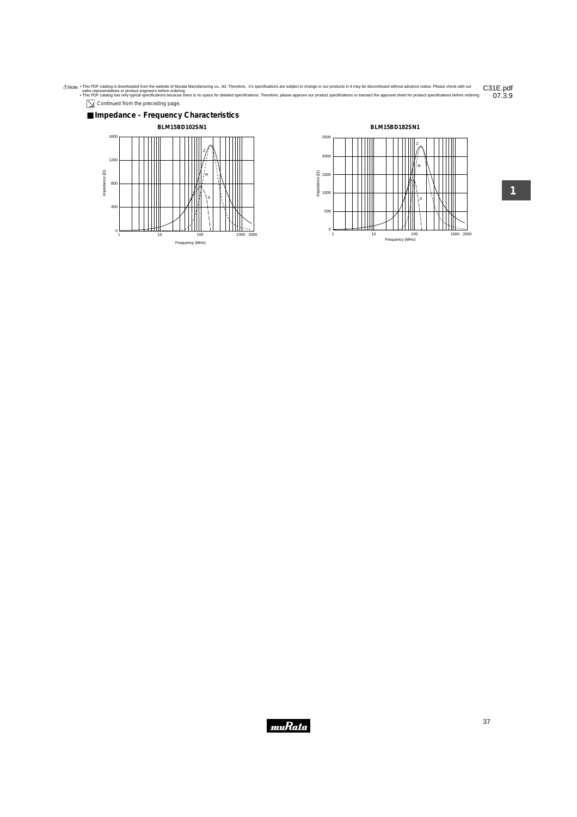Anote . This PDF catalog is downloaded from the website of Murata Manufacturing co., Itd. Therefore, it's specifications are subject to change or our products in it may be discontinued without advance notice. Please check  $07.3.9$ 

Continued from the preceding page.



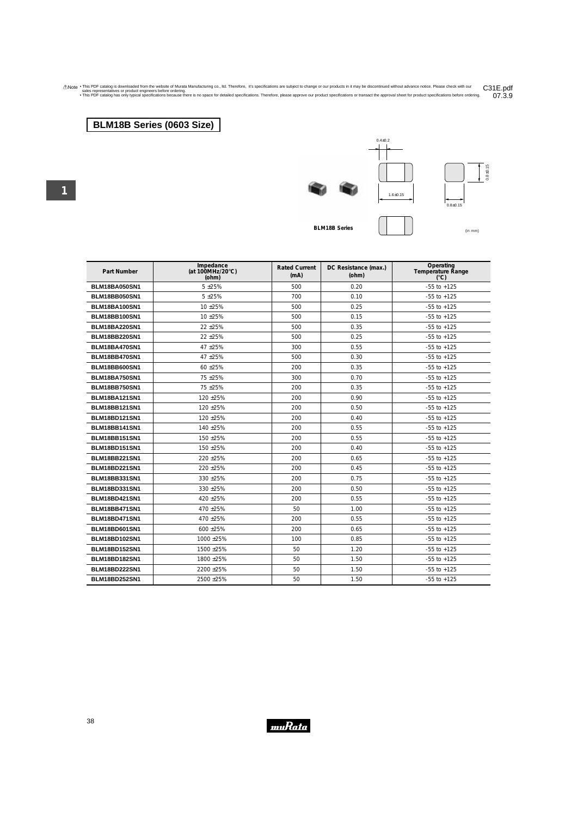Anote . This PDF catalog is downloaded from the website of Murata Manufacturing co., Itd. Therefore, it's specifications are subject to change or our products in it may be discontinued without advance notice. Please check C31E.pdf<br>07.3.9

## **BLM18B Series (0603 Size)**







**BLM18B** Series  $\begin{pmatrix} 1 & 1 \end{pmatrix}$ 

| <b>Part Number</b>   | Impedance<br>(at 100MHz/20 $\degree$ C)<br>(ohm) | <b>Rated Current</b><br>(mA) | DC Resistance (max.)<br>(ohm) | Operating<br>Temperature Range<br>$(^{\circ}C)$ |
|----------------------|--------------------------------------------------|------------------------------|-------------------------------|-------------------------------------------------|
| <b>BLM18BA050SN1</b> | $5 + 25%$                                        | 500                          | 0.20                          | $-55$ to $+125$                                 |
| <b>BLM18BB050SN1</b> | $5 + 25%$                                        | 700                          | 0.10                          | $-55$ to $+125$                                 |
| <b>BLM18BA100SN1</b> | 10 ±25%                                          | 500                          | 0.25                          | $-55$ to $+125$                                 |
| <b>BLM18BB100SN1</b> | 10 ± 25%                                         | 500                          | 0.15                          | $-55$ to $+125$                                 |
| <b>BLM18BA220SN1</b> | 22 ± 25%                                         | 500                          | 0.35                          | $-55$ to $+125$                                 |
| <b>BLM18BB220SN1</b> | 22 ± 25%                                         | 500                          | 0.25                          | $-55$ to $+125$                                 |
| <b>BLM18BA470SN1</b> | 47 ±25%                                          | 300                          | 0.55                          | $-55$ to $+125$                                 |
| <b>BLM18BB470SN1</b> | 47 ±25%                                          | 500                          | 0.30                          | $-55$ to $+125$                                 |
| <b>BLM18BB600SN1</b> | 60 ± 25%                                         | 200                          | 0.35                          | $-55$ to $+125$                                 |
| <b>BLM18BA750SN1</b> | 75 ± 25%                                         | 300                          | 0.70                          | $-55$ to $+125$                                 |
| <b>BLM18BB750SN1</b> | 75 ± 25%                                         | 200                          | 0.35                          | $-55$ to $+125$                                 |
| <b>BLM18BA121SN1</b> | 120 ±25%                                         | 200                          | 0.90                          | $-55$ to $+125$                                 |
| <b>BLM18BB121SN1</b> | 120 ±25%                                         | 200                          | 0.50                          | $-55$ to $+125$                                 |
| <b>BLM18BD121SN1</b> | 120 ±25%                                         | 200                          | 0.40                          | $-55$ to $+125$                                 |
| <b>BLM18BB141SN1</b> | 140 ±25%                                         | 200                          | 0.55                          | $-55$ to $+125$                                 |
| <b>BLM18BB151SN1</b> | 150 ±25%                                         | 200                          | 0.55                          | $-55$ to $+125$                                 |
| <b>BLM18BD151SN1</b> | 150 ±25%                                         | 200                          | 0.40                          | $-55$ to $+125$                                 |
| <b>BLM18BB221SN1</b> | 220 ± 25%                                        | 200                          | 0.65                          | $-55$ to $+125$                                 |
| <b>BLM18BD221SN1</b> | 220 ± 25%                                        | 200                          | 0.45                          | $-55$ to $+125$                                 |
| <b>BLM18BB331SN1</b> | 330 ± 25%                                        | 200                          | 0.75                          | $-55$ to $+125$                                 |
| <b>BLM18BD331SN1</b> | 330 ± 25%                                        | 200                          | 0.50                          | $-55$ to $+125$                                 |
| <b>BLM18BD421SN1</b> | 420 ± 25%                                        | 200                          | 0.55                          | $-55$ to $+125$                                 |
| <b>BLM18BB471SN1</b> | 470 ±25%                                         | 50                           | 1.00                          | $-55$ to $+125$                                 |
| <b>BLM18BD471SN1</b> | 470 ±25%                                         | 200                          | 0.55                          | $-55$ to $+125$                                 |
| <b>BLM18BD601SN1</b> | 600 ± 25%                                        | 200                          | 0.65                          | $-55$ to $+125$                                 |
| <b>BLM18BD102SN1</b> | 1000 ±25%                                        | 100                          | 0.85                          | $-55$ to $+125$                                 |
| <b>BLM18BD152SN1</b> | 1500 ±25%                                        | 50                           | 1.20                          | $-55$ to $+125$                                 |
| <b>BLM18BD182SN1</b> | 1800 ±25%                                        | 50                           | 1.50                          | $-55$ to $+125$                                 |
| <b>BLM18BD222SN1</b> | 2200 ± 25%                                       | 50                           | 1.50                          | $-55$ to $+125$                                 |
| <b>BLM18BD252SN1</b> | 2500 ± 25%                                       | 50                           | 1.50                          | $-55$ to $+125$                                 |

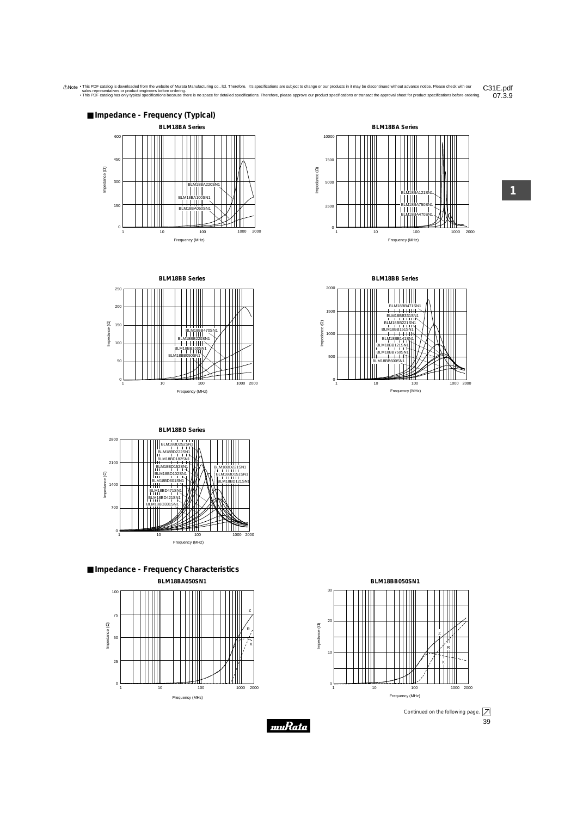



**BLM18BB Series**



**BLM18BB Series**











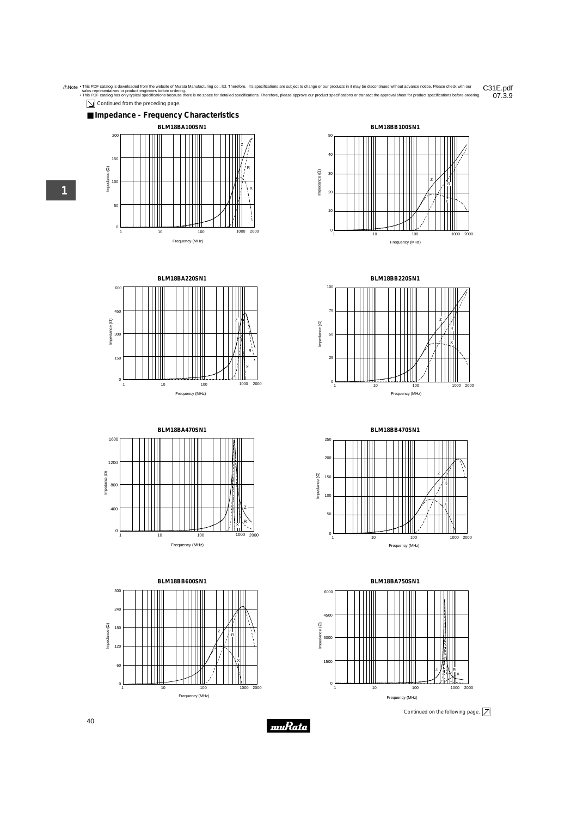

 $\boxed{\searrow}$  Continued from the preceding page.





**1**







**BLM18BB220SN1**



**BLM18BB470SN1**



**BLM18BA750SN1**



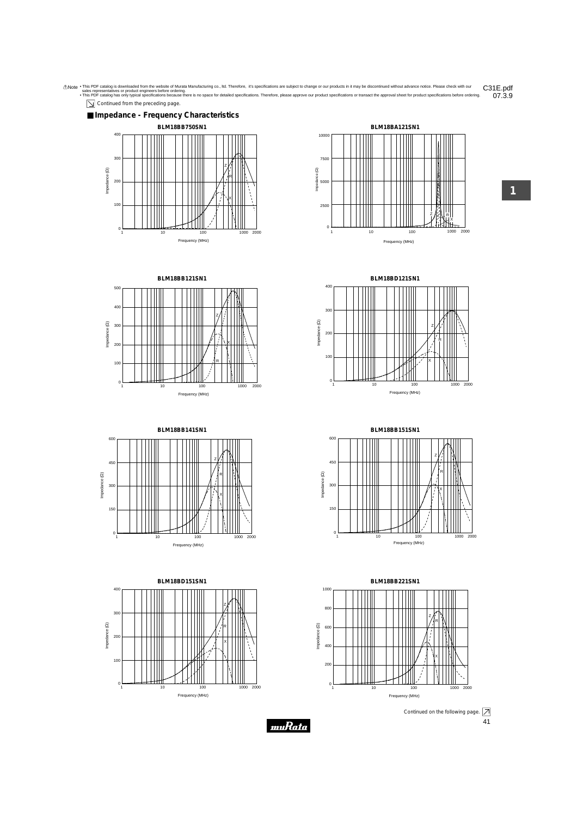Anote . This PDF catalog is downloaded from the website of Murata Manufacturing co., Itd. Therefore, it's specifications are subject to change or our products in it may be discontinued without advance notice. Please check 07.3.9





**BLM18BB121SN1** 500 400 300 100 200 Z R X

Frequency (MHz)

1 10 100 1000 2000



 $\Omega$ 

Impedance (Ω)

Impedance (2)

Frequency (MHz)









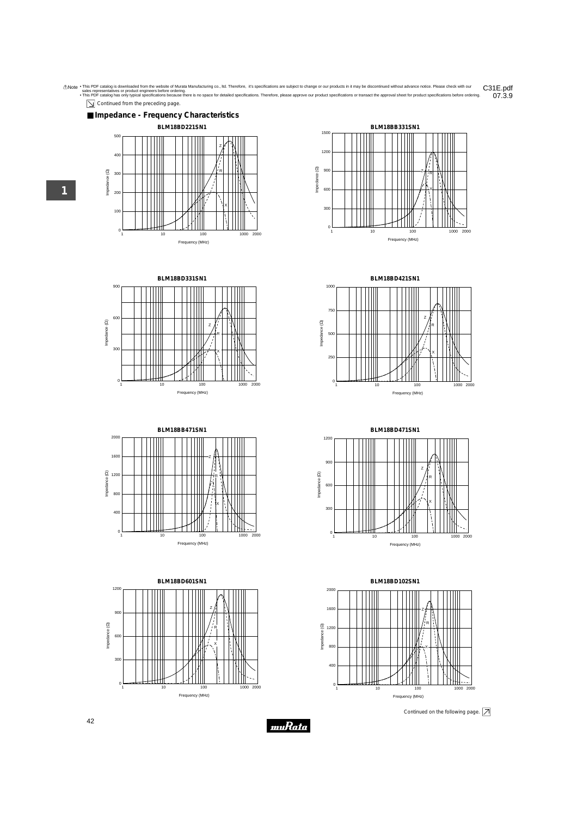

 $\boxed{\searrow}$  Continued from the preceding page.











**1**

**BLM18BD421SN1**



**BLM18BD471SN1** 1200 900 Z Impedance (22) Impedance (Ω) R 600 X 300 0 10 100 1000 2000 Frequency (MHz)



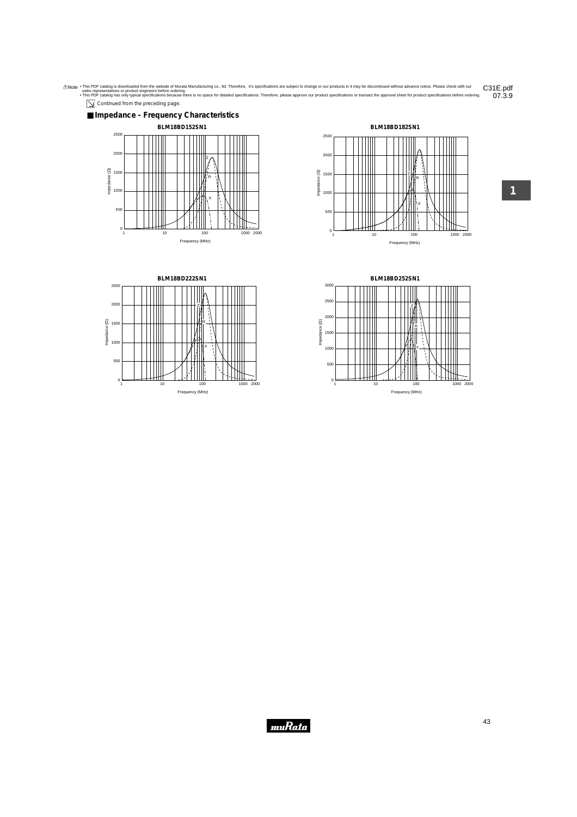









**B L M 1 8B D 252S N 1** 3 0 0 0 2 5 0 0 ń, 2 0 0 0 Impedance (22) Impedance (Ω)  $\prod_{\mathsf{x}}^{\mathsf{R}}$ 1 5 0 0 1 0 0 0 5 0 ە<br>0  $\mathbb{R}$  $\overline{0}$ 1 1 0 1 0 0 1000 2000 Frequency (MHz)

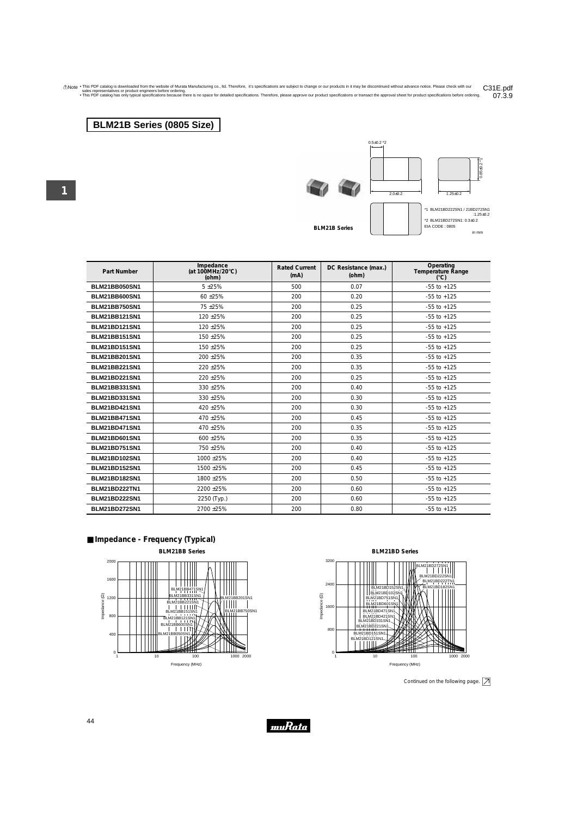Anote . This PDF catalog is downloaded from the website of Murata Manufacturing co., Itd. Therefore, it's specifications are subject to change or our products in it may be discontinued without advance notice. Please check 07.3.9

## **BLM21B Series (0805 Size)**

**1**

 $0.5 \pm 0.2$  \*2



**BLM21B Series**



 $0.85 \pm 0.2$  \*1

 $.85 \pm 0.2$  \*

| <b>Part Number</b>   | Impedance<br>(at 100MHz/20 $\degree$ C)<br>(ohm) | <b>Rated Current</b><br>(mA) | DC Resistance (max.)<br>(ohm) | Operating<br>Temperature Range<br>(C) |
|----------------------|--------------------------------------------------|------------------------------|-------------------------------|---------------------------------------|
| <b>BLM21BB050SN1</b> | $5 + 25%$                                        | 500                          | 0.07                          | $-55$ to $+125$                       |
| <b>BLM21BB600SN1</b> | 60 ±25%                                          | 200                          | 0.20                          | $-55$ to $+125$                       |
| <b>BLM21BB750SN1</b> | 75 ±25%                                          | 200                          | 0.25                          | $-55$ to $+125$                       |
| <b>BLM21BB121SN1</b> | 120 ± 25%                                        | 200                          | 0.25                          | $-55$ to $+125$                       |
| <b>BLM21BD121SN1</b> | 120 ± 25%                                        | 200                          | 0.25                          | $-55$ to $+125$                       |
| <b>BLM21BB151SN1</b> | 150 ± 25%                                        | 200                          | 0.25                          | $-55$ to $+125$                       |
| <b>BLM21BD151SN1</b> | 150 ± 25%                                        | 200                          | 0.25                          | $-55$ to $+125$                       |
| <b>BLM21BB201SN1</b> | 200 ± 25%                                        | 200                          | 0.35                          | $-55$ to $+125$                       |
| <b>BLM21BB221SN1</b> | 220 ± 25%                                        | 200                          | 0.35                          | $-55$ to $+125$                       |
| <b>BLM21BD221SN1</b> | 220 ± 25%                                        | 200                          | 0.25                          | $-55$ to $+125$                       |
| <b>BLM21BB331SN1</b> | 330 ± 25%                                        | 200                          | 0.40                          | $-55$ to $+125$                       |
| <b>BLM21BD331SN1</b> | $330 + 25%$                                      | 200                          | 0.30                          | $-55$ to $+125$                       |
| <b>BLM21BD421SN1</b> | 420 ± 25%                                        | 200                          | 0.30                          | $-55$ to $+125$                       |
| <b>BLM21BB471SN1</b> | 470 ±25%                                         | 200                          | 0.45                          | $-55$ to $+125$                       |
| <b>BLM21BD471SN1</b> | 470 ±25%                                         | 200                          | 0.35                          | $-55$ to $+125$                       |
| <b>BLM21BD601SN1</b> | 600 ±25%                                         | 200                          | 0.35                          | $-55$ to $+125$                       |
| <b>BLM21BD751SN1</b> | 750 + 25%                                        | 200                          | 0.40                          | $-55$ to $+125$                       |
| <b>BLM21BD102SN1</b> | 1000 ±25%                                        | 200                          | 0.40                          | $-55$ to $+125$                       |
| <b>BLM21BD152SN1</b> | 1500 ± 25%                                       | 200                          | 0.45                          | $-55$ to $+125$                       |
| <b>BLM21BD182SN1</b> | 1800 ± 25%                                       | 200                          | 0.50                          | $-55$ to $+125$                       |
| <b>BLM21BD222TN1</b> | 2200 ± 25%                                       | 200                          | 0.60                          | $-55$ to $+125$                       |
| <b>BLM21BD222SN1</b> | 2250 (Typ.)                                      | 200                          | 0.60                          | $-55$ to $+125$                       |
| <b>BLM21BD272SN1</b> | 2700 ± 25%                                       | 200                          | 0.80                          | $-55$ to $+125$                       |

#### ■ **Impedance - Frequency (Typical)**





Continued on the following page.  $\boxed{\nearrow}$ 



44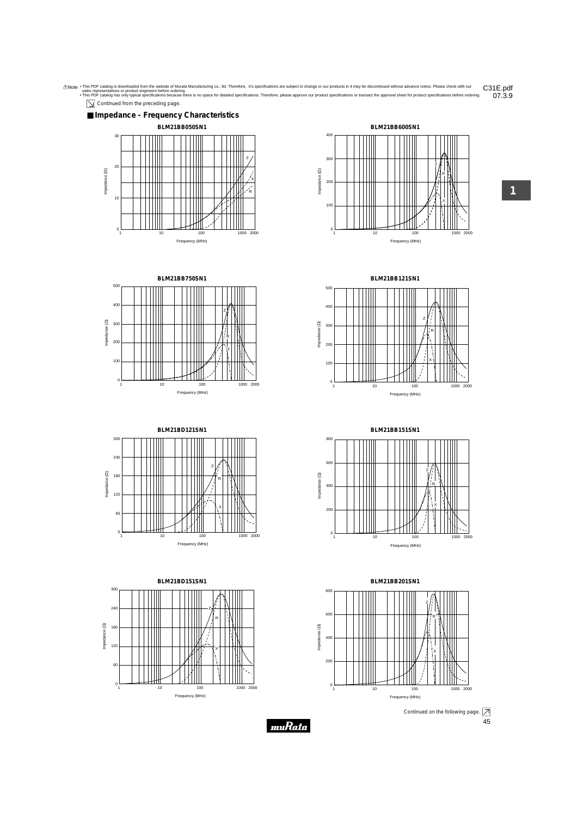









**BLM21BD151SN1** 300 240 Z R Impedance  $(\Omega)$ 180 Impedance (Ω) 120 X 60  $\Omega$ 10 100 1000 2000 Frequency (MHz)



**1**

**BLM21BB121SN1**



**BLM21BB151SN1** R Z

800

600



45 Continued on the following page.  $\boxed{\nearrow}$ 



muRata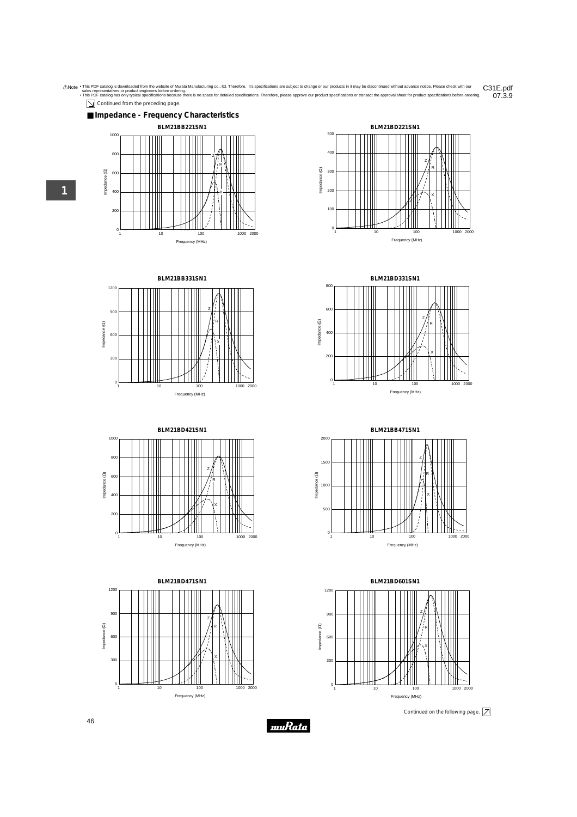

 $\boxed{\searrow}$  Continued from the preceding page.















**BLM21BD331SN1**

800

2000



**BLM21BB471SN1**



**BLM21BD601SN1** 1200 900 Z Impedance (22) Impedance (Ω) R 600 X 300  $\mathbf 0$ 1 10 100 1000 2000 Frequency (MHz)

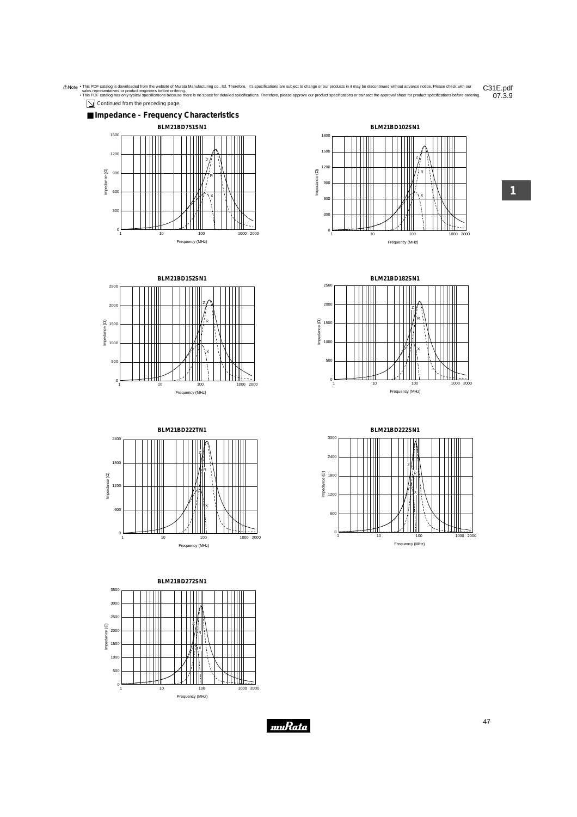











**1**





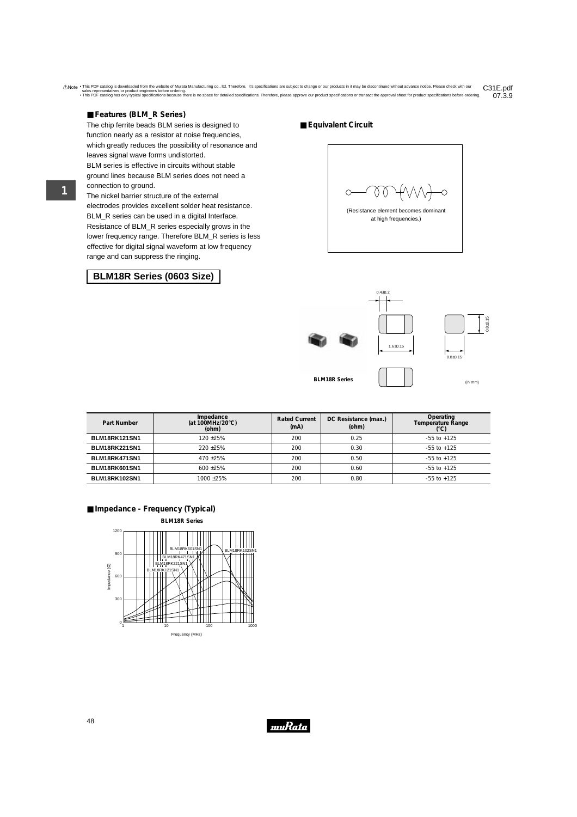### ■ **Features (BLM\_R Series)**

The chip ferrite beads BLM series is designed to function nearly as a resistor at noise frequencies, which greatly reduces the possibility of resonance and leaves signal wave forms undistorted. BLM series is effective in circuits without stable ground lines because BLM series does not need a connection to ground.

The nickel barrier structure of the external electrodes provides excellent solder heat resistance. BLM R series can be used in a digital Interface. Resistance of BLM\_R series especially grows in the lower frequency range. Therefore BLM\_R series is less effective for digital signal waveform at low frequency range and can suppress the ringing.

## **BLM18R Series (0603 Size)**

■ **Equivalent Circuit**

 $\bigcirc$ (Resistance element becomes dominant at high frequencies.)



| Part Number          | Impedance<br>(at 100MHz/20 $\degree$ C)<br>(ohm) | <b>Rated Current</b><br>(mA) | DC Resistance (max.)<br>(ohm) | Operating<br>Temperature Range |
|----------------------|--------------------------------------------------|------------------------------|-------------------------------|--------------------------------|
| BLM18RK121SN1        | 120 +25%                                         | 200                          | 0.25                          | $-55$ to $+125$                |
| BLM18RK221SN1        | $220 + 25%$                                      | 200                          | 0.30                          | $-55$ to $+125$                |
| BLM18RK471SN1        | $470 + 25%$                                      | 200                          | 0.50                          | $-55$ to $+125$                |
| BLM18RK601SN1        | $600 + 25\%$                                     | 200                          | 0.60                          | $-55$ to $+125$                |
| <b>BLM18RK102SN1</b> | 1000+25%                                         | 200                          | 0.80                          | $-55$ to $+125$                |

#### ■ **Impedance - Frequency (Typical)**



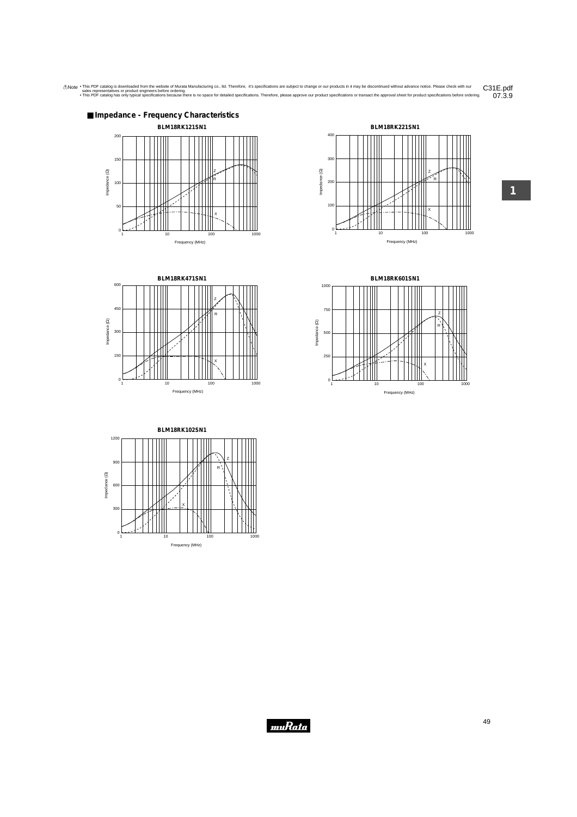







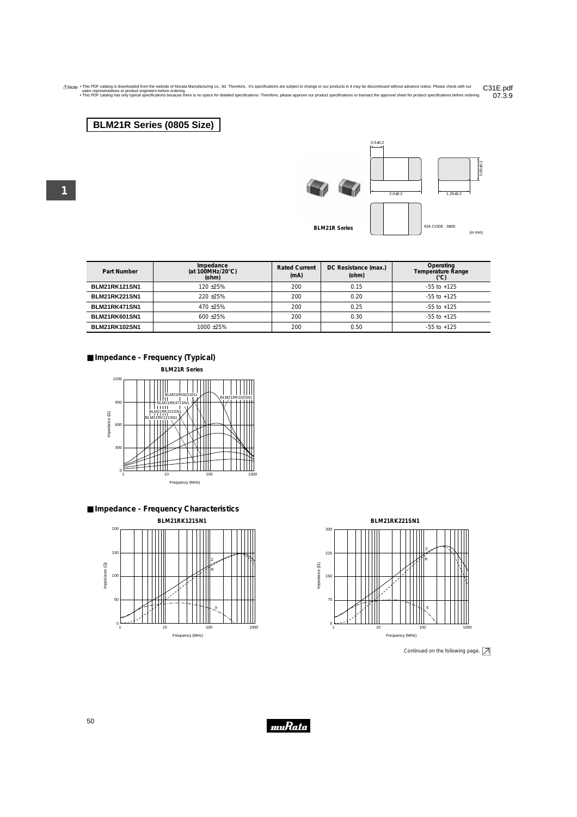## **BLM21R Series (0805 Size)**



 $0.5 \pm 0.2$ 



**BLM21R Series**

(in mm)

| Part Number          | Impedance<br>(at 100MHz/20 $\degree$ C)<br>(ohm) | <b>Rated Current</b><br>(mA) | DC Resistance (max.)<br>(ohm) | Operating<br>Temperature Range |
|----------------------|--------------------------------------------------|------------------------------|-------------------------------|--------------------------------|
| <b>BLM21RK121SN1</b> | 120 +25%                                         | 200                          | 0.15                          | $-55$ to $+125$                |
| <b>BLM21RK221SN1</b> | $220 + 25%$                                      | 200                          | 0.20                          | $-55$ to $+125$                |
| BLM21RK471SN1        | $470 + 25%$                                      | 200                          | 0.25                          | $-55$ to $+125$                |
| BLM21RK601SN1        | $600 + 25%$                                      | 200                          | 0.30                          | $-55$ to $+125$                |
| <b>BLM21RK102SN1</b> | 1000+25%                                         | 200                          | 0.50                          | $-55$ to $+125$                |

### ■ **Impedance - Frequency (Typical)**

**BLM21R Series**









Continued on the following page.  $\boxed{\nearrow}$ 

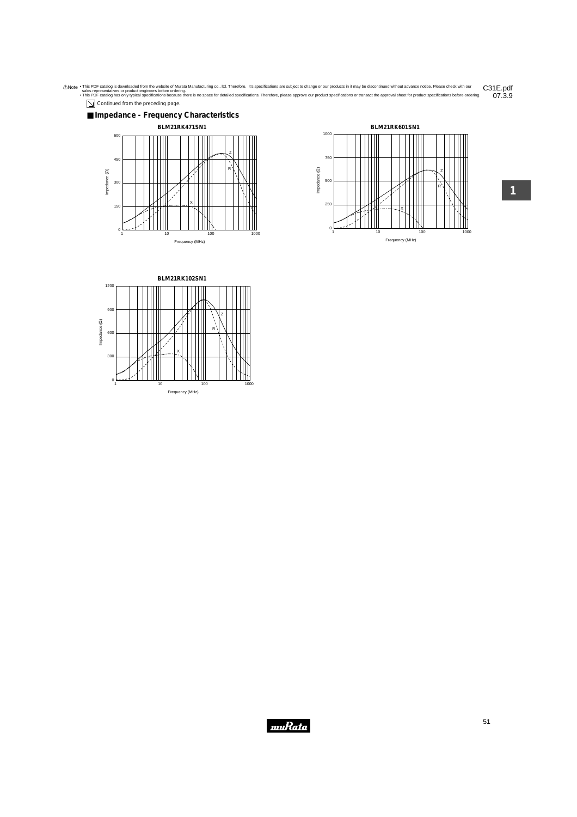Continued from the preceding page.







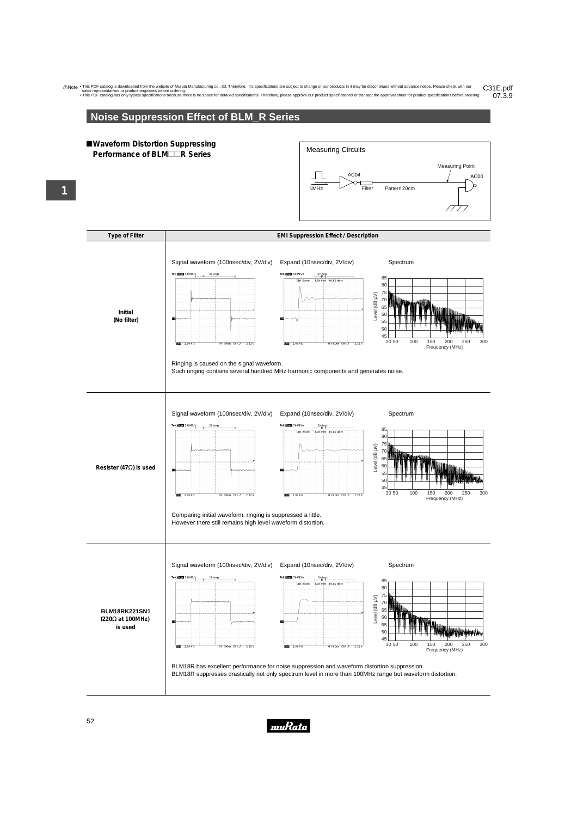# **Noise Suppression Effect of BLM\_R Series**

### !**Waveform Distortion Suppressing Performance of BLM** $\Box$ **R Series**





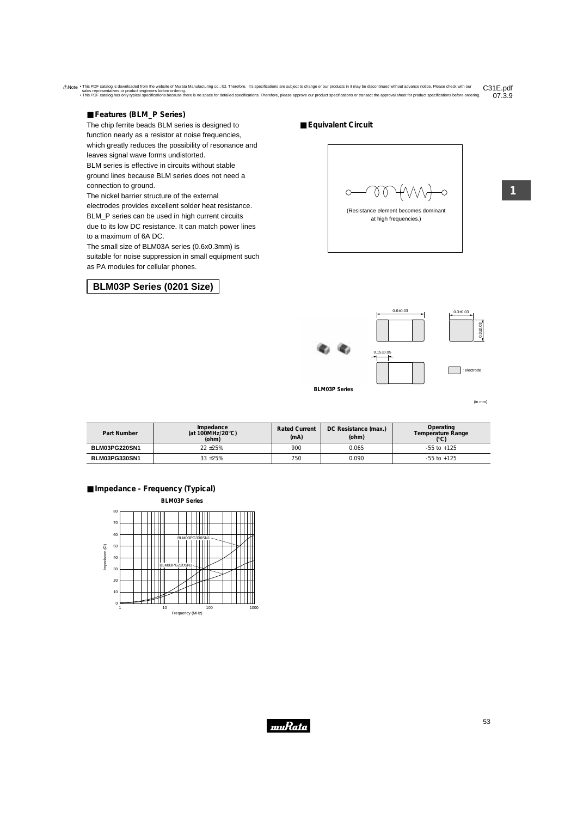## ■ **Features (BLM\_P Series)**

The chip ferrite beads BLM series is designed to function nearly as a resistor at noise frequencies, which greatly reduces the possibility of resonance and leaves signal wave forms undistorted. BLM series is effective in circuits without stable ground lines because BLM series does not need a connection to ground.

The nickel barrier structure of the external electrodes provides excellent solder heat resistance. BLM P series can be used in high current circuits due to its low DC resistance. It can match power lines to a maximum of 6A DC.

The small size of BLM03A series (0.6x0.3mm) is suitable for noise suppression in small equipment such as PA modules for cellular phones.

## **BLM03P Series (0201 Size)**

■ **Equivalent Circuit**



(Resistance element becomes dominant at high frequencies.)



(in mm)

| Part Number          | Impedance<br>(at 100MHz/20 $\degree$ C)<br>(ohm) | <b>Rated Current</b><br>(mA) | DC Resistance (max.)<br>(ohm) | Operating<br>Temperature Range |
|----------------------|--------------------------------------------------|------------------------------|-------------------------------|--------------------------------|
| <b>BLM03PG220SN1</b> | $22 + 25%$                                       | 900                          | 0.065                         | $-55$ to $+125$                |
| BLM03PG330SN1        | 33 ± 25%                                         | 750                          | 0.090                         | $-55$ to $+125$                |





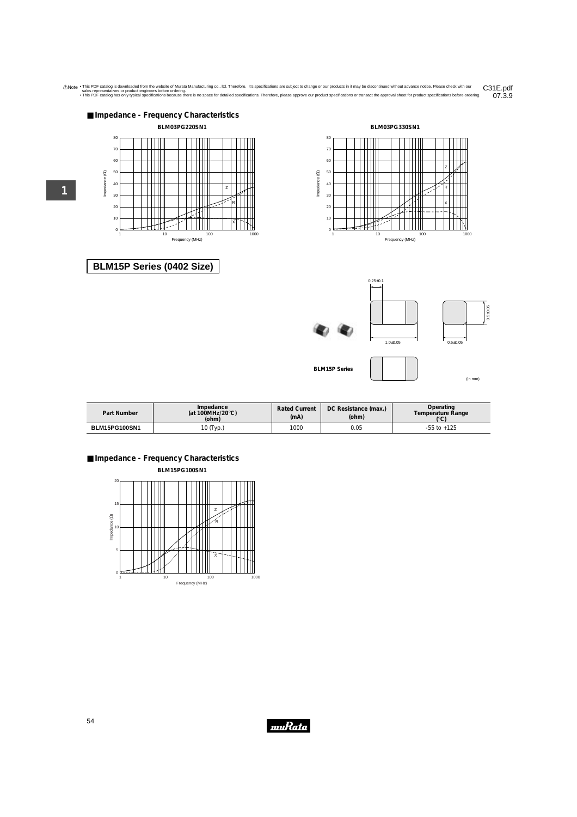



 $0.25 \pm 0.1$ 

# **BLM15P Series (0402 Size)**





**BLM15P Series**

(in mm)

| Impedance<br>(at 100MHz/20 $\degree$ C)<br>Part Number<br>(ohm) |           | <b>Rated Current</b><br>(mA) | DC Resistance (max.)<br>(ohm) | Operating<br>Temperature Range<br>$\sim$ |
|-----------------------------------------------------------------|-----------|------------------------------|-------------------------------|------------------------------------------|
| <b>BLM15PG100SN1</b>                                            | 10 (Typ.) | 1000                         | 0.05                          | $+125$<br>-55 to                         |

■ **Impedance - Frequency Characteristics**

**BLM15PG100SN1**



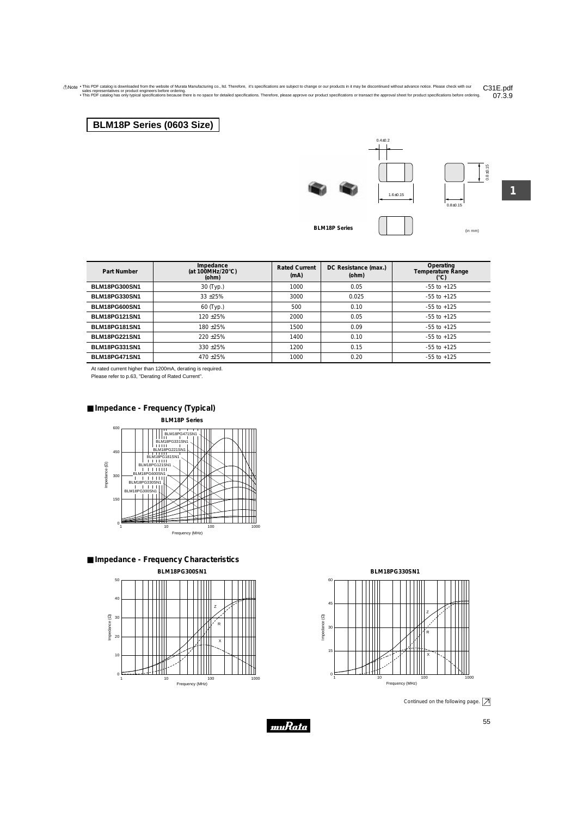# **BLM18P Series (0603 Size)**







(in mm) **BLM18P Series**

**1**

07.3.9

| Part Number          | Impedance<br>(at 100MHz/20 $\degree$ C)<br>(ohm) | <b>Rated Current</b><br>(mA) | DC Resistance (max.)<br>(ohm) | Operating<br><b>Temperature Range</b><br>$(^{\circ}C)$ |
|----------------------|--------------------------------------------------|------------------------------|-------------------------------|--------------------------------------------------------|
| <b>BLM18PG300SN1</b> | 30 (Typ.)                                        | 1000                         | 0.05                          | $-55$ to $+125$                                        |
| <b>BLM18PG330SN1</b> | $33 + 25%$                                       | 3000                         | 0.025                         | $-55$ to $+125$                                        |
| <b>BLM18PG600SN1</b> | 60 (Typ.)                                        | 500                          | 0.10                          | $-55$ to $+125$                                        |
| <b>BLM18PG121SN1</b> | $120 + 25%$                                      | 2000                         | 0.05                          | $-55$ to $+125$                                        |
| <b>BLM18PG181SN1</b> | $180 + 25%$                                      | 1500                         | 0.09                          | $-55$ to $+125$                                        |
| <b>BLM18PG221SN1</b> | $220 + 25%$                                      | 1400                         | 0.10                          | $-55$ to $+125$                                        |
| <b>BLM18PG331SN1</b> | $330 + 25%$                                      | 1200                         | 0.15                          | $-55$ to $+125$                                        |
| <b>BLM18PG471SN1</b> | $470 + 25%$                                      | 1000                         | 0.20                          | $-55$ to $+125$                                        |

Anote . This PDF catalog is downloaded from the website of Murata Manufacturing co., Itd. Therefore, it's specifications are subject to change or our products in it may be discontinued without advance notice. Please check

At rated current higher than 1200mA, derating is required.

Please refer to p.63, "Derating of Rated Current".

## ■ **Impedance - Frequency (Typical)**









Frequency (MHz)

Continued on the following page.  $\boxed{\nearrow}$ 

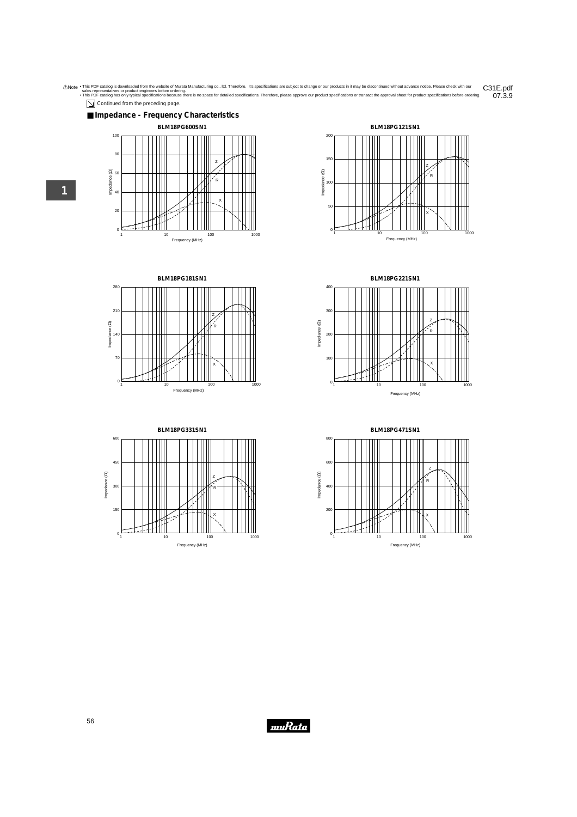$\boxed{\searrow}$  Continued from the preceding page.















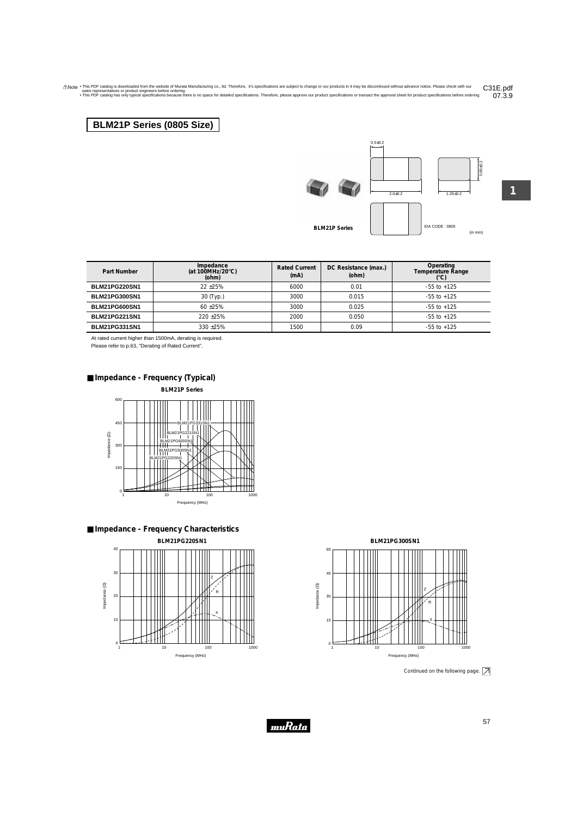## **BLM21P Series (0805 Size)**





0.85±0.2

**BLM21P Series**

EIA CODE : 0805 (in mm)

| Part Number          | Impedance<br>(at 100MHz/20 $\degree$ C)<br>(ohm) | <b>Rated Current</b><br>(mA) | DC Resistance (max.)<br>(ohm) | Operating<br>Temperature Range |
|----------------------|--------------------------------------------------|------------------------------|-------------------------------|--------------------------------|
| <b>BLM21PG220SN1</b> | $22 + 25%$                                       | 6000                         | 0.01                          | $-55$ to $+125$                |
| <b>BLM21PG300SN1</b> | 30 (Typ.)                                        | 3000                         | 0.015                         | $-55$ to $+125$                |
| <b>BLM21PG600SN1</b> | $60 + 25%$                                       | 3000                         | 0.025                         | $-55$ to $+125$                |
| <b>BLM21PG221SN1</b> | $220 + 25%$                                      | 2000                         | 0.050                         | $-55$ to $+125$                |
| <b>BLM21PG331SN1</b> | $330 + 25%$                                      | 1500                         | 0.09                          | $-55$ to $+125$                |

At rated current higher than 1500mA, derating is required.

Please refer to p.63, "Derating of Rated Current".

■ **Impedance - Frequency (Typical)**









Continued on the following page.  $\boxed{\nearrow}$ 

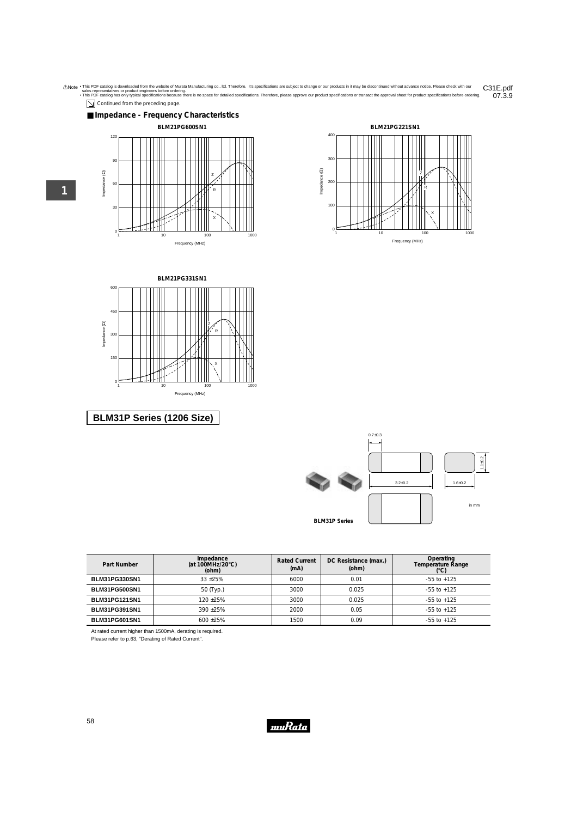







# **BLM31P Series (1206 Size)**



| Part Number          | Impedance<br>(at 100MHz/20 $\degree$ C)<br>(ohm) | <b>Rated Current</b><br>(mA) | DC Resistance (max.)<br>(ohm) | Operating<br>Temperature Range<br>(°C) |
|----------------------|--------------------------------------------------|------------------------------|-------------------------------|----------------------------------------|
| <b>BLM31PG330SN1</b> | $33 + 25%$                                       | 6000                         | 0.01                          | $-55$ to $+125$                        |
| <b>BLM31PG500SN1</b> | 50 (Typ.)                                        | 3000                         | 0.025                         | $-55$ to $+125$                        |
| <b>BLM31PG121SN1</b> | 120 +25%                                         | 3000                         | 0.025                         | $-55$ to $+125$                        |
| <b>BLM31PG391SN1</b> | $390 + 25%$                                      | 2000                         | 0.05                          | $-55$ to $+125$                        |
| <b>BLM31PG601SN1</b> | $600 + 25%$                                      | 1500                         | 0.09                          | $-55$ to $+125$                        |

At rated current higher than 1500mA, derating is required.

Please refer to p.63, "Derating of Rated Current".

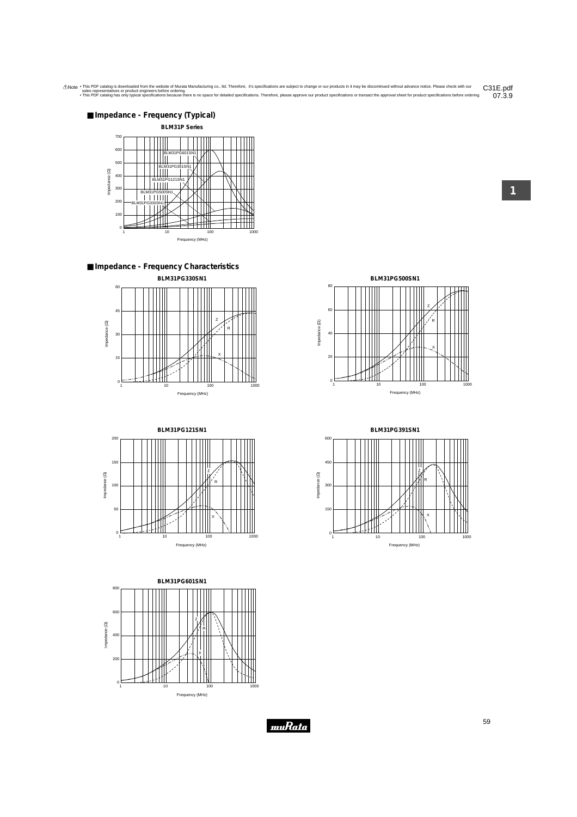

■ **Impedance - Frequency Characteristics**





**BLM31PG601SN1** 800 600 Z Impedance (2) Impedance (Ω) R 400 X 200  $^{\circ}$ 1 10 100 1000 1000 Frequency (MHz)







**1**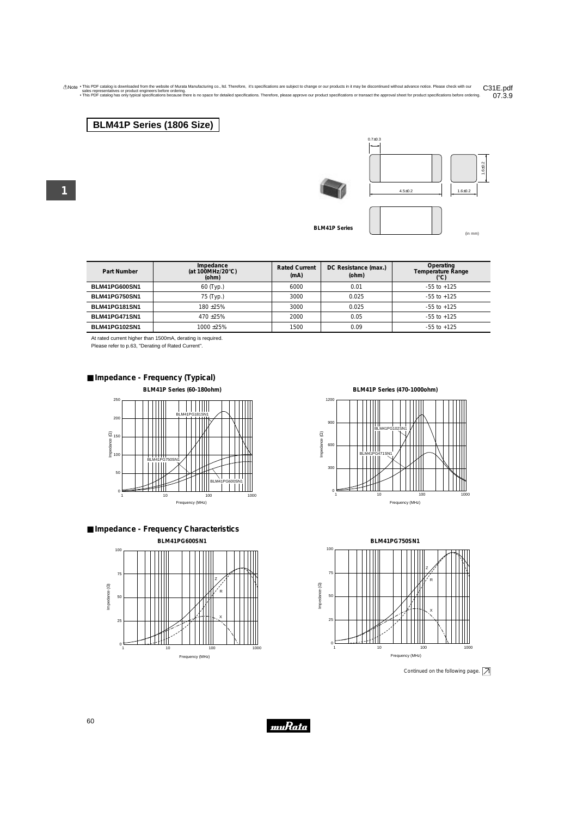## **BLM41P Series (1806 Size)**



**BLM41P Series**



| Part Number          | Impedance<br>(at 100MHz/20 $\degree$ C)<br>(ohm) | <b>Rated Current</b><br>(mA) | DC Resistance (max.)<br>(ohm) | Operating<br>Temperature Range<br>(°C) |
|----------------------|--------------------------------------------------|------------------------------|-------------------------------|----------------------------------------|
| BLM41PG600SN1        | $60$ (Typ.)                                      | 6000                         | 0.01                          | $-55$ to $+125$                        |
| <b>BLM41PG750SN1</b> | 75 (Typ.)                                        | 3000                         | 0.025                         | $-55$ to $+125$                        |
| <b>BLM41PG181SN1</b> | $180 + 25%$                                      | 3000                         | 0.025                         | $-55$ to $+125$                        |
| <b>BLM41PG471SN1</b> | $470 + 25%$                                      | 2000                         | 0.05                          | $-55$ to $+125$                        |
| <b>BLM41PG102SN1</b> | 1000+25%                                         | 1500                         | 0.09                          | $-55$ to $+125$                        |

At rated current higher than 1500mA, derating is required.

Please refer to p.63, "Derating of Rated Current".



**BLM41P Series (60-180ohm)**







**BLM41P Series (470-1000ohm)**





Continued on the following page.  $\boxed{\nearrow}$ 

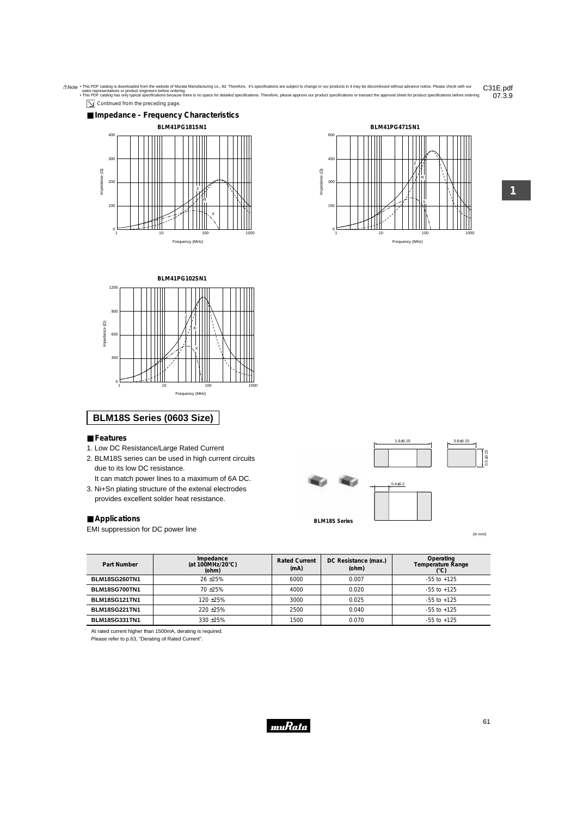







## **BLM18S Series (0603 Size)**

- **Features**
- 1. Low DC Resistance/Large Rated Current
- 2. BLM18S series can be used in high current circuits due to its low DC resistance.
	- It can match power lines to a maximum of 6A DC.
- 3. Ni+Sn plating structure of the extenal electrodes provides excellent solder heat resistance.

#### ■ **Applications**

EMI suppression for DC power line



(in mm)

0.5±0.15

| Part Number          | Impedance<br>(at 100MHz/20 $\degree$ C)<br>(ohm) | <b>Rated Current</b><br>(mA) | DC Resistance (max.)<br>(ohm) | Operating<br><b>Temperature Range</b><br>(°C) |
|----------------------|--------------------------------------------------|------------------------------|-------------------------------|-----------------------------------------------|
| <b>BLM18SG260TN1</b> | $26 + 25%$                                       | 6000                         | 0.007                         | $-55$ to $+125$                               |
| BLM18SG700TN1        | $70 + 25%$                                       | 4000                         | 0.020                         | $-55$ to $+125$                               |
| <b>BLM18SG121TN1</b> | $120 + 25%$                                      | 3000                         | 0.025                         | $-55$ to $+125$                               |
| <b>BLM18SG221TN1</b> | $220 + 25%$                                      | 2500                         | 0.040                         | $-55$ to $+125$                               |
| BLM18SG331TN1        | $330 + 25%$                                      | 1500                         | 0.070                         | $-55$ to $+125$                               |

At rated current higher than 1500mA, derating is required.

Please refer to p.63, "Derating of Rated Current".

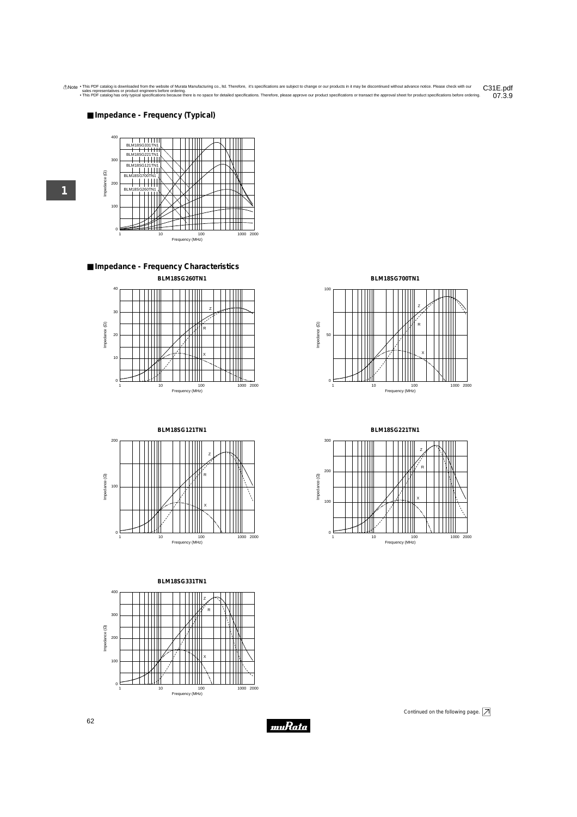#### ■ **Impedance - Frequency (Typical)**



■ **Impedance - Frequency Characteristics BLM18SG260TN1**







**BLM18SG700TN1**



**BLM18SG221TN1**





**1**

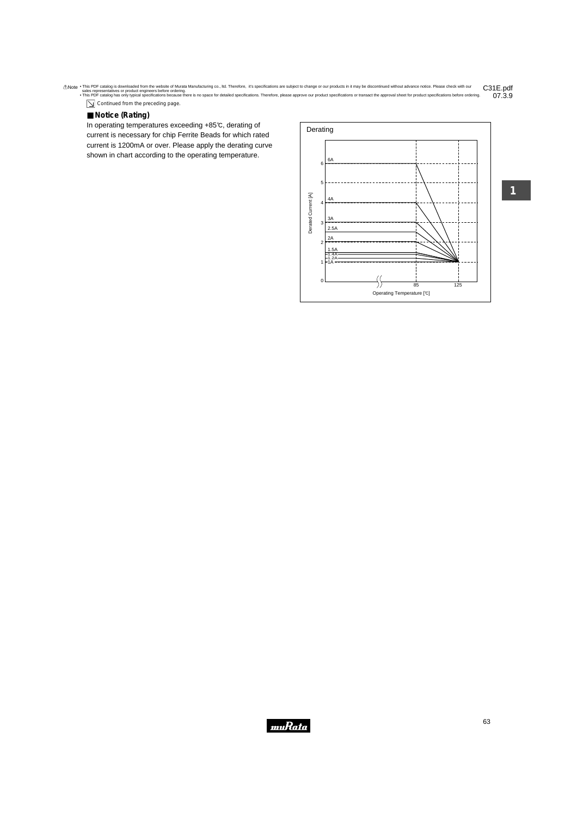Continued from the preceding page.

## ■ **N o t i c e (R a t i n g )**

In operating temperatures exceeding +85°C, derating of current is necessary for chip Ferrite Beads for which rated current is 1200mA or over. Please apply the derating curve shown in chart according to the operating temperature.

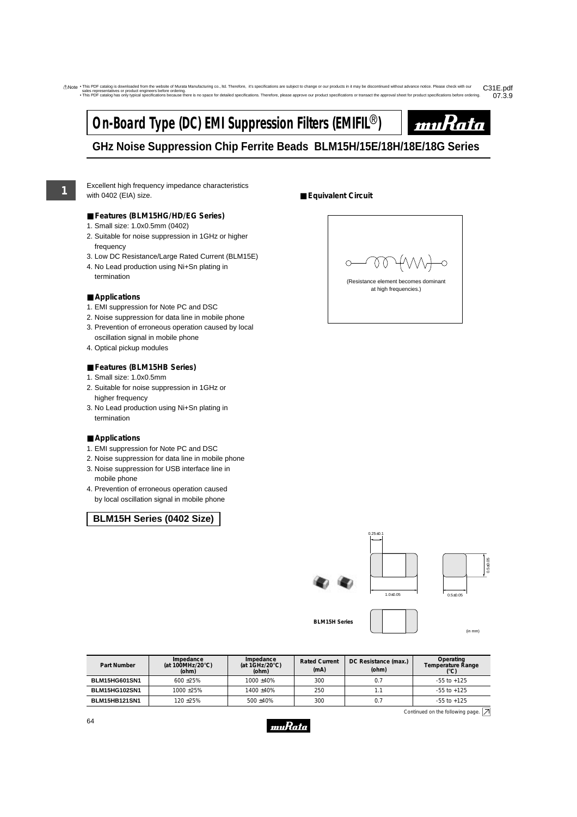# **On-Board Type (DC) EMI Suppression Filters (EMIFIL<sup>®</sup>)**



# **GHz Noise Suppression Chip Ferrite Beads BLM15H/15E/18H/18E/18G Series**

**1**

Excellent high frequency impedance characteristics with 0402 (EIA) size.

- **Features (BLM15HG/HD/EG Series)**
- 1. Small size: 1.0x0.5mm (0402)
- 2. Suitable for noise suppression in 1GHz or higher frequency
- 3. Low DC Resistance/Large Rated Current (BLM15E)
- 4. No Lead production using Ni+Sn plating in termination

### ■ **Applications**

- 1. EMI suppression for Note PC and DSC
- 2. Noise suppression for data line in mobile phone
- 3. Prevention of erroneous operation caused by local oscillation signal in mobile phone
- 4. Optical pickup modules

### ■ **Features (BLM15HB Series)**

- 1. Small size: 1.0x0.5mm
- 2. Suitable for noise suppression in 1GHz or higher frequency
- 3. No Lead production using Ni+Sn plating in termination

#### ■ **Applications**

- 1. EMI suppression for Note PC and DSC
- 2. Noise suppression for data line in mobile phone
- 3. Noise suppression for USB interface line in mobile phone
- 4. Prevention of erroneous operation caused by local oscillation signal in mobile phone

## **BLM15H Series (0402 Size)**

## ■ **Equivalent Circuit**





(in mm)

**Part Number Impedance (at 100MHz/20**°**C) (ohm) Impedance (at 1GHz/20**°**C) (ohm) Rated Current (mA) DC Resistance (max.) (ohm) Operating Temperature Range (**°**C) BLM15HG601SN1** 600 ±25% 1000 ±40% 300 0.7 -55 to +125 **BLM15HG102SN1** 1000 ±25% 1400 ±40% 250 1.1 1.1 - 55 to +125 **BLM15HB121SN1** 120 ±25% 500 ±40% 300 0.7 -55 to +125

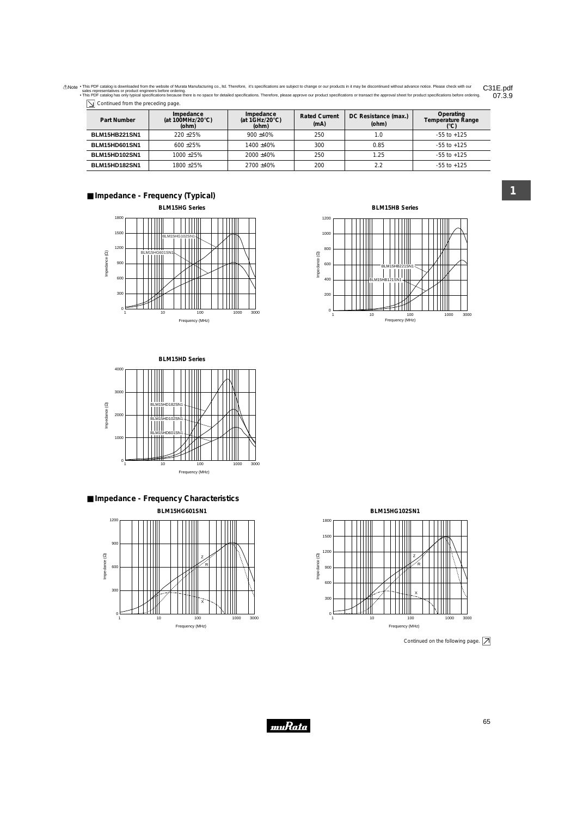| $\boxed{\searrow}$ Continued from the preceding page. |  |
|-------------------------------------------------------|--|
|-------------------------------------------------------|--|

| Part Number          | Impedance<br>(at 100MHz/20 $\degree$ C)<br>(ohm) | Impedance<br>(at $1$ GHz/20 $^{\circ}$ C)<br>(ohm) | <b>Rated Current</b><br>(mA) | DC Resistance (max.)<br>(ohm) | Operating<br>Temperature Range |
|----------------------|--------------------------------------------------|----------------------------------------------------|------------------------------|-------------------------------|--------------------------------|
| <b>BLM15HB221SN1</b> | $220 + 25%$                                      | $900 + 40%$                                        | 250                          | 1.0                           | $-55$ to $+125$                |
| <b>BLM15HD601SN1</b> | $600 + 25\%$                                     | $1400 + 40%$                                       | 300                          | 0.85                          | $-55$ to $+125$                |
| <b>BLM15HD102SN1</b> | $1000 + 25\%$                                    | $2000 + 40\%$                                      | 250                          | 1.25                          | $-55$ to $+125$                |
| <b>BLM15HD182SN1</b> | 1800+25%                                         | $2700 + 40\%$                                      | 200                          | 2.2                           | $-55$ to $+125$                |

## ■ **Impedance - Frequency (Typical)**













Continued on the following page.  $\boxed{\nearrow}$ 



**1**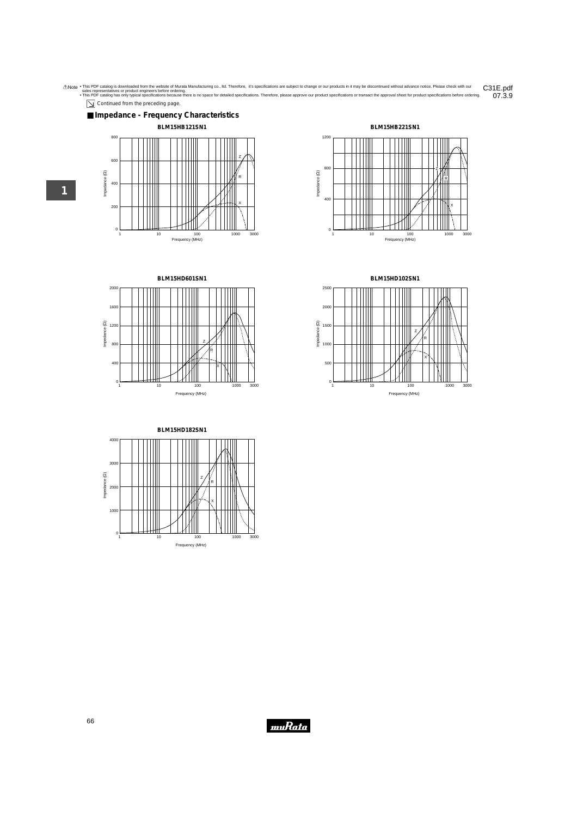$\boxed{\searrow}$  Continued from the preceding page.









**BLM15HD102SN1**



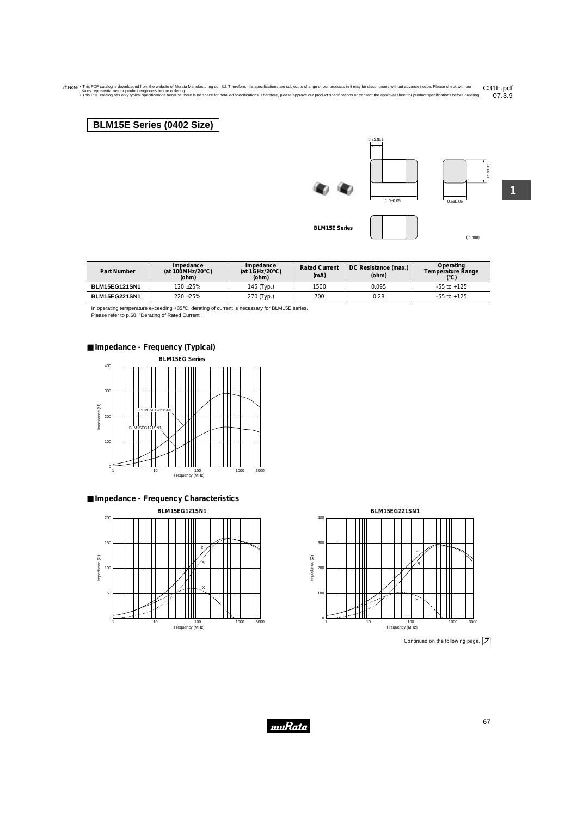# **BLM15E Series (0402 Size)**

# **BLM15E Series**

(in mm)

 $0.5 \pm 0.05$ 

1.0±0.05

 $0.25 \pm 0.1$ 

**1**

0.5±0.05

| Part Number          | Impedance<br>(at 100MHz/20 $\degree$ C)<br>(ohm) | Impedance<br>(at $1$ GHz/20 $^{\circ}$ C)<br>(ohm) | <b>Rated Current</b><br>(mA) | DC Resistance (max.)<br>(ohm) | Operating<br>Temperature Range |
|----------------------|--------------------------------------------------|----------------------------------------------------|------------------------------|-------------------------------|--------------------------------|
| <b>BLM15EG121SN1</b> | 120 +25%                                         | 145 (Тур.)                                         | 1500                         | 0.095                         | $-55$ to $+125$                |
| <b>BLM15EG221SN1</b> | 220 ± 25%                                        | 270 (Typ.)                                         | 700                          | 0.28                          | $-55$ to $+125$                |

muRata

In operating temperature exceeding +85°C, derating of current is necessary for BLM15E series. Please refer to p.68, "Derating of Rated Current".

## ■ **Impedance - Frequency (Typical)**









Continued on the following page.  $\boxed{\nearrow}$ 

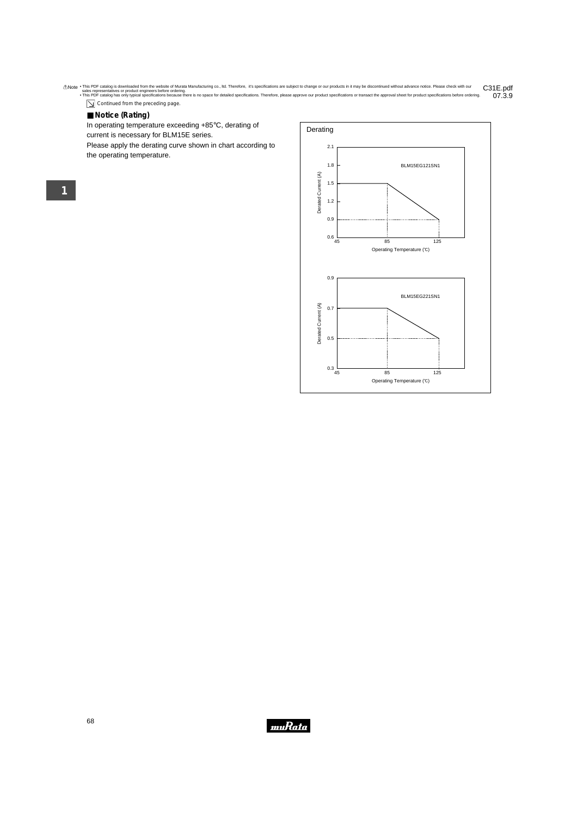$\boxed{\searrow}$  Continued from the preceding page.

### ■ **Notice (Rating)**

In operating temperature exceeding +85°C, derating of

current is necessary for BLM15E series.

Please apply the derating curve shown in chart according to the operating temperature.



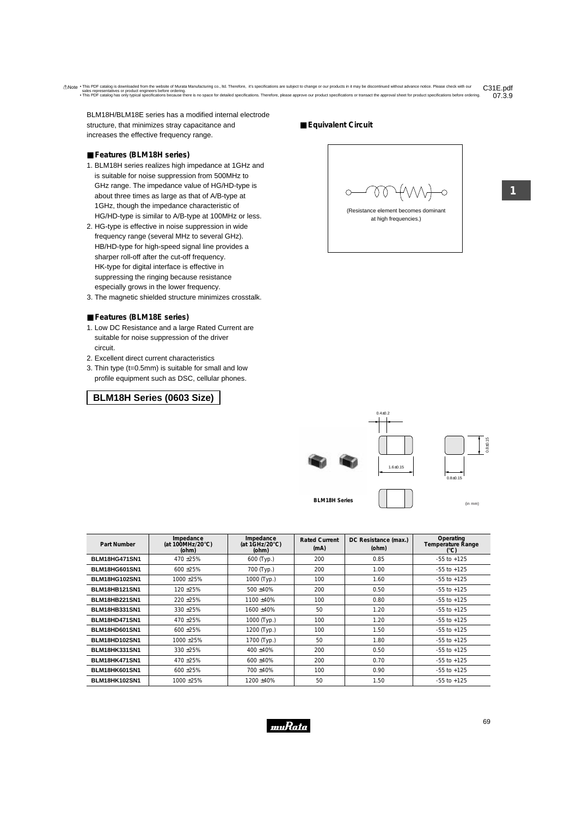BLM18H/BLM18E series has a modified internal electrode structure, that minimizes stray capacitance and increases the effective frequency range.

#### ■ **Features (BLM18H series)**

- 1. BLM18H series realizes high impedance at 1GHz and is suitable for noise suppression from 500MHz to GHz range. The impedance value of HG/HD-type is about three times as large as that of A/B-type at 1GHz, though the impedance characteristic of HG/HD-type is similar to A/B-type at 100MHz or less.
- 2. HG-type is effective in noise suppression in wide frequency range (several MHz to several GHz). HB/HD-type for high-speed signal line provides a sharper roll-off after the cut-off frequency. HK-type for digital interface is effective in suppressing the ringing because resistance especially grows in the lower frequency.
- 3. The magnetic shielded structure minimizes crosstalk.

#### ■ **Features (BLM18E series)**

- 1. Low DC Resistance and a large Rated Current are suitable for noise suppression of the driver circuit.
- 2. Excellent direct current characteristics
- 3. Thin type (t=0.5mm) is suitable for small and low profile equipment such as DSC, cellular phones.

### **BLM18H Series (0603 Size)**

#### ■ **Equivalent Circuit**



(Resistance element becomes dominant at high frequencies.)



 $0.4 + 0.2$ 

| Part Number          | Impedance<br>(at 100MHz/20 $\degree$ C)<br>(ohm) | Impedance<br>(at $1$ GHz/20 $^{\circ}$ C)<br>(ohm) | <b>Rated Current</b><br>(mA) | DC Resistance (max.)<br>(ohm) | Operating<br><b>Temperature Range</b><br>(°C) |
|----------------------|--------------------------------------------------|----------------------------------------------------|------------------------------|-------------------------------|-----------------------------------------------|
| <b>BLM18HG471SN1</b> | 470 ± 25%                                        | 600 (Typ.)                                         | 200                          | 0.85                          | $-55$ to $+125$                               |
| <b>BLM18HG601SN1</b> | 600 ± 25%                                        | 700 (Typ.)                                         | 200                          | 1.00                          | $-55$ to $+125$                               |
| <b>BLM18HG102SN1</b> | 1000 ± 25%                                       | 1000 (Typ.)                                        | 100                          | 1.60                          | $-55$ to $+125$                               |
| <b>BLM18HB121SN1</b> | 120 ± 25%                                        | 500 ±40%                                           | 200                          | 0.50                          | $-55$ to $+125$                               |
| <b>BLM18HB221SN1</b> | 220 ± 25%                                        | 1100 ±40%                                          | 100                          | 0.80                          | $-55$ to $+125$                               |
| <b>BLM18HB331SN1</b> | 330 ± 25%                                        | 1600 ±40%                                          | 50                           | 1.20                          | $-55$ to $+125$                               |
| <b>BLM18HD471SN1</b> | 470 ± 25%                                        | 1000 (Typ.)                                        | 100                          | 1.20                          | $-55$ to $+125$                               |
| BLM18HD601SN1        | $600 + 25%$                                      | 1200 (Typ.)                                        | 100                          | 1.50                          | $-55$ to $+125$                               |
| <b>BLM18HD102SN1</b> | $1000 + 25%$                                     | 1700 (Typ.)                                        | 50                           | 1.80                          | $-55$ to $+125$                               |
| <b>BLM18HK331SN1</b> | 330 ± 25%                                        | 400 ±40%                                           | 200                          | 0.50                          | $-55$ to $+125$                               |
| <b>BLM18HK471SN1</b> | 470 ± 25%                                        | 600 ±40%                                           | 200                          | 0.70                          | $-55$ to $+125$                               |
| BLM18HK601SN1        | 600 ± 25%                                        | 700 ±40%                                           | 100                          | 0.90                          | $-55$ to $+125$                               |
| <b>BLM18HK102SN1</b> | 1000 ± 25%                                       | 1200 ±40%                                          | 50                           | 1.50                          | $-55$ to $+125$                               |

muRata

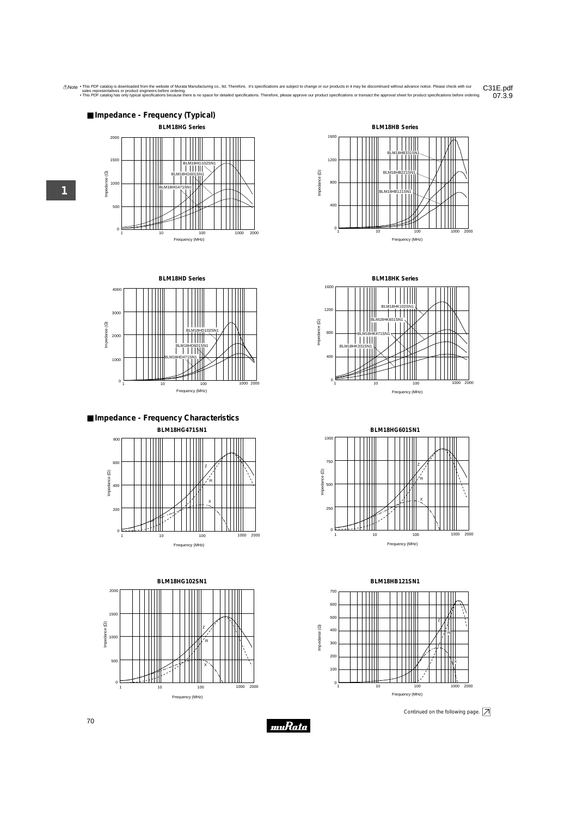











**BLM18HK Series** 1600 BLM18 1200  $\Box$  $\overline{\phantom{a}}$  $\mathbf{I}$ Impedance (22) BLM18HK601SN1 Impedance (Ω) 800 TTIIII BLM18HK331SN1<br>| | | | | 400 ₩  $0<sup>1</sup>$ 1 10 100 100 1000 2000 Frequency (MHz)



**BLM18HB121SN1**



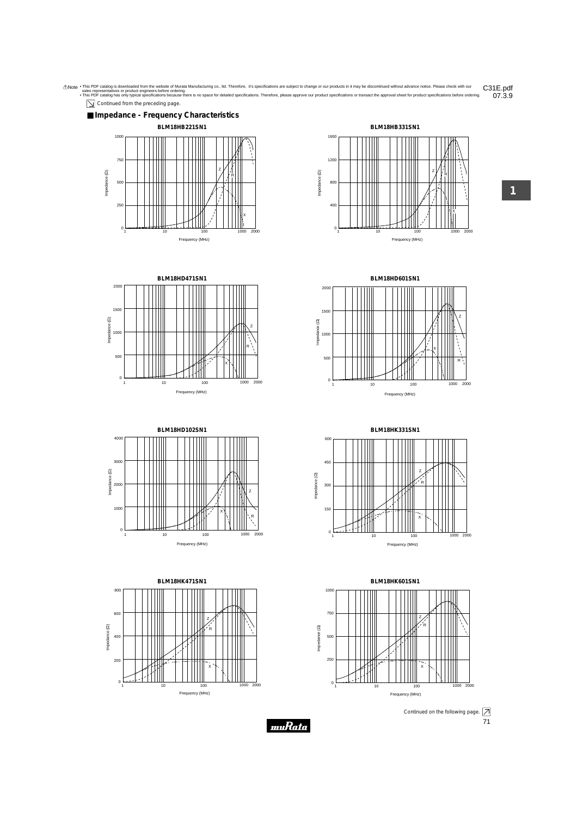



1 10 100 1000 2000 Frequency (MHz)



**BLM18HK471SN1** 800 600 Z Impedance (2) Impedance (Ω) R 400 200 X  $^{\circ}$ 100 1000 2000 Frequency (MHz)

**BLM18HD601SN1**

1 10 100 1000 2000 Frequency (MHz)





1 10 100 1000 2000 Frequency (MHz)





 $\mathbf{0}$ 

Impedance (Ω)

Impedance (2)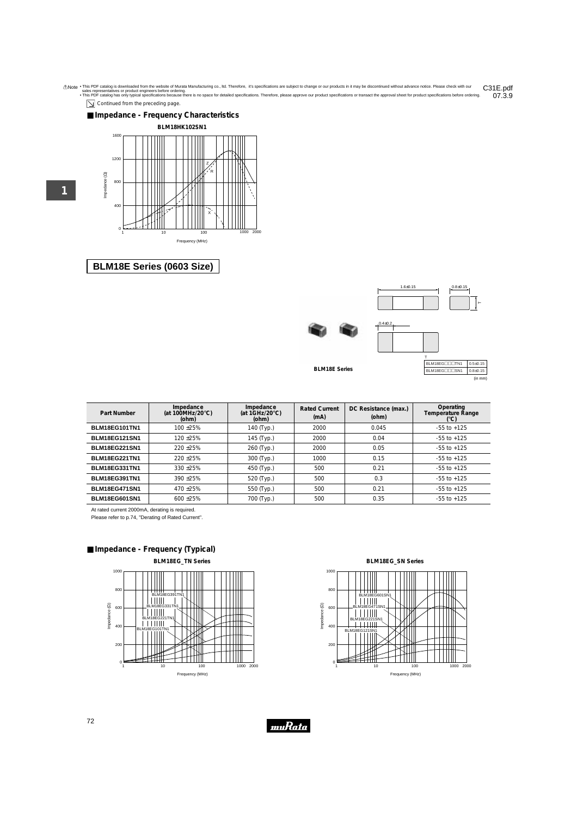$\boxed{\searrow}$  Continued from the preceding page.

### ■ **Impedance - Frequency Characteristics**



## **BLM18E Series (0603 Size)**

| $1.6 + 0.15$ | $0.8 + 0.15$ |
|--------------|--------------|
|              |              |
|              |              |
|              |              |







**BLM18E Series**

BLM18EG<sub>ppp</sub>psN1 0.8±0.15 (in mm)

0.5±0.15

| Part Number          | Impedance<br>(at 100MHz/20 $\degree$ C)<br>(ohm) | Impedance<br>(at $1$ GHz/20 $^{\circ}$ C)<br>(ohm) | <b>Rated Current</b><br>(mA) | DC Resistance (max.)<br>(ohm) | Operating<br><b>Temperature Range</b><br>$(^{\circ}C)$ |
|----------------------|--------------------------------------------------|----------------------------------------------------|------------------------------|-------------------------------|--------------------------------------------------------|
| BLM18EG101TN1        | $100 + 25%$                                      | 140 (Typ.)                                         | 2000                         | 0.045                         | $-55$ to $+125$                                        |
| <b>BLM18EG121SN1</b> | $120 + 25%$                                      | 145 (Typ.)                                         | 2000                         | 0.04                          | $-55$ to $+125$                                        |
| <b>BLM18EG221SN1</b> | $220 + 25%$                                      | 260 (Typ.)                                         | 2000                         | 0.05                          | $-55$ to $+125$                                        |
| <b>BLM18EG221TN1</b> | $220 + 25%$                                      | 300 (Typ.)                                         | 1000                         | 0.15                          | $-55$ to $+125$                                        |
| BLM18EG331TN1        | $330 + 25%$                                      | 450 (Typ.)                                         | 500                          | 0.21                          | $-55$ to $+125$                                        |
| BLM18EG391TN1        | $390 + 25%$                                      | 520 (Typ.)                                         | 500                          | 0.3                           | $-55$ to $+125$                                        |
| <b>BLM18EG471SN1</b> | $470 + 25%$                                      | 550 (Typ.)                                         | 500                          | 0.21                          | $-55$ to $+125$                                        |
| <b>BLM18EG601SN1</b> | $600 + 25%$                                      | 700 (Typ.)                                         | 500                          | 0.35                          | $-55$ to $+125$                                        |

At rated current 2000mA, derating is required.

Please refer to p.74, "Derating of Rated Current".

## ■ **Impedance - Frequency (Typical)**



**BLM18EG\_SN Series**  $1000$ <br>800<br>800<br> $\frac{100}{100}$  600<br> $\frac{100}{100}$  400 800 BLM18EG601SN1 600 BLM18EG471SN1 nse92213<br>|||||||| 400 BLM18EG121SN1 200  $0<sup>1</sup>$ Ħ 10 100 1000 2000 Frequency (MHz)

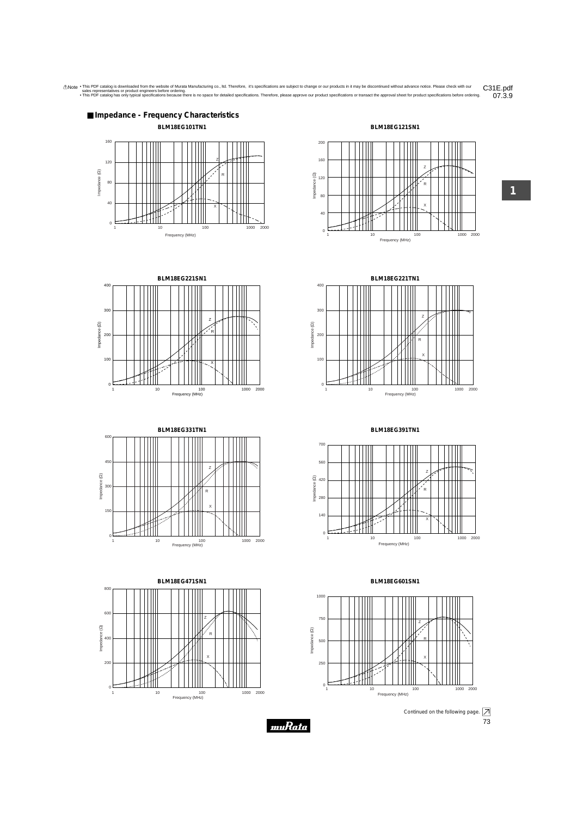

10 100 1000 1000 2000

Frequency (MHz)

**1**



 $^{\circ}$ 

1000 2000

 $0<sup>1</sup>$ 

1 10 100 1000 1000 Frequency (MHz)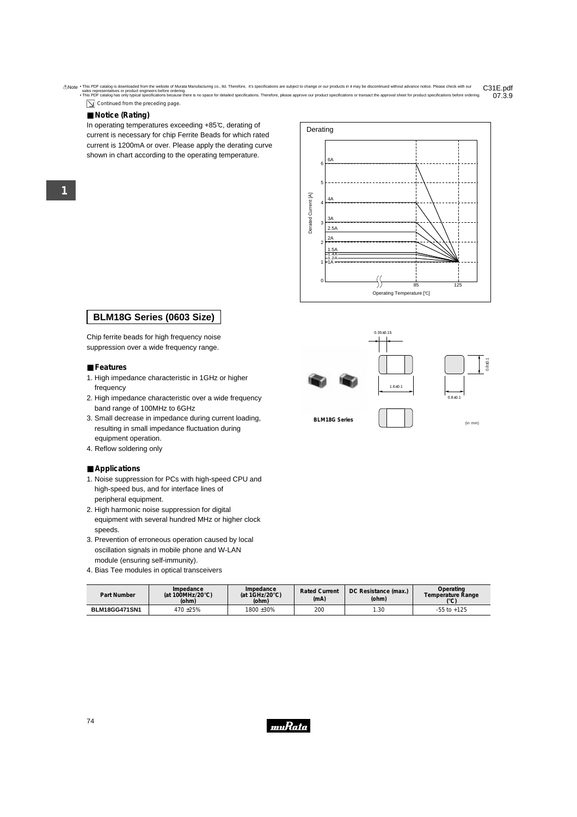$\boxed{\searrow}$  Continued from the preceding page.

#### ■ **Notice (Rating)**

**1**

In operating temperatures exceeding +85°C, derating of current is necessary for chip Ferrite Beads for which rated current is 1200mA or over. Please apply the derating curve shown in chart according to the operating temperature.



## **BLM18G Series (0603 Size)**

Chip ferrite beads for high frequency noise suppression over a wide frequency range.

#### ■ **Features**

- 1. High impedance characteristic in 1GHz or higher frequency
- 2. High impedance characteristic over a wide frequency band range of 100MHz to 6GHz
- 3. Small decrease in impedance during current loading, resulting in small impedance fluctuation during equipment operation.
- 4. Reflow soldering only

#### ■ **Applications**

- 1. Noise suppression for PCs with high-speed CPU and high-speed bus, and for interface lines of peripheral equipment.
- 2. High harmonic noise suppression for digital equipment with several hundred MHz or higher clock speeds.
- 3. Prevention of erroneous operation caused by local oscillation signals in mobile phone and W-LAN module (ensuring self-immunity).
- 4. Bias Tee modules in optical transceivers

| Part Number   | Impedance<br>(at 100MHz/20 $\degree$ C)<br>(ohm) | Impedance<br>(at $1$ GHz/20 $^{\circ}$ C)<br>(ohm) | <b>Rated Current</b><br>(mA) | DC Resistance (max.)<br>(ohm) | Operating<br>Temperature Range<br>رم01 |
|---------------|--------------------------------------------------|----------------------------------------------------|------------------------------|-------------------------------|----------------------------------------|
| BLM18GG471SN1 | $470 + 25%$                                      | 1800 ±30%                                          | 200                          | 1.30                          | $-55$ to $+125$                        |

muRata







| t Number | Impedance<br>(at 100MHz/20 $\degree$ C)<br>(ohm) | Impedance<br>(at $1$ GHz/20 $^{\circ}$ C)<br>(ohm) | <b>Rated Current</b><br>(mA) | DC Resistance (max.)<br>(ohm) | Operating<br>Temperature Range<br>$({}^{\circ}{\rm C})$ |
|----------|--------------------------------------------------|----------------------------------------------------|------------------------------|-------------------------------|---------------------------------------------------------|
|          |                                                  |                                                    |                              |                               |                                                         |

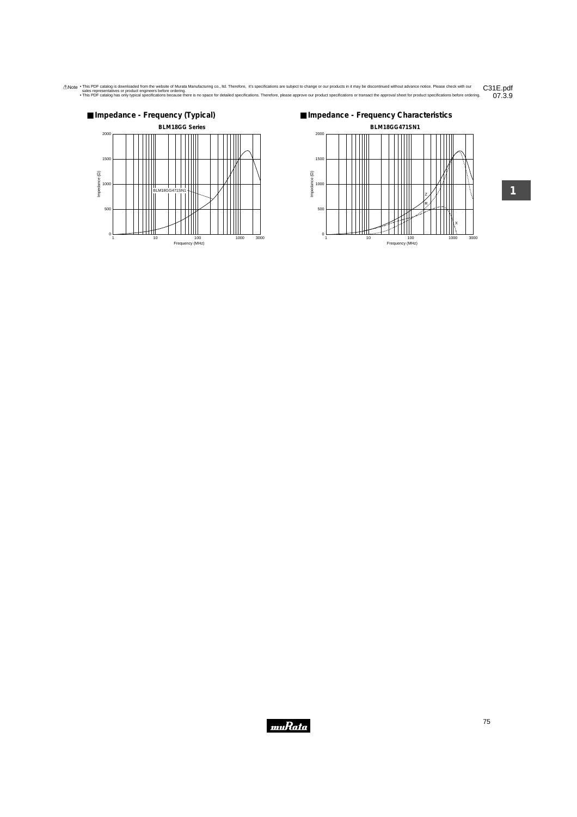



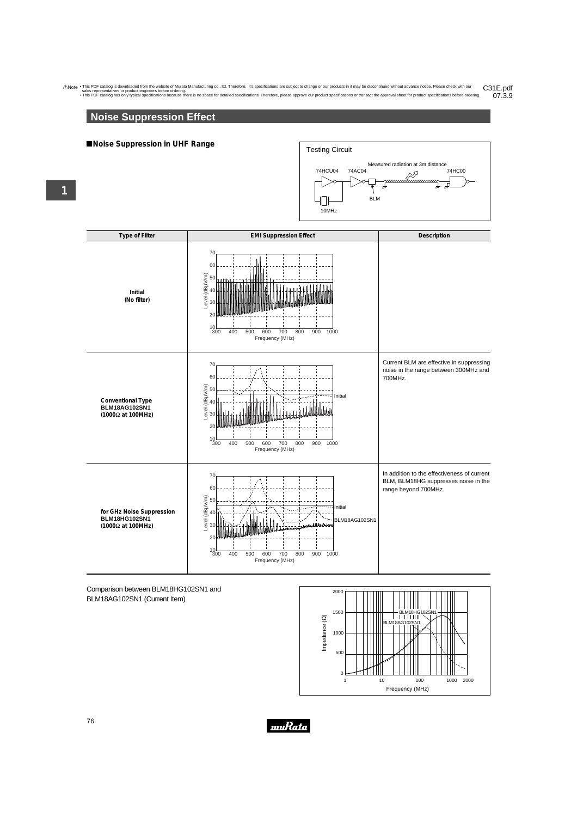# **Noise Suppression Effect**

#### !**Noise Suppression in UHF Range**





#### Comparison between BLM18HG102SN1 and BLM18AG102SN1 (Current Item)



76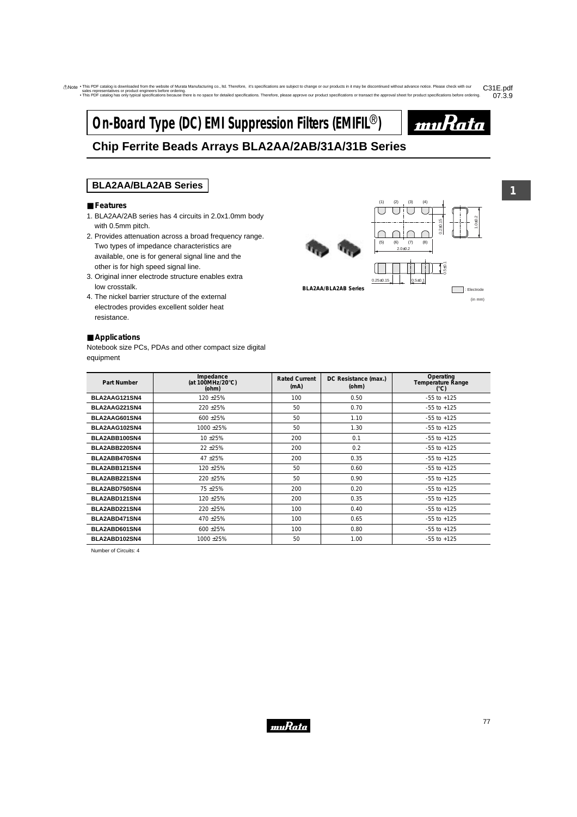# **On-Board Type (DC) EMI Suppression Filters (EMIFIL<sup>®</sup>)**



# **Chip Ferrite Beads Arrays BLA2AA/2AB/31A/31B Series**

## **BLA2AA/BLA2AB Series**

#### ■ **Features**

- 1. BLA2AA/2AB series has 4 circuits in 2.0x1.0mm body with 0.5mm pitch.
- 2. Provides attenuation across a broad frequency range. Two types of impedance characteristics are available, one is for general signal line and the other is for high speed signal line.
- 3. Original inner electrode structure enables extra low crosstalk.
- 4. The nickel barrier structure of the external electrodes provides excellent solder heat resistance.

#### ■ **Applications**

Notebook size PCs, PDAs and other compact size digital equipment



**BLA2AA/BLA2AB Series**

: Electrode (in mm)

| <b>Part Number</b> | Impedance<br>(at 100MHz/20 $\degree$ C)<br>(ohm) | <b>Rated Current</b><br>(mA) | DC Resistance (max.)<br>(ohm) | Operating<br>Temperature Range<br>$(^{\circ}C)$ |
|--------------------|--------------------------------------------------|------------------------------|-------------------------------|-------------------------------------------------|
| BLA2AAG121SN4      | 120 ± 25%                                        | 100                          | 0.50                          | $-55$ to $+125$                                 |
| BLA2AAG221SN4      | 220 ± 25%                                        | 50                           | 0.70                          | $-55$ to $+125$                                 |
| BLA2AAG601SN4      | 600 ± 25%                                        | 50                           | 1.10                          | $-55$ to $+125$                                 |
| BLA2AAG102SN4      | 1000 ± 25%                                       | 50                           | 1.30                          | $-55$ to $+125$                                 |
| BLA2ABB100SN4      | 10 ± 25%                                         | 200                          | 0.1                           | $-55$ to $+125$                                 |
| BLA2ABB220SN4      | $22 + 25%$                                       | 200                          | 0.2                           | $-55$ to $+125$                                 |
| BLA2ABB470SN4      | 47 ± 25%                                         | 200                          | 0.35                          | $-55$ to $+125$                                 |
| BLA2ABB121SN4      | 120 ± 25%                                        | 50                           | 0.60                          | $-55$ to $+125$                                 |
| BLA2ABB221SN4      | 220 ± 25%                                        | 50                           | 0.90                          | $-55$ to $+125$                                 |
| BLA2ABD750SN4      | 75 ± 25%                                         | 200                          | 0.20                          | $-55$ to $+125$                                 |
| BLA2ABD121SN4      | 120 ± 25%                                        | 200                          | 0.35                          | $-55$ to $+125$                                 |
| BLA2ABD221SN4      | 220 ± 25%                                        | 100                          | 0.40                          | $-55$ to $+125$                                 |
| BLA2ABD471SN4      | 470 ± 25%                                        | 100                          | 0.65                          | $-55$ to $+125$                                 |
| BLA2ABD601SN4      | $600 + 25%$                                      | 100                          | 0.80                          | $-55$ to $+125$                                 |
| BLA2ABD102SN4      | 1000 ±25%                                        | 50                           | 1.00                          | $-55$ to $+125$                                 |

Number of Circuits: 4

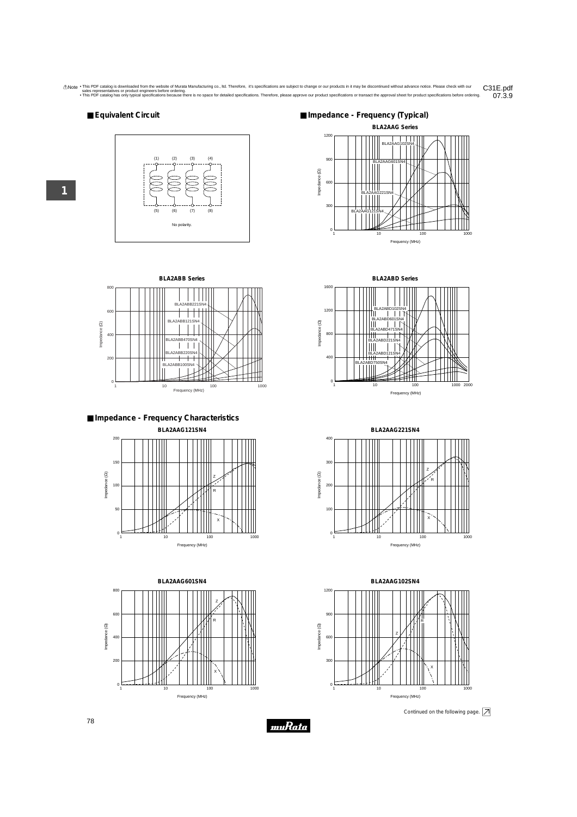#### ■ **Equivalent Circuit**





**1**









**BLA2ABD Series**



**BLA2AAG221SN4** 400 300 Z Impedance (2) Impedance (Ω) R 200 100 X  $0<sup>1</sup>$ 1 10 100 1000 1000 Frequency (MHz)



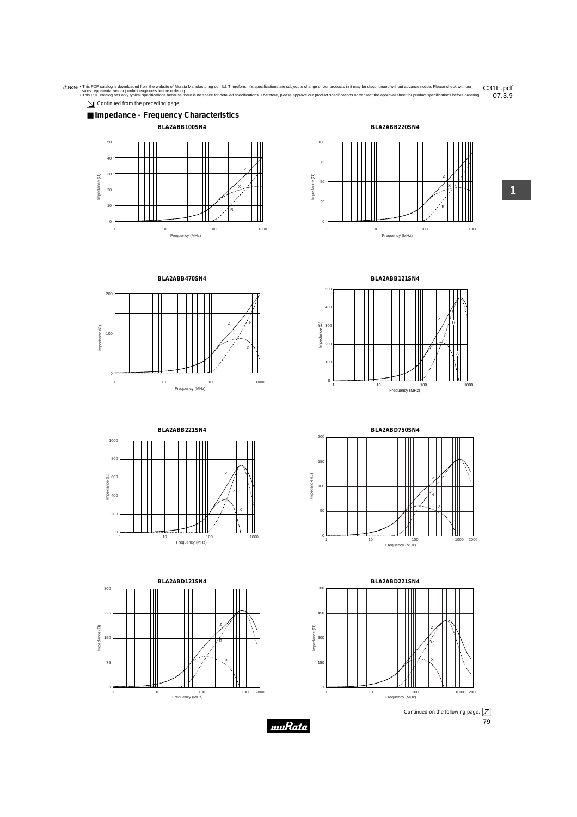

 $\boxed{\searrow}$  Continued from the preceding page.









**BLA2ABD121SN4** 300 225 Z Impedance (2) Impedance (Ω) 150 R 75 X  $0 \frac{1}{1}$ 2000 1 10 100 1000 Frequency (MHz)





**BLA2ABB121SN4**







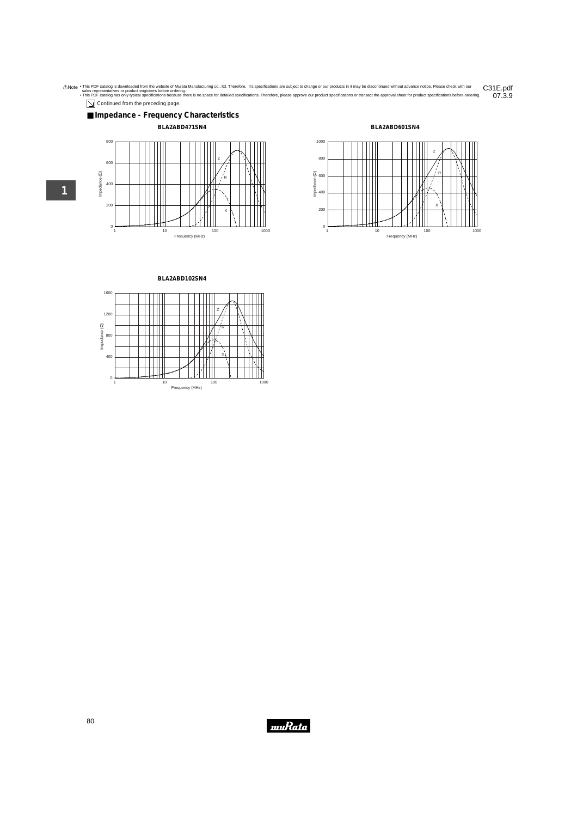$\boxed{\searrow}$  Continued from the preceding page.



### **BLA2ABD471SN4**







**BLA2ABD102SN4**



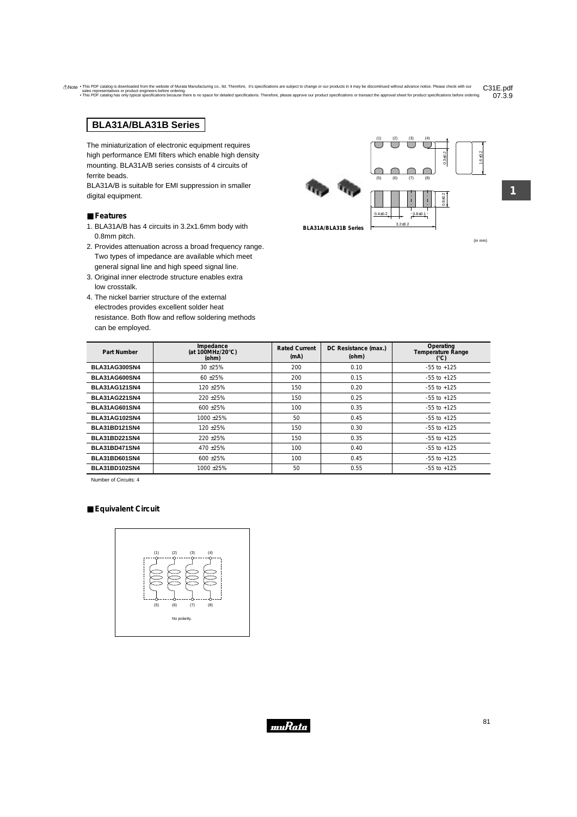# **BLA31A/BLA31B Series**

The miniaturization of electronic equipment requires high performance EMI filters which enable high density mounting. BLA31A/B series consists of 4 circuits of ferrite beads.

BLA31A/B is suitable for EMI suppression in smaller digital equipment.

#### ■ **Features**

- 1. BLA31A/B has 4 circuits in 3.2x1.6mm body with 0.8mm pitch.
- 2. Provides attenuation across a broad frequency range. Two types of impedance are available which meet general signal line and high speed signal line.
- 3. Original inner electrode structure enables extra low crosstalk.
- 4. The nickel barrier structure of the external electrodes provides excellent solder heat resistance. Both flow and reflow soldering methods can be employed.



 $3.2+0.2$ 

**BLA31A/BLA31B Series**

(in mm)

1.6±0.2

**1**

| Part Number          | Impedance<br>(at 100MHz/20 $\degree$ C)<br>(ohm) | <b>Rated Current</b><br>(mA) | DC Resistance (max.)<br>(ohm) | Operating<br><b>Temperature Range</b><br>(°C) |
|----------------------|--------------------------------------------------|------------------------------|-------------------------------|-----------------------------------------------|
| <b>BLA31AG300SN4</b> | $30 + 25%$                                       | 200                          | 0.10                          | $-55$ to $+125$                               |
| <b>BLA31AG600SN4</b> | $60 + 25%$                                       | 200                          | 0.15                          | $-55$ to $+125$                               |
| <b>BLA31AG121SN4</b> | $120 + 25%$                                      | 150                          | 0.20                          | $-55$ to $+125$                               |
| <b>BLA31AG221SN4</b> | $220 + 25%$                                      | 150                          | 0.25                          | $-55$ to $+125$                               |
| <b>BLA31AG601SN4</b> | $600 + 25%$                                      | 100                          | 0.35                          | $-55$ to $+125$                               |
| <b>BLA31AG102SN4</b> | 1000 ± 25%                                       | 50                           | 0.45                          | $-55$ to $+125$                               |
| <b>BLA31BD121SN4</b> | 120 ± 25%                                        | 150                          | 0.30                          | $-55$ to $+125$                               |
| <b>BLA31BD221SN4</b> | 220 ± 25%                                        | 150                          | 0.35                          | $-55$ to $+125$                               |
| <b>BLA31BD471SN4</b> | 470 ± 25%                                        | 100                          | 0.40                          | $-55$ to $+125$                               |
| <b>BLA31BD601SN4</b> | 600 ± 25%                                        | 100                          | 0.45                          | $-55$ to $+125$                               |
| <b>BLA31BD102SN4</b> | 1000 ± 25%                                       | 50                           | 0.55                          | $-55$ to $+125$                               |

Number of Circuits: 4

#### ■ **Equivalent Circuit**



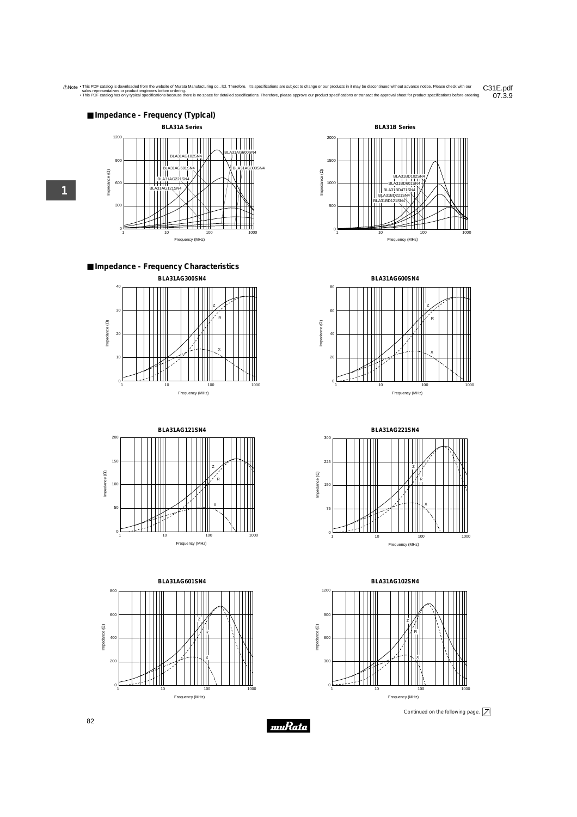

■ **Impedance - Frequency Characteristics**













**BLA31AG102SN4** 1200 900 Z Impedance (2) Impedance (Ω) R 600 X 300 0 1 10 100 1000 1000 Frequency (MHz)

**1**

Continued on the following page.  $\boxed{\nearrow}$ 

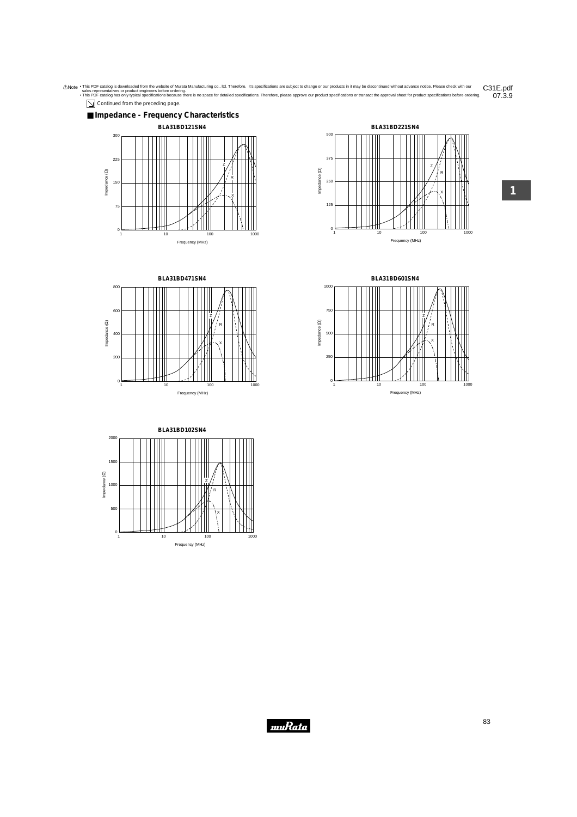$\boxed{\searrow}$  Continued from the preceding page.









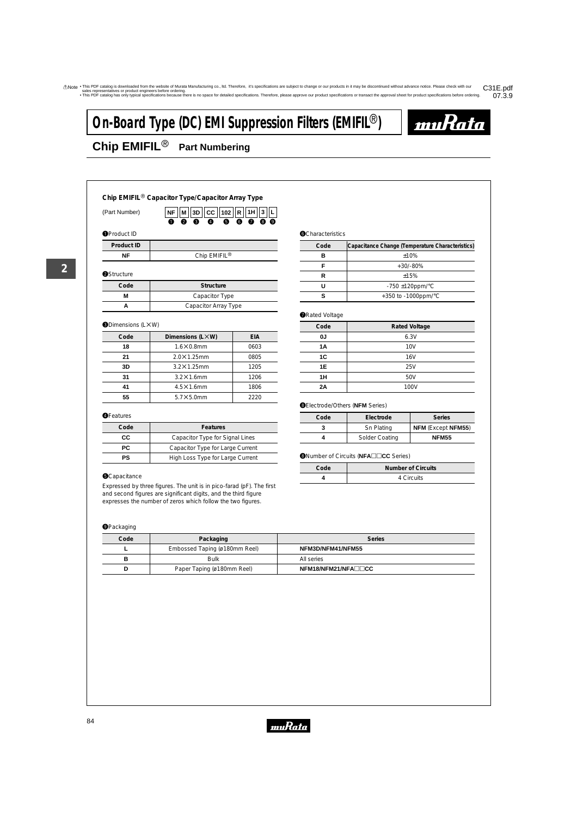$\overline{a}$ 

# **On-Board Type (DC) EMI Suppression Filters (EMIFIL<sup>®</sup>)**



# **Chip EMIFIL<sup>®</sup> Part Numbering**

| Chip EMIFIL <sup>®</sup> Capacitor Type/Capacitor Array Type |                                                                                         |  |  |
|--------------------------------------------------------------|-----------------------------------------------------------------------------------------|--|--|
| (Part Number)                                                | $3D$ $ CC $ 102 $ R $<br>1H<br>NF I<br>М<br>3<br><b>0 0</b><br>- 0<br><b>00000</b><br>➊ |  |  |
| <b>O</b> Product ID                                          |                                                                                         |  |  |
| Product ID                                                   |                                                                                         |  |  |
| ΝF                                                           | Chip EMIFIL <sup>®</sup>                                                                |  |  |
| <b>OStructure</b>                                            |                                                                                         |  |  |
| Code                                                         | Structure                                                                               |  |  |
| М                                                            | Capacitor Type                                                                          |  |  |
| A                                                            | Capacitor Array Type                                                                    |  |  |
|                                                              |                                                                                         |  |  |

#### **ODimensions (LXW)**

| Code | Dimensions (LXW)   | EIA  |
|------|--------------------|------|
| 18   | $1.6\times0.8$ mm  | 0603 |
| 21   | $2.0\times1.25$ mm | 0805 |
| 3D   | $3.2\times1.25$ mm | 1205 |
| 31   | $3.2\times1.6$ mm  | 1206 |
| 41   | $4.5\times1.6$ mm  | 1806 |
| 55   | $5.7\times5.0$ mm  | 2220 |

#### **OFeatures**

| Code | <b>Features</b>                  |
|------|----------------------------------|
| CC.  | Capacitor Type for Signal Lines  |
| PC.  | Capacitor Type for Large Current |
| PS   | High Loss Type for Large Current |

#### **O**Capacitance

Expressed by three figure and second figures are sig expresses the number of zeros which follow the two figures.

#### **O**Packaging

| capacitor Type for Large Current                                                        |                                                         |                           |
|-----------------------------------------------------------------------------------------|---------------------------------------------------------|---------------------------|
| High Loss Type for Large Current                                                        | <b><sup>■</sup></b> Number of Circuits (NFA□□CC Series) |                           |
|                                                                                         | Code                                                    | <b>Number of Circuits</b> |
|                                                                                         | 4                                                       | 4 Circuits                |
| es. The unit is in pico-farad (pF). The first<br>gnificant digits, and the third figure |                                                         |                           |

| Code | Packaging                     | <b>Series</b>       |
|------|-------------------------------|---------------------|
|      | Embossed Taping (ø180mm Reel) | NFM3D/NFM41/NFM55   |
| в    | Bulk                          | All series          |
| D    | Paper Taping (ø180mm Reel)    | NFM18/NFM21/NFA□□CC |

#### **O**Characteristics

| Code | Capacitance Change (Temperature Characteristics) |
|------|--------------------------------------------------|
|      | ±10%                                             |
|      | $+30/ -80%$                                      |
| R    | ±15%                                             |
| יי   | $-750 \pm 120$ ppm/°C                            |
|      | +350 to -1000ppm/ $\degree$ C                    |

#### **ORated Voltage**

| Code | <b>Rated Voltage</b> |
|------|----------------------|
| 0J   | 6.3V                 |
| 1A   | <b>10V</b>           |
| 1C   | 16V                  |
| 1E   | 25V                  |
| 1H   | 50V                  |
| 2A   | 100V                 |

#### **@Electrode/Others (NFM Series)**

| Code | Electrode      | <b>Series</b>             |
|------|----------------|---------------------------|
| 3    | Sn Plating     | <b>NFM (Except NFM55)</b> |
|      | Solder Coating | <b>NFM55</b>              |

| Code | Number of Circuits |
|------|--------------------|
|      | 4 Circuits         |



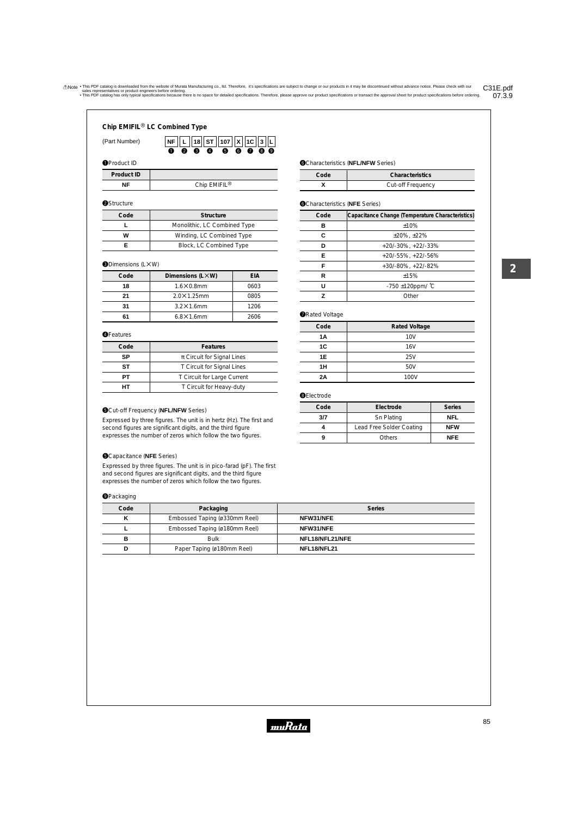|                                           | $\bullet$ |  | $\bullet$ $\bullet$ $\bullet$ $\bullet$ $\bullet$ $\circ$ $\circ$                                                                               |  |  |
|-------------------------------------------|-----------|--|-------------------------------------------------------------------------------------------------------------------------------------------------|--|--|
| (Part Number)                             |           |  | $\vert$ NF $\vert\vert$ L $\vert\vert$ 18 $\vert\vert$ ST $\vert\vert$ 107 $\vert\vert$ X $\vert\vert$ 1C $\vert\vert$ 3 $\vert\vert$ L $\vert$ |  |  |
| Chip EMIFIL <sup>®</sup> LC Combined Type |           |  |                                                                                                                                                 |  |  |

#### **O**Product ID

| Product ID |                          |
|------------|--------------------------|
| ᇉ          | Chip EMIFIL <sup>®</sup> |

#### **@Structure**

| Code | Structure                    |
|------|------------------------------|
|      | Monolithic, LC Combined Type |
| w    | Winding, LC Combined Type    |
|      | Block, LC Combined Type      |

#### **ODimensions (LXW)**

| Code | Dimensions (LXW)   | EIA  |
|------|--------------------|------|
| 18   | $1.6\times0.8$ mm  | 0603 |
| 21   | $2.0\times1.25$ mm | 0805 |
| 31   | $3.2\times1.6$ mm  | 1206 |
| 61   | $6.8\times1.6$ mm  | 2606 |

#### **OFeatures**

| Code | <b>Features</b>                |
|------|--------------------------------|
| SP   | $\pi$ Circuit for Signal Lines |
| SТ   | T Circuit for Signal Lines     |
| PТ   | T Circuit for Large Current    |
|      | T Circuit for Heavy-duty       |

#### **O**Cut-off Frequency (NFL/NFW Series)

Expressed by three figures. The unit is in hertz (Hz). The first and second figures are significant digits, and the third figure expresses the number of zeros which follow the two figures.

#### **O**Capacitance (NFE Series)

Expressed by three figures. The unit is in pico-farad (pF). The first and second figures are significant digits, and the third figure expresses the number of zeros which follow the two figures.

#### **O**Packaging

| . .  |                               |                 |
|------|-------------------------------|-----------------|
| Code | Packaging                     | <b>Series</b>   |
| v    | Embossed Taping (ø330mm Reel) | NFW31/NFE       |
|      | Embossed Taping (ø180mm Reel) | NFW31/NFE       |
| в    | <b>Bulk</b>                   | NFL18/NFL21/NFE |
|      | Paper Taping (ø180mm Reel)    | NFL18/NFL21     |

#### **OCharacteristics (NFL/NFW Series)**

| Code | Characteristics   |
|------|-------------------|
|      | Cut-off Frequency |

## **@Characteristics (NFE Series)**

| Code | Capacitance Change (Temperature Characteristics) |
|------|--------------------------------------------------|
| в    | ±10%                                             |
| C    | $±20\%$ , $±22\%$                                |
| n    | $+20/-30\%$ , $+22/-33\%$                        |
| Е    | $+20/-55\%$ , $+22/-56\%$                        |
| F    | +30/-80%, +22/-82%                               |
| R    | $+15%$                                           |
| U    | $-750 \pm 120$ ppm/ $°C$                         |
| 7    | Other                                            |

#### **ORated Voltage**

| Code | <b>Rated Voltage</b> |
|------|----------------------|
| 1A   | <b>10V</b>           |
| 1C   | 16V                  |
| 1E   | 25V                  |
| 1H   | 50V                  |
| 2A   | 100V                 |

#### **OElectrode**

| Code<br>Electrode |                          | <b>Series</b> |
|-------------------|--------------------------|---------------|
| 3/7               | Sn Plating               | NFL           |
|                   | Lead Free Solder Coating | <b>NFW</b>    |
| 9                 | <b>Others</b>            | <b>NFF</b>    |

**2**

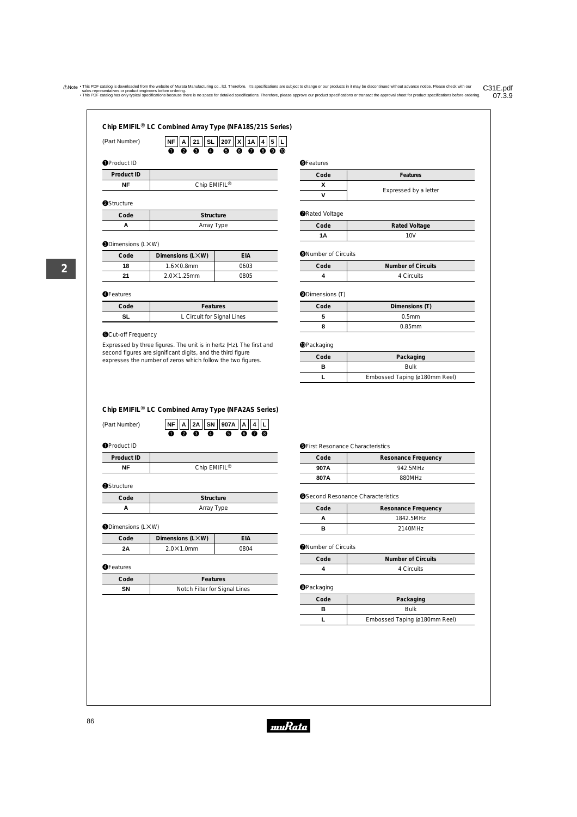$\bf{0}$ 

 $\bullet$ **207 NF X SL 21 A 1A 4 5 L**

 $\bullet$ e  $\boldsymbol{\Omega}$ 

 $\overline{a}$ 

 $\bullet\; \bullet\; \bullet\; \bullet$ 

| (Part Number) |  |
|---------------|--|
|               |  |

| Product ID |
|------------|
|            |

**NF** | Chip EMIFIL<sup>®</sup>

#### **@Structure**

| Code | Structure  |
|------|------------|
|      | Array Type |

#### **ODimensions (LXW)**

| Code | Dimensions (LXW)   | EIA  |
|------|--------------------|------|
| 18   | $1.6\times0.8$ mm  | 0603 |
| 21   | $2.0\times1.25$ mm | 0805 |

#### **OFeatures**

Γ

| Code | Features                   |
|------|----------------------------|
|      | L Circuit for Signal Lines |

#### **O**Cut-off Frequency

Expressed by three figures. The unit is in hertz (Hz). The first and second figures are significant digits, and the third figure expresses the number of zeros which follow the two figures.

| <b>OFeatures</b> |  |  |
|------------------|--|--|
|------------------|--|--|

| Code | Features              |  |  |  |  |
|------|-----------------------|--|--|--|--|
|      |                       |  |  |  |  |
|      | Expressed by a letter |  |  |  |  |

#### **ORated Voltage**

| Code | <b>Rated Voltage</b> |  |  |  |  |  |
|------|----------------------|--|--|--|--|--|
| ۱Α   | 10V                  |  |  |  |  |  |

#### **O**Number of Circuits

| Code | Number of Circuits |
|------|--------------------|
|      | 4 Circuits         |

## **ODimensions (T)**

| Code | Dimensions (T)    |  |  |  |  |  |
|------|-------------------|--|--|--|--|--|
|      | 0.5 <sub>mm</sub> |  |  |  |  |  |
|      | $0.85$ mm         |  |  |  |  |  |

#### **OPackaging**

| Code | Packaging                     |
|------|-------------------------------|
|      | <b>Bulk</b>                   |
|      | Embossed Taping (ø180mm Reel) |

#### **Chip EMIFIL<sup>®</sup> LC Combined Array Type (NFA2AS Series)**

| (Part Number) |  |             | $\overline{\mathbf{N}}$ $\overline{\mathbf{F}}$ $\overline{\mathbf{A}}$ $\overline{\mathbf{2A}}$ $\overline{\mathbf{S}}$ $\overline{\mathbf{N}}$ $\overline{\mathbf{907A}}$ $\overline{\mathbf{A}}$ $\overline{\mathbf{A}}$ $\overline{\mathbf{L}}$ |  |  |
|---------------|--|-------------|-----------------------------------------------------------------------------------------------------------------------------------------------------------------------------------------------------------------------------------------------------|--|--|
|               |  | $0$ 0 6 $0$ | 6600                                                                                                                                                                                                                                                |  |  |

**O**Product ID

| NF         | Chip EMIFIL <sup>®</sup> |
|------------|--------------------------|
| Product ID |                          |

#### **@Structure**

| Code | Structure  |
|------|------------|
|      | Array Type |

#### **ODimensions (LXW)**

| Code | Dimensions (LXW)  | EIA  |
|------|-------------------|------|
| ?A   | $2.0\times1.0$ mm | 0804 |

#### **OFeatures**

| Code | <b>Features</b>               |
|------|-------------------------------|
| SΝ   | Notch Filter for Signal Lines |

#### **OFirst Resonance Characteristics**

| Code | Resonance Frequency |  |
|------|---------------------|--|
| 907A | 942.5MHz            |  |
| 807A | 880MHz              |  |

#### **O**Second Resonance Characteristics

| Code | Resonance Frequency |  |
|------|---------------------|--|
|      | 1842.5MHz           |  |
|      | 2140MHz             |  |

#### **O**Number of Circuits

| Code | <b>Number of Circuits</b> |  |
|------|---------------------------|--|
|      | 4 Circuits                |  |

#### **@**Packaging

| Code | Packaging                     |  |
|------|-------------------------------|--|
|      | <b>Bulk</b>                   |  |
|      | Embossed Taping (ø180mm Reel) |  |

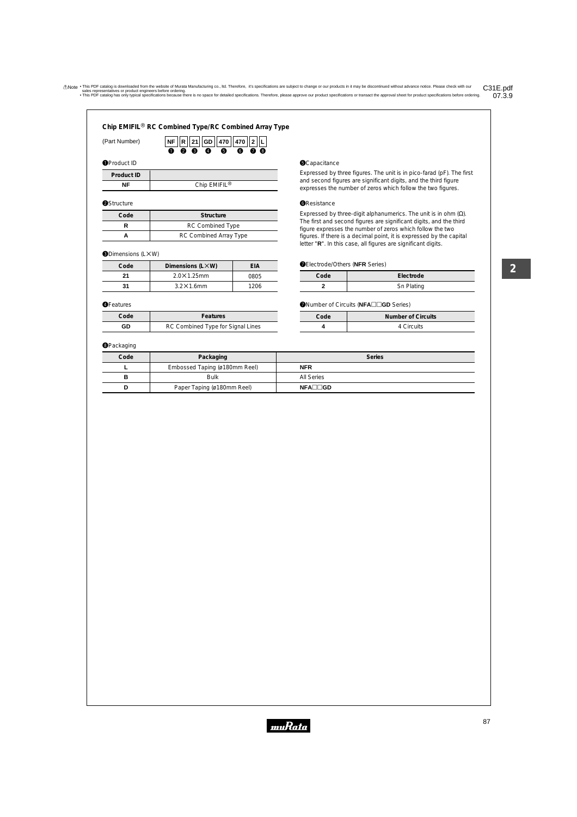| Chip EMIFIL <sup>®</sup> RC Combined Type/RC Combined Array Type |  |
|------------------------------------------------------------------|--|
|------------------------------------------------------------------|--|

e w

 $\overline{\bullet}$ **470 470 NF GD 21 R 2 L**

 $\overline{\mathbf{c}}$ 

 $\overline{\bullet}$ 

0 Q

| (Part Number) |  |
|---------------|--|
|               |  |

#### **O**Product ID

**Product ID**

**NF** Chip EMIFIL<sup>®</sup>

 $\bf{0}$ 

#### **@Structure**

| Code | Structure               |  |
|------|-------------------------|--|
|      | <b>RC Combined Type</b> |  |
|      | RC Combined Array Type  |  |

#### **ODimensions (LXW)**

| Code | Dimensions (LXW)   | EIA  |
|------|--------------------|------|
| 21   | $2.0\times1.25$ mm | 0805 |
| 31   | $3.2\times1.6$ mm  | 1206 |

#### **OFeatures**

| Code | <b>Features</b>                   |  |
|------|-----------------------------------|--|
| GD   | RC Combined Type for Signal Lines |  |

#### **@**Packaging

#### **O**Capacitance

Expressed by three figures. The unit is in pico-farad (pF). The first and second figures are significant digits, and the third figure expresses the number of zeros which follow the two figures.

#### **O**Resistance

Expressed by three-digit alphanumerics. The unit is in ohm  $(\Omega)$ . The first and second figures are significant digits, and the third figure expresses the number of zeros which follow the two figures. If there is a decimal point, it is expressed by the capital letter "**R**". In this case, all figures are significant digits.

#### uElectrode/Others (**NFR** Series)

| Code | Electrode  |  |  |  |
|------|------------|--|--|--|
|      | Sn Plating |  |  |  |

#### **O**Number of Circuits (NFA $\square$  $\square$ GD Series)

| Code | Number of Circuits |  |  |  |
|------|--------------------|--|--|--|
|      | 4 Circuits         |  |  |  |

| Code | Packaging                     | <b>Series</b> |
|------|-------------------------------|---------------|
| -    | Embossed Taping (ø180mm Reel) | <b>NFR</b>    |
| в    | <b>Bulk</b>                   | All Series    |
| D    | Paper Taping (ø180mm Reel)    | NFA⊟⊟GD       |

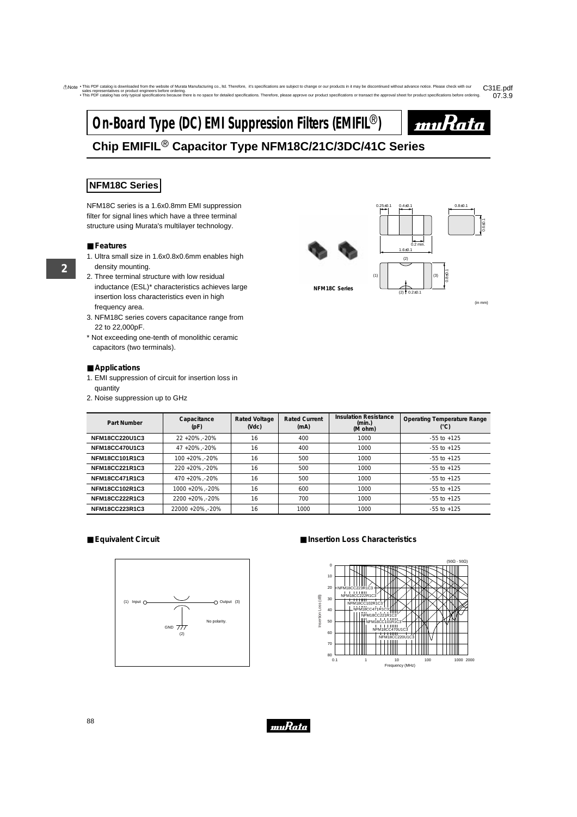# **On-Board Type (DC) EMI Suppression Filters (EMIFIL<sup>®</sup>)**



## **Chip EMIFIL**r **Capacitor Type NFM18C/21C/3DC/41C Series**

## **NFM18C Series**

NFM18C series is a 1.6x0.8mm EMI suppression filter for signal lines which have a three terminal structure using Murata's multilayer technology.

## ■ **Features**

- 1. Ultra small size in 1.6x0.8x0.6mm enables high density mounting.
- 2. Three terminal structure with low residual inductance (ESL)\* characteristics achieves large insertion loss characteristics even in high frequency area.
- 3. NFM18C series covers capacitance range from 22 to 22,000pF.
- \* Not exceeding one-tenth of monolithic ceramic capacitors (two terminals).

## ■ **Applications**

- 1. EMI suppression of circuit for insertion loss in quantity
- 2. Noise suppression up to GHz



(in mm)

| Part Number           | Capacitance<br>(pF) | <b>Rated Voltage</b><br>(Vdc) | <b>Rated Current</b><br>(mA) | <b>Insulation Resistance</b><br>(min.)<br>(M ohm) | <b>Operating Temperature Range</b><br>$(^\circ C)$ |
|-----------------------|---------------------|-------------------------------|------------------------------|---------------------------------------------------|----------------------------------------------------|
| <b>NFM18CC220U1C3</b> | 22+20%.-20%         | 16                            | 400                          | 1000                                              | $-55$ to $+125$                                    |
| <b>NFM18CC470U1C3</b> | 47+20%.-20%         | 16                            | 400                          | 1000                                              | $-55$ to $+125$                                    |
| <b>NFM18CC101R1C3</b> | 100 + 20% - 20%     | 16                            | 500                          | 1000                                              | $-55$ to $+125$                                    |
| <b>NFM18CC221R1C3</b> | 220 + 20% - 20%     | 16                            | 500                          | 1000                                              | $-55$ to $+125$                                    |
| <b>NFM18CC471R1C3</b> | 470 +20%, -20%      | 16                            | 500                          | 1000                                              | $-55$ to $+125$                                    |
| NFM18CC102R1C3        | 1000 + 20%, - 20%   | 16                            | 600                          | 1000                                              | $-55$ to $+125$                                    |
| NFM18CC222R1C3        | 2200 +20%, -20%     | 16                            | 700                          | 1000                                              | $-55$ to $+125$                                    |
| NFM18CC223R1C3        | 22000 +20%, -20%    | 16                            | 1000                         | 1000                                              | $-55$ to $+125$                                    |

## ■ **Equivalent Circuit**



## ■ **Insertion Loss Characteristics**